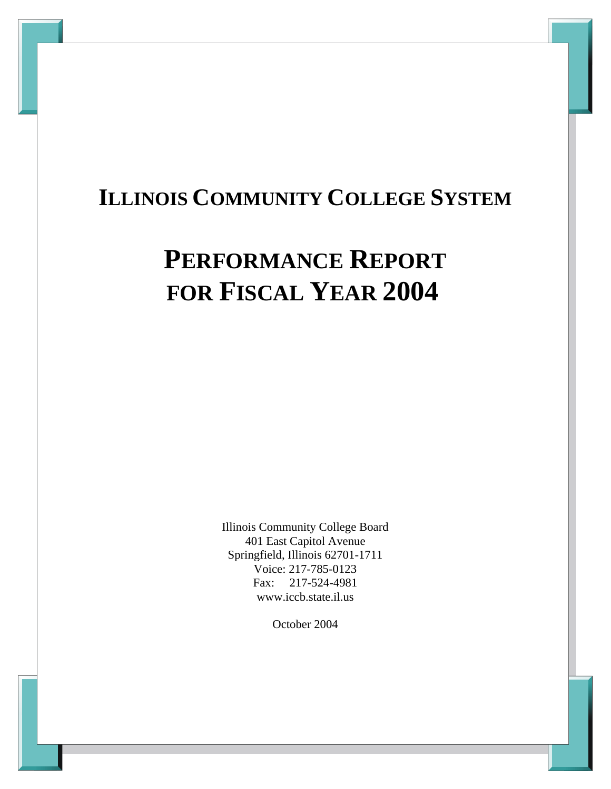# **ILLINOIS COMMUNITY COLLEGE SYSTEM**

# **PERFORMANCE REPORT FOR FISCAL YEAR 2004**

Illinois Community College Board 401 East Capitol Avenue Springfield, Illinois 62701-1711 Voice: 217-785-0123 Fax: 217-524-4981 www.iccb.state.il.us

October 2004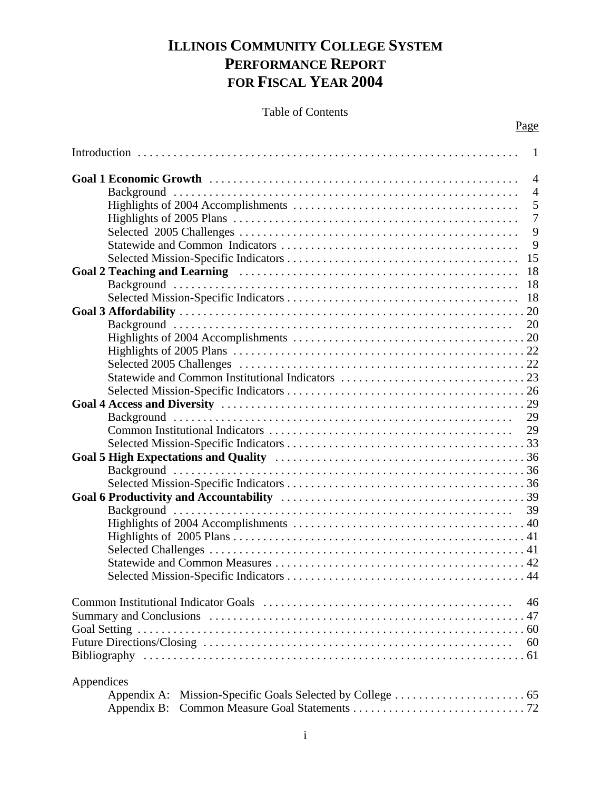# **ILLINOIS COMMUNITY COLLEGE SYSTEM PERFORMANCE REPORT FOR FISCAL YEAR 2004**

# Table of Contents

| -1             |
|----------------|
| $\overline{4}$ |
| $\overline{4}$ |
| 5              |
| $\overline{7}$ |
| 9              |
| 9              |
| 15             |
| 18             |
| 18             |
| 18             |
|                |
| 20             |
|                |
|                |
|                |
|                |
|                |
|                |
| 29             |
| 29             |
|                |
|                |
|                |
|                |
|                |
| 39             |
|                |
|                |
|                |
|                |
|                |
|                |
| 46             |
|                |
|                |
| 60             |
|                |
|                |
| Appendices     |
|                |
| Appendix B:    |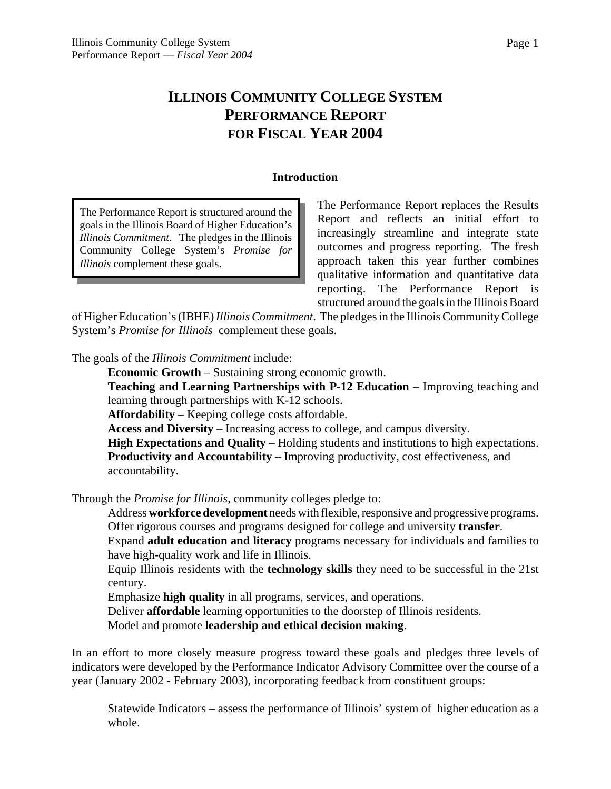# **ILLINOIS COMMUNITY COLLEGE SYSTEM PERFORMANCE REPORT FOR FISCAL YEAR 2004**

#### **Introduction**

The Performance Report is structured around the goals in the Illinois Board of Higher Education's *Illinois Commitment*. The pledges in the Illinois Community College System's *Promise for Illinois* complement these goals.

The Performance Report replaces the Results Report and reflects an initial effort to increasingly streamline and integrate state outcomes and progress reporting. The fresh approach taken this year further combines qualitative information and quantitative data reporting. The Performance Report is structured around the goals in the Illinois Board

of Higher Education's (IBHE) *Illinois Commitment*. The pledges in the Illinois Community College System's *Promise for Illinois* complement these goals.

The goals of the *Illinois Commitment* include:

**Economic Growth** – Sustaining strong economic growth.

**Teaching and Learning Partnerships with P-12 Education** – Improving teaching and learning through partnerships with K-12 schools.

**Affordability** – Keeping college costs affordable.

**Access and Diversity** – Increasing access to college, and campus diversity.

**High Expectations and Quality** – Holding students and institutions to high expectations. **Productivity and Accountability** – Improving productivity, cost effectiveness, and accountability.

Through the *Promise for Illinois*, community colleges pledge to:

Address **workforce development** needs with flexible, responsive and progressive programs. Offer rigorous courses and programs designed for college and university **transfer**.

 Expand **adult education and literacy** programs necessary for individuals and families to have high-quality work and life in Illinois.

Equip Illinois residents with the **technology skills** they need to be successful in the 21st century.

Emphasize **high quality** in all programs, services, and operations.

Deliver **affordable** learning opportunities to the doorstep of Illinois residents.

Model and promote **leadership and ethical decision making**.

In an effort to more closely measure progress toward these goals and pledges three levels of indicators were developed by the Performance Indicator Advisory Committee over the course of a year (January 2002 - February 2003), incorporating feedback from constituent groups:

Statewide Indicators – assess the performance of Illinois' system of higher education as a whole.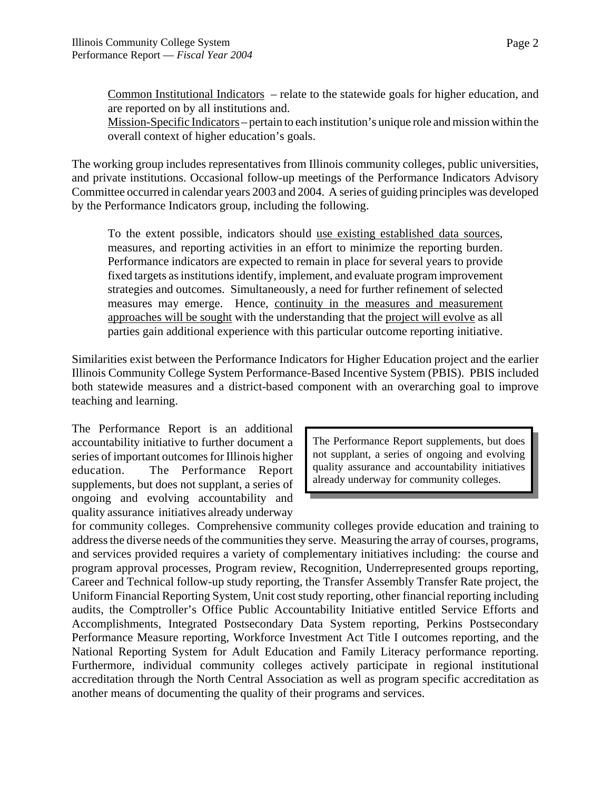Common Institutional Indicators – relate to the statewide goals for higher education, and are reported on by all institutions and.

Mission-Specific Indicators – pertain to each institution's unique role and mission within the overall context of higher education's goals.

The working group includes representatives from Illinois community colleges, public universities, and private institutions. Occasional follow-up meetings of the Performance Indicators Advisory Committee occurred in calendar years 2003 and 2004. A series of guiding principles was developed by the Performance Indicators group, including the following.

To the extent possible, indicators should use existing established data sources, measures, and reporting activities in an effort to minimize the reporting burden. Performance indicators are expected to remain in place for several years to provide fixed targets as institutions identify, implement, and evaluate program improvement strategies and outcomes. Simultaneously, a need for further refinement of selected measures may emerge. Hence, continuity in the measures and measurement approaches will be sought with the understanding that the project will evolve as all parties gain additional experience with this particular outcome reporting initiative.

Similarities exist between the Performance Indicators for Higher Education project and the earlier Illinois Community College System Performance-Based Incentive System (PBIS). PBIS included both statewide measures and a district-based component with an overarching goal to improve teaching and learning.

The Performance Report is an additional accountability initiative to further document a series of important outcomes for Illinois higher education. The Performance Report supplements, but does not supplant, a series of ongoing and evolving accountability and quality assurance initiatives already underway

The Performance Report supplements, but does not supplant, a series of ongoing and evolving quality assurance and accountability initiatives already underway for community colleges.

for community colleges. Comprehensive community colleges provide education and training to address the diverse needs of the communities they serve. Measuring the array of courses, programs, and services provided requires a variety of complementary initiatives including: the course and program approval processes, Program review, Recognition, Underrepresented groups reporting, Career and Technical follow-up study reporting, the Transfer Assembly Transfer Rate project, the Uniform Financial Reporting System, Unit cost study reporting, other financial reporting including audits, the Comptroller's Office Public Accountability Initiative entitled Service Efforts and Accomplishments, Integrated Postsecondary Data System reporting, Perkins Postsecondary Performance Measure reporting, Workforce Investment Act Title I outcomes reporting, and the National Reporting System for Adult Education and Family Literacy performance reporting. Furthermore, individual community colleges actively participate in regional institutional accreditation through the North Central Association as well as program specific accreditation as another means of documenting the quality of their programs and services.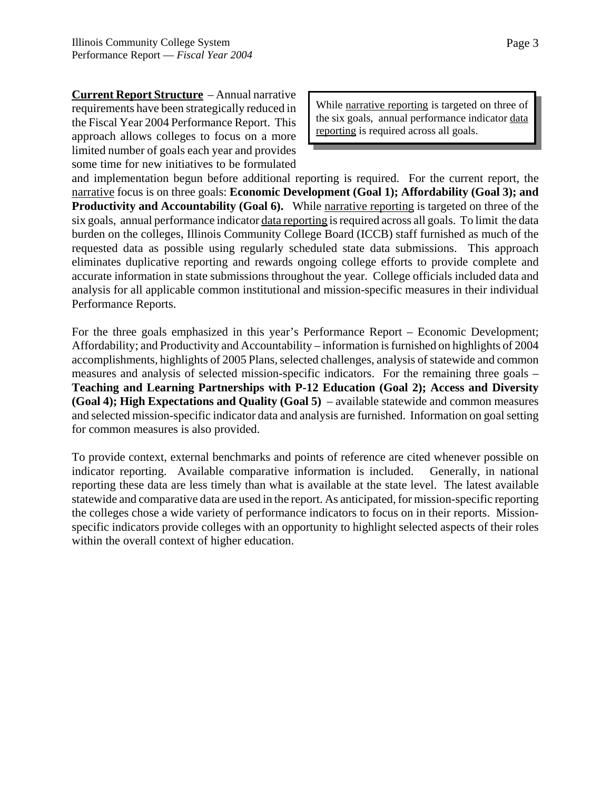**Current Report Structure** – Annual narrative requirements have been strategically reduced in the Fiscal Year 2004 Performance Report. This approach allows colleges to focus on a more limited number of goals each year and provides some time for new initiatives to be formulated

While narrative reporting is targeted on three of the six goals, annual performance indicator data reporting is required across all goals.

and implementation begun before additional reporting is required. For the current report, the narrative focus is on three goals: **Economic Development (Goal 1); Affordability (Goal 3); and Productivity and Accountability (Goal 6).** While narrative reporting is targeted on three of the six goals, annual performance indicator data reporting is required across all goals. To limit the data burden on the colleges, Illinois Community College Board (ICCB) staff furnished as much of the requested data as possible using regularly scheduled state data submissions. This approach eliminates duplicative reporting and rewards ongoing college efforts to provide complete and accurate information in state submissions throughout the year. College officials included data and analysis for all applicable common institutional and mission-specific measures in their individual Performance Reports.

For the three goals emphasized in this year's Performance Report – Economic Development; Affordability; and Productivity and Accountability – information is furnished on highlights of 2004 accomplishments, highlights of 2005 Plans, selected challenges, analysis of statewide and common measures and analysis of selected mission-specific indicators. For the remaining three goals – **Teaching and Learning Partnerships with P-12 Education (Goal 2); Access and Diversity (Goal 4); High Expectations and Quality (Goal 5)** – available statewide and common measures and selected mission-specific indicator data and analysis are furnished. Information on goal setting for common measures is also provided.

To provide context, external benchmarks and points of reference are cited whenever possible on indicator reporting. Available comparative information is included. Generally, in national reporting these data are less timely than what is available at the state level. The latest available statewide and comparative data are used in the report. As anticipated, for mission-specific reporting the colleges chose a wide variety of performance indicators to focus on in their reports. Missionspecific indicators provide colleges with an opportunity to highlight selected aspects of their roles within the overall context of higher education.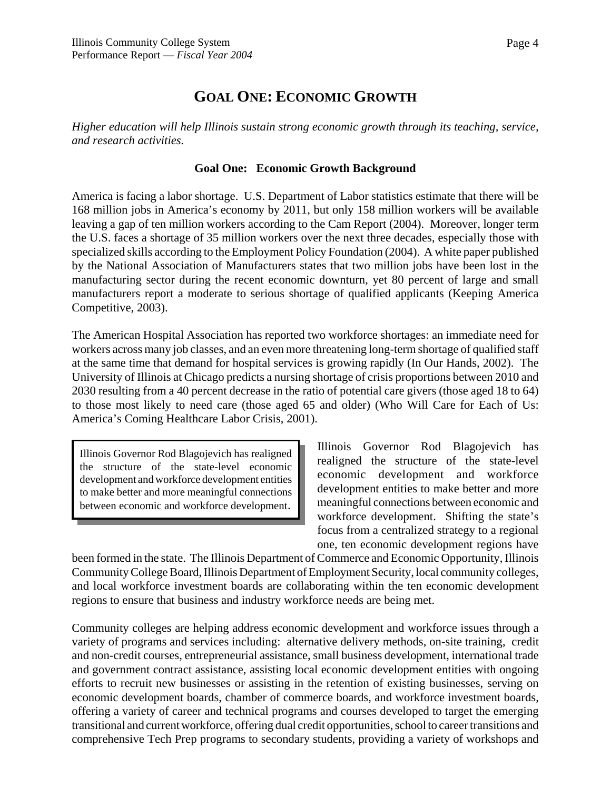Page 4

# **GOAL ONE: ECONOMIC GROWTH**

*Higher education will help Illinois sustain strong economic growth through its teaching, service, and research activities.*

## **Goal One: Economic Growth Background**

America is facing a labor shortage. U.S. Department of Labor statistics estimate that there will be 168 million jobs in America's economy by 2011, but only 158 million workers will be available leaving a gap of ten million workers according to the Cam Report (2004). Moreover, longer term the U.S. faces a shortage of 35 million workers over the next three decades, especially those with specialized skills according to the Employment Policy Foundation (2004). A white paper published by the National Association of Manufacturers states that two million jobs have been lost in the manufacturing sector during the recent economic downturn, yet 80 percent of large and small manufacturers report a moderate to serious shortage of qualified applicants (Keeping America Competitive, 2003).

The American Hospital Association has reported two workforce shortages: an immediate need for workers across many job classes, and an even more threatening long-term shortage of qualified staff at the same time that demand for hospital services is growing rapidly (In Our Hands, 2002). The University of Illinois at Chicago predicts a nursing shortage of crisis proportions between 2010 and 2030 resulting from a 40 percent decrease in the ratio of potential care givers (those aged 18 to 64) to those most likely to need care (those aged 65 and older) (Who Will Care for Each of Us: America's Coming Healthcare Labor Crisis, 2001).

Illinois Governor Rod Blagojevich has realigned the structure of the state-level economic development and workforce development entities to make better and more meaningful connections between economic and workforce development.

Illinois Governor Rod Blagojevich has realigned the structure of the state-level economic development and workforce development entities to make better and more meaningful connections between economic and workforce development. Shifting the state's focus from a centralized strategy to a regional one, ten economic development regions have

been formed in the state. The Illinois Department of Commerce and Economic Opportunity, Illinois Community College Board, Illinois Department of Employment Security, local community colleges, and local workforce investment boards are collaborating within the ten economic development regions to ensure that business and industry workforce needs are being met.

Community colleges are helping address economic development and workforce issues through a variety of programs and services including: alternative delivery methods, on-site training, credit and non-credit courses, entrepreneurial assistance, small business development, international trade and government contract assistance, assisting local economic development entities with ongoing efforts to recruit new businesses or assisting in the retention of existing businesses, serving on economic development boards, chamber of commerce boards, and workforce investment boards, offering a variety of career and technical programs and courses developed to target the emerging transitional and current workforce, offering dual credit opportunities, school to career transitions and comprehensive Tech Prep programs to secondary students, providing a variety of workshops and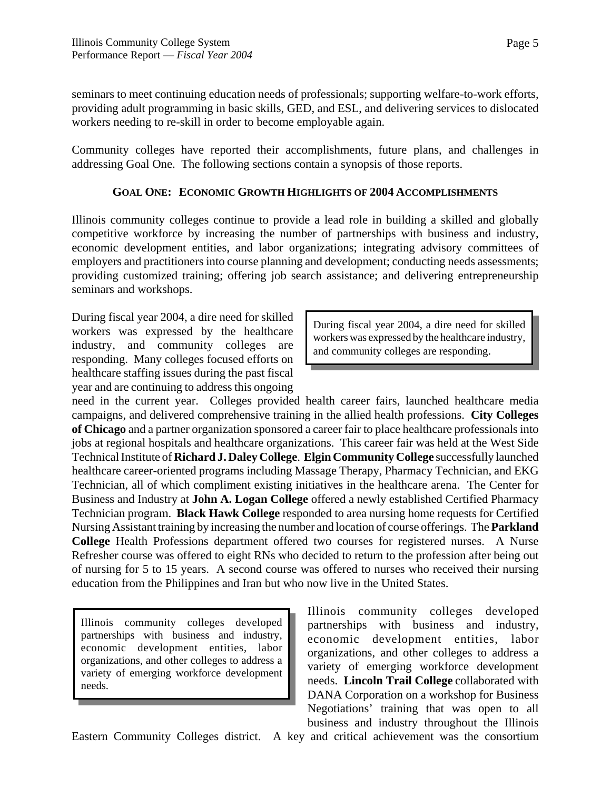seminars to meet continuing education needs of professionals; supporting welfare-to-work efforts, providing adult programming in basic skills, GED, and ESL, and delivering services to dislocated workers needing to re-skill in order to become employable again.

Community colleges have reported their accomplishments, future plans, and challenges in addressing Goal One. The following sections contain a synopsis of those reports.

# **GOAL ONE: ECONOMIC GROWTH HIGHLIGHTS OF 2004 ACCOMPLISHMENTS**

Illinois community colleges continue to provide a lead role in building a skilled and globally competitive workforce by increasing the number of partnerships with business and industry, economic development entities, and labor organizations; integrating advisory committees of employers and practitioners into course planning and development; conducting needs assessments; providing customized training; offering job search assistance; and delivering entrepreneurship seminars and workshops.

During fiscal year 2004, a dire need for skilled workers was expressed by the healthcare industry, and community colleges are responding. Many colleges focused efforts on healthcare staffing issues during the past fiscal year and are continuing to address this ongoing

During fiscal year 2004, a dire need for skilled workers was expressed by the healthcare industry, and community colleges are responding.

need in the current year. Colleges provided health career fairs, launched healthcare media campaigns, and delivered comprehensive training in the allied health professions. **City Colleges of Chicago** and a partner organization sponsored a career fair to place healthcare professionals into jobs at regional hospitals and healthcare organizations. This career fair was held at the West Side Technical Institute of **Richard J. Daley College**. **Elgin Community College** successfully launched healthcare career-oriented programs including Massage Therapy, Pharmacy Technician, and EKG Technician, all of which compliment existing initiatives in the healthcare arena. The Center for Business and Industry at **John A. Logan College** offered a newly established Certified Pharmacy Technician program. **Black Hawk College** responded to area nursing home requests for Certified Nursing Assistant training by increasing the number and location of course offerings. The **Parkland College** Health Professions department offered two courses for registered nurses. A Nurse Refresher course was offered to eight RNs who decided to return to the profession after being out of nursing for 5 to 15 years. A second course was offered to nurses who received their nursing education from the Philippines and Iran but who now live in the United States.

Illinois community colleges developed partnerships with business and industry, economic development entities, labor organizations, and other colleges to address a variety of emerging workforce development needs.

Illinois community colleges developed partnerships with business and industry, economic development entities, labor organizations, and other colleges to address a variety of emerging workforce development needs. **Lincoln Trail College** collaborated with DANA Corporation on a workshop for Business Negotiations' training that was open to all business and industry throughout the Illinois

Eastern Community Colleges district. A key and critical achievement was the consortium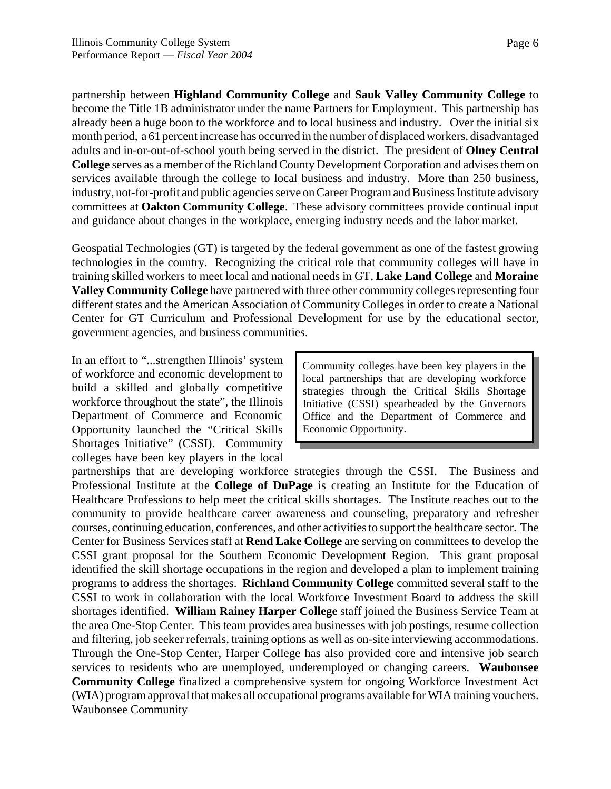partnership between **Highland Community College** and **Sauk Valley Community College** to become the Title 1B administrator under the name Partners for Employment. This partnership has already been a huge boon to the workforce and to local business and industry. Over the initial six month period, a 61 percent increase has occurred in the number of displaced workers, disadvantaged adults and in-or-out-of-school youth being served in the district. The president of **Olney Central College** serves as a member of the Richland County Development Corporation and advises them on services available through the college to local business and industry. More than 250 business, industry, not-for-profit and public agencies serve on Career Program and Business Institute advisory committees at **Oakton Community College**. These advisory committees provide continual input and guidance about changes in the workplace, emerging industry needs and the labor market.

Geospatial Technologies (GT) is targeted by the federal government as one of the fastest growing technologies in the country. Recognizing the critical role that community colleges will have in training skilled workers to meet local and national needs in GT, **Lake Land College** and **Moraine Valley Community College** have partnered with three other community colleges representing four different states and the American Association of Community Colleges in order to create a National Center for GT Curriculum and Professional Development for use by the educational sector, government agencies, and business communities.

In an effort to "...strengthen Illinois' system of workforce and economic development to build a skilled and globally competitive workforce throughout the state", the Illinois Department of Commerce and Economic Opportunity launched the "Critical Skills Shortages Initiative" (CSSI). Community colleges have been key players in the local

Community colleges have been key players in the local partnerships that are developing workforce strategies through the Critical Skills Shortage Initiative (CSSI) spearheaded by the Governors Office and the Department of Commerce and Economic Opportunity.

partnerships that are developing workforce strategies through the CSSI. The Business and Professional Institute at the **College of DuPage** is creating an Institute for the Education of Healthcare Professions to help meet the critical skills shortages. The Institute reaches out to the community to provide healthcare career awareness and counseling, preparatory and refresher courses, continuing education, conferences, and other activities to support the healthcare sector. The Center for Business Services staff at **Rend Lake College** are serving on committees to develop the CSSI grant proposal for the Southern Economic Development Region. This grant proposal identified the skill shortage occupations in the region and developed a plan to implement training programs to address the shortages. **Richland Community College** committed several staff to the CSSI to work in collaboration with the local Workforce Investment Board to address the skill shortages identified. **William Rainey Harper College** staff joined the Business Service Team at the area One-Stop Center. This team provides area businesses with job postings, resume collection and filtering, job seeker referrals, training options as well as on-site interviewing accommodations. Through the One-Stop Center, Harper College has also provided core and intensive job search services to residents who are unemployed, underemployed or changing careers. **Waubonsee Community College** finalized a comprehensive system for ongoing Workforce Investment Act (WIA) program approval that makes all occupational programs available for WIA training vouchers. Waubonsee Community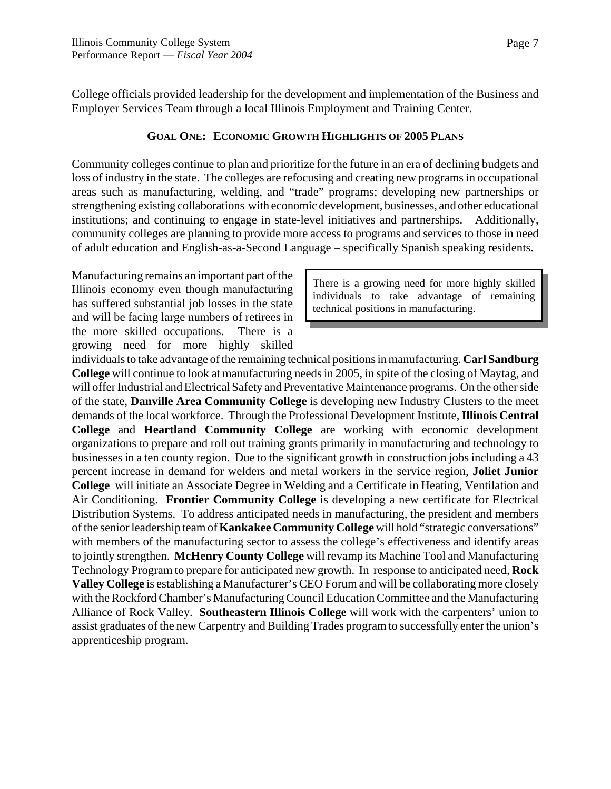Page 7

College officials provided leadership for the development and implementation of the Business and Employer Services Team through a local Illinois Employment and Training Center.

#### **GOAL ONE: ECONOMIC GROWTH HIGHLIGHTS OF 2005 PLANS**

Community colleges continue to plan and prioritize for the future in an era of declining budgets and loss of industry in the state. The colleges are refocusing and creating new programs in occupational areas such as manufacturing, welding, and "trade" programs; developing new partnerships or strengthening existing collaborations with economic development, businesses, and other educational institutions; and continuing to engage in state-level initiatives and partnerships. Additionally, community colleges are planning to provide more access to programs and services to those in need of adult education and English-as-a-Second Language – specifically Spanish speaking residents.

Manufacturing remains an important part of the Illinois economy even though manufacturing has suffered substantial job losses in the state and will be facing large numbers of retirees in the more skilled occupations. There is a growing need for more highly skilled

There is a growing need for more highly skilled individuals to take advantage of remaining technical positions in manufacturing.

individuals to take advantage of the remaining technical positions in manufacturing. **Carl Sandburg College** will continue to look at manufacturing needs in 2005, in spite of the closing of Maytag, and will offer Industrial and Electrical Safety and Preventative Maintenance programs. On the other side of the state, **Danville Area Community College** is developing new Industry Clusters to the meet demands of the local workforce. Through the Professional Development Institute, **Illinois Central College** and **Heartland Community College** are working with economic development organizations to prepare and roll out training grants primarily in manufacturing and technology to businesses in a ten county region. Due to the significant growth in construction jobs including a 43 percent increase in demand for welders and metal workers in the service region, **Joliet Junior College** will initiate an Associate Degree in Welding and a Certificate in Heating, Ventilation and Air Conditioning. **Frontier Community College** is developing a new certificate for Electrical Distribution Systems. To address anticipated needs in manufacturing, the president and members of the senior leadership team of **Kankakee Community College** will hold "strategic conversations" with members of the manufacturing sector to assess the college's effectiveness and identify areas to jointly strengthen. **McHenry County College** will revamp its Machine Tool and Manufacturing Technology Program to prepare for anticipated new growth. In response to anticipated need, **Rock Valley College** is establishing a Manufacturer's CEO Forum and will be collaborating more closely with the Rockford Chamber's Manufacturing Council Education Committee and the Manufacturing Alliance of Rock Valley. **Southeastern Illinois College** will work with the carpenters' union to assist graduates of the new Carpentry and Building Trades program to successfully enter the union's apprenticeship program.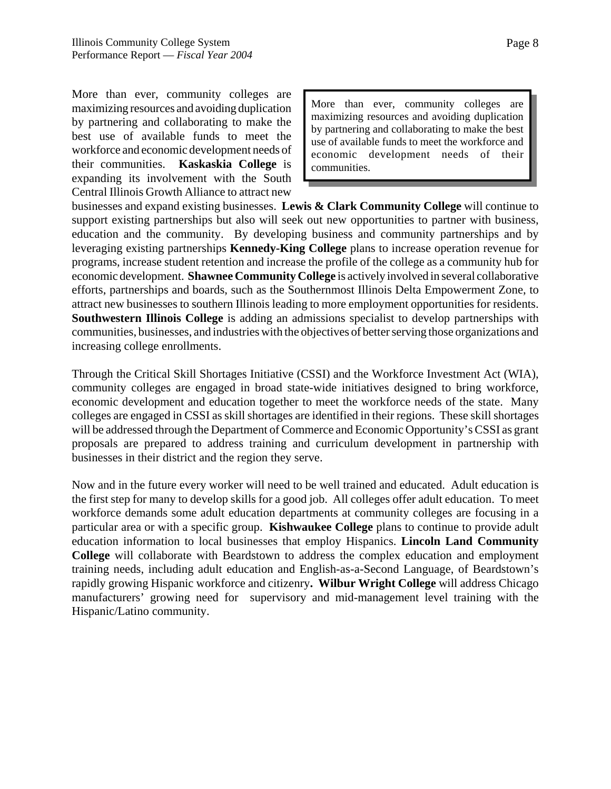More than ever, community colleges are maximizing resources and avoiding duplication by partnering and collaborating to make the best use of available funds to meet the workforce and economic development needs of their communities. **Kaskaskia College** is expanding its involvement with the South Central Illinois Growth Alliance to attract new

More than ever, community colleges are maximizing resources and avoiding duplication by partnering and collaborating to make the best use of available funds to meet the workforce and economic development needs of their communities.

businesses and expand existing businesses. **Lewis & Clark Community College** will continue to support existing partnerships but also will seek out new opportunities to partner with business, education and the community. By developing business and community partnerships and by leveraging existing partnerships **Kennedy-King College** plans to increase operation revenue for programs, increase student retention and increase the profile of the college as a community hub for economic development. **Shawnee Community College** is actively involved in several collaborative efforts, partnerships and boards, such as the Southernmost Illinois Delta Empowerment Zone, to attract new businesses to southern Illinois leading to more employment opportunities for residents. **Southwestern Illinois College** is adding an admissions specialist to develop partnerships with communities, businesses, and industries with the objectives of better serving those organizations and increasing college enrollments.

Through the Critical Skill Shortages Initiative (CSSI) and the Workforce Investment Act (WIA), community colleges are engaged in broad state-wide initiatives designed to bring workforce, economic development and education together to meet the workforce needs of the state. Many colleges are engaged in CSSI as skill shortages are identified in their regions. These skill shortages will be addressed through the Department of Commerce and Economic Opportunity's CSSI as grant proposals are prepared to address training and curriculum development in partnership with businesses in their district and the region they serve.

Now and in the future every worker will need to be well trained and educated. Adult education is the first step for many to develop skills for a good job. All colleges offer adult education. To meet workforce demands some adult education departments at community colleges are focusing in a particular area or with a specific group. **Kishwaukee College** plans to continue to provide adult education information to local businesses that employ Hispanics. **Lincoln Land Community College** will collaborate with Beardstown to address the complex education and employment training needs, including adult education and English-as-a-Second Language, of Beardstown's rapidly growing Hispanic workforce and citizenry**. Wilbur Wright College** will address Chicago manufacturers' growing need for supervisory and mid-management level training with the Hispanic/Latino community.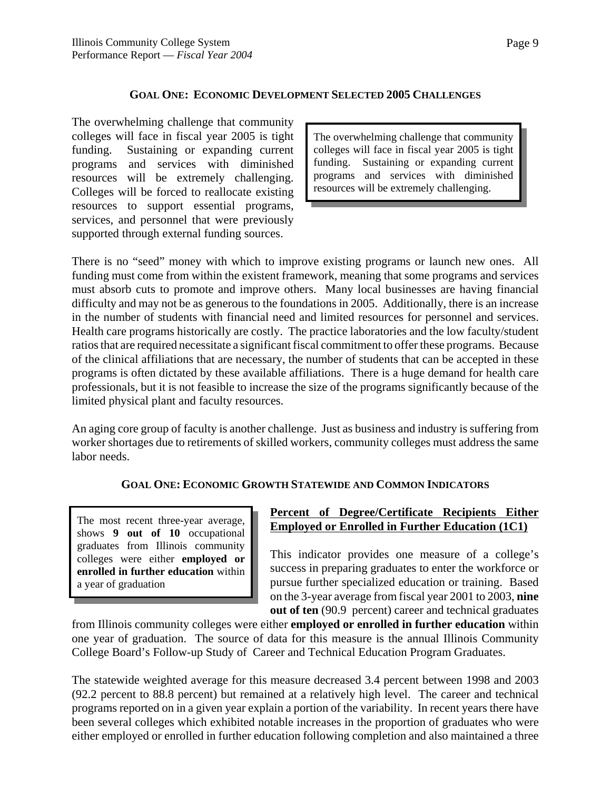#### **GOAL ONE: ECONOMIC DEVELOPMENT SELECTED 2005 CHALLENGES**

The overwhelming challenge that community colleges will face in fiscal year 2005 is tight funding. Sustaining or expanding current programs and services with diminished resources will be extremely challenging. Colleges will be forced to reallocate existing resources to support essential programs, services, and personnel that were previously supported through external funding sources.

The overwhelming challenge that community colleges will face in fiscal year 2005 is tight funding. Sustaining or expanding current programs and services with diminished resources will be extremely challenging.

There is no "seed" money with which to improve existing programs or launch new ones. All funding must come from within the existent framework, meaning that some programs and services must absorb cuts to promote and improve others. Many local businesses are having financial difficulty and may not be as generous to the foundations in 2005. Additionally, there is an increase in the number of students with financial need and limited resources for personnel and services. Health care programs historically are costly. The practice laboratories and the low faculty/student ratios that are required necessitate a significant fiscal commitment to offer these programs. Because of the clinical affiliations that are necessary, the number of students that can be accepted in these programs is often dictated by these available affiliations. There is a huge demand for health care professionals, but it is not feasible to increase the size of the programs significantly because of the limited physical plant and faculty resources.

An aging core group of faculty is another challenge. Just as business and industry is suffering from worker shortages due to retirements of skilled workers, community colleges must address the same labor needs.

#### **GOAL ONE: ECONOMIC GROWTH STATEWIDE AND COMMON INDICATORS**

The most recent three-year average, shows **9 out of 10** occupational graduates from Illinois community colleges were either **employed or enrolled in further education** within a year of graduation

#### **Percent of Degree/Certificate Recipients Either Employed or Enrolled in Further Education (1C1)**

This indicator provides one measure of a college's success in preparing graduates to enter the workforce or pursue further specialized education or training. Based on the 3-year average from fiscal year 2001 to 2003, **nine out of ten** (90.9 percent) career and technical graduates

from Illinois community colleges were either **employed or enrolled in further education** within one year of graduation. The source of data for this measure is the annual Illinois Community College Board's Follow-up Study of Career and Technical Education Program Graduates.

The statewide weighted average for this measure decreased 3.4 percent between 1998 and 2003 (92.2 percent to 88.8 percent) but remained at a relatively high level. The career and technical programs reported on in a given year explain a portion of the variability. In recent years there have been several colleges which exhibited notable increases in the proportion of graduates who were either employed or enrolled in further education following completion and also maintained a three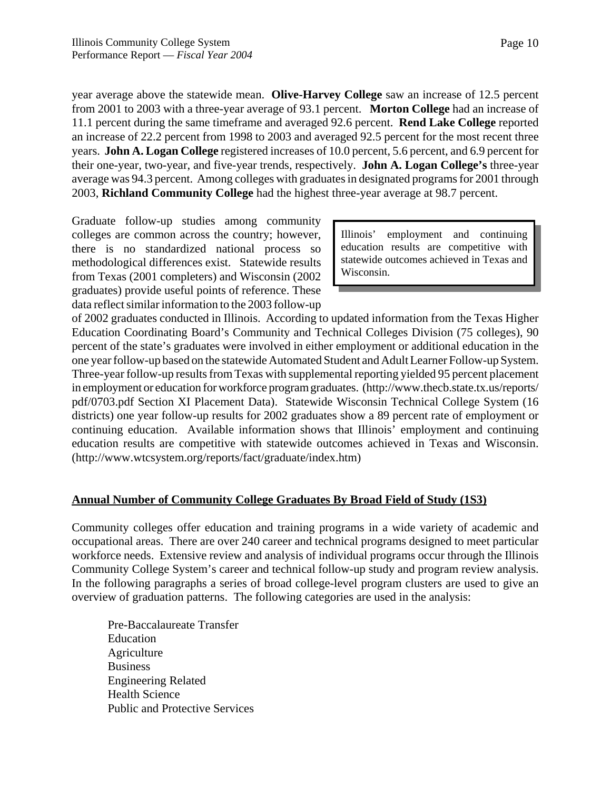year average above the statewide mean. **Olive-Harvey College** saw an increase of 12.5 percent from 2001 to 2003 with a three-year average of 93.1 percent. **Morton College** had an increase of 11.1 percent during the same timeframe and averaged 92.6 percent. **Rend Lake College** reported an increase of 22.2 percent from 1998 to 2003 and averaged 92.5 percent for the most recent three years. **John A. Logan College** registered increases of 10.0 percent, 5.6 percent, and 6.9 percent for their one-year, two-year, and five-year trends, respectively. **John A. Logan College's** three-year average was 94.3 percent. Among colleges with graduates in designated programs for 2001 through 2003, **Richland Community College** had the highest three-year average at 98.7 percent.

Graduate follow-up studies among community colleges are common across the country; however, there is no standardized national process so methodological differences exist. Statewide results from Texas (2001 completers) and Wisconsin (2002 graduates) provide useful points of reference. These data reflect similar information to the 2003 follow-up

Illinois' employment and continuing education results are competitive with statewide outcomes achieved in Texas and Wisconsin.

of 2002 graduates conducted in Illinois. According to updated information from the Texas Higher Education Coordinating Board's Community and Technical Colleges Division (75 colleges), 90 percent of the state's graduates were involved in either employment or additional education in the one year follow-up based on the statewide Automated Student and Adult Learner Follow-up System. Three-year follow-up results from Texas with supplemental reporting yielded 95 percent placement in employment or education for workforce program graduates. (http://www.thecb.state.tx.us/reports/ pdf/0703.pdf Section XI Placement Data). Statewide Wisconsin Technical College System (16 districts) one year follow-up results for 2002 graduates show a 89 percent rate of employment or continuing education. Available information shows that Illinois' employment and continuing education results are competitive with statewide outcomes achieved in Texas and Wisconsin. (http://www.wtcsystem.org/reports/fact/graduate/index.htm)

#### **Annual Number of Community College Graduates By Broad Field of Study (1S3)**

Community colleges offer education and training programs in a wide variety of academic and occupational areas. There are over 240 career and technical programs designed to meet particular workforce needs. Extensive review and analysis of individual programs occur through the Illinois Community College System's career and technical follow-up study and program review analysis. In the following paragraphs a series of broad college-level program clusters are used to give an overview of graduation patterns. The following categories are used in the analysis:

Pre-Baccalaureate Transfer Education **Agriculture** Business Engineering Related Health Science Public and Protective Services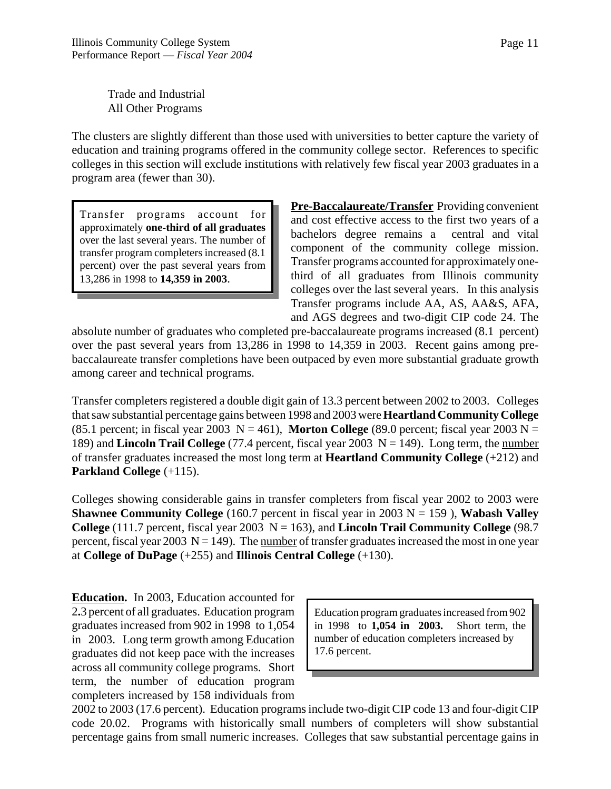Trade and Industrial All Other Programs

The clusters are slightly different than those used with universities to better capture the variety of education and training programs offered in the community college sector. References to specific colleges in this section will exclude institutions with relatively few fiscal year 2003 graduates in a program area (fewer than 30).

Transfer programs account for approximately **one-third of all graduates** over the last several years. The number of transfer program completers increased (8.1 percent) over the past several years from 13,286 in 1998 to **14,359 in 2003**.

**Pre-Baccalaureate/Transfer** Providing convenient and cost effective access to the first two years of a bachelors degree remains a central and vital component of the community college mission. Transfer programs accounted for approximately onethird of all graduates from Illinois community colleges over the last several years. In this analysis Transfer programs include AA, AS, AA&S, AFA, and AGS degrees and two-digit CIP code 24. The

absolute number of graduates who completed pre-baccalaureate programs increased (8.1 percent) over the past several years from 13,286 in 1998 to 14,359 in 2003. Recent gains among prebaccalaureate transfer completions have been outpaced by even more substantial graduate growth among career and technical programs.

Transfer completers registered a double digit gain of 13.3 percent between 2002 to 2003. Colleges that saw substantial percentage gains between 1998 and 2003 were **Heartland Community College** (85.1 percent; in fiscal year 2003  $N = 461$ ), **Morton College** (89.0 percent; fiscal year 2003 N = 189) and **Lincoln Trail College** (77.4 percent, fiscal year 2003 N = 149). Long term, the number of transfer graduates increased the most long term at **Heartland Community College** (+212) and **Parkland College** (+115).

Colleges showing considerable gains in transfer completers from fiscal year 2002 to 2003 were **Shawnee Community College** (160.7 percent in fiscal year in 2003  $N = 159$ ), **Wabash Valley College** (111.7 percent, fiscal year 2003  $N = 163$ ), and **Lincoln Trail Community College** (98.7) percent, fiscal year 2003  $N = 149$ ). The number of transfer graduates increased the most in one year at **College of DuPage** (+255) and **Illinois Central College** (+130).

**Education.** In 2003, Education accounted for 2**.**3 percent of all graduates. Education program graduates increased from 902 in 1998 to 1,054 in 2003. Long term growth among Education graduates did not keep pace with the increases across all community college programs. Short term, the number of education program completers increased by 158 individuals from

Education program graduates increased from 902 in 1998 to **1,054 in 2003.** Short term, the number of education completers increased by 17.6 percent.

2002 to 2003 (17.6 percent). Education programs include two-digit CIP code 13 and four-digit CIP code 20.02. Programs with historically small numbers of completers will show substantial percentage gains from small numeric increases. Colleges that saw substantial percentage gains in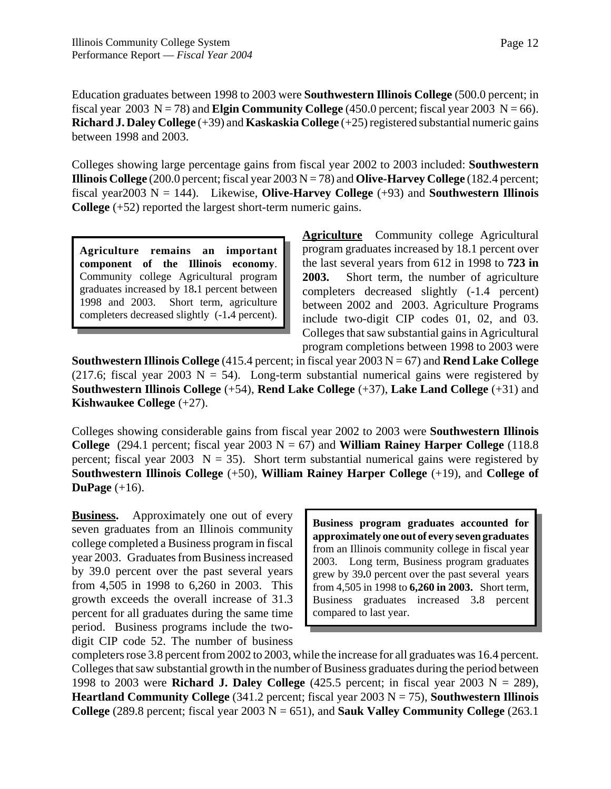Education graduates between 1998 to 2003 were **Southwestern Illinois College** (500.0 percent; in fiscal year 2003  $N = 78$ ) and **Elgin Community College** (450.0 percent; fiscal year 2003  $N = 66$ ). **Richard J. Daley College** (+39) and **Kaskaskia College** (+25) registered substantial numeric gains between 1998 and 2003.

Colleges showing large percentage gains from fiscal year 2002 to 2003 included: **Southwestern Illinois College** (200.0 percent; fiscal year 2003  $N = 78$ ) and **Olive-Harvey College** (182.4 percent; fiscal year2003 N = 144). Likewise, **Olive-Harvey College** (+93) and **Southwestern Illinois College** (+52) reported the largest short-term numeric gains.

**Agriculture remains an important component of the Illinois economy**. Community college Agricultural program graduates increased by 18**.**1 percent between 1998 and 2003. Short term, agriculture completers decreased slightly (-1**.**4 percent).

**Agriculture** Community college Agricultural program graduates increased by 18.1 percent over the last several years from 612 in 1998 to **723 in 2003.** Short term, the number of agriculture completers decreased slightly (-1.4 percent) between 2002 and 2003. Agriculture Programs include two-digit CIP codes 01, 02, and 03. Colleges that saw substantial gains in Agricultural program completions between 1998 to 2003 were

**Southwestern Illinois College** (415.4 percent; in fiscal year  $2003 \text{ N} = 67$ ) and **Rend Lake College** (217.6; fiscal year 2003 N = 54). Long-term substantial numerical gains were registered by **Southwestern Illinois College** (+54), **Rend Lake College** (+37), **Lake Land College** (+31) and **Kishwaukee College** (+27).

Colleges showing considerable gains from fiscal year 2002 to 2003 were **Southwestern Illinois College** (294.1 percent; fiscal year 2003  $N = 67$ ) and **William Rainey Harper College** (118.8) percent; fiscal year 2003  $N = 35$ ). Short term substantial numerical gains were registered by **Southwestern Illinois College** (+50), **William Rainey Harper College** (+19), and **College of DuPage** (+16).

**Business.** Approximately one out of every seven graduates from an Illinois community college completed a Business program in fiscal year 2003. Graduates from Business increased by 39.0 percent over the past several years from 4,505 in 1998 to 6,260 in 2003. This growth exceeds the overall increase of 31.3 percent for all graduates during the same time period. Business programs include the twodigit CIP code 52. The number of business

**Business program graduates accounted for approximately one out of every seven graduates** from an Illinois community college in fiscal year 2003. Long term, Business program graduates grew by 39**.**0 percent over the past several years from 4,505 in 1998 to **6,260 in 2003.** Short term, Business graduates increased 3**.**8 percent compared to last year.

completers rose 3.8 percent from 2002 to 2003, while the increase for all graduates was 16.4 percent. Colleges that saw substantial growth in the number of Business graduates during the period between 1998 to 2003 were **Richard J. Daley College** (425.5 percent; in fiscal year 2003 N = 289), **Heartland Community College** (341.2 percent; fiscal year 2003 N = 75), **Southwestern Illinois College** (289.8 percent; fiscal year  $2003 \text{ N} = 651$ ), and **Sauk Valley Community College** (263.1)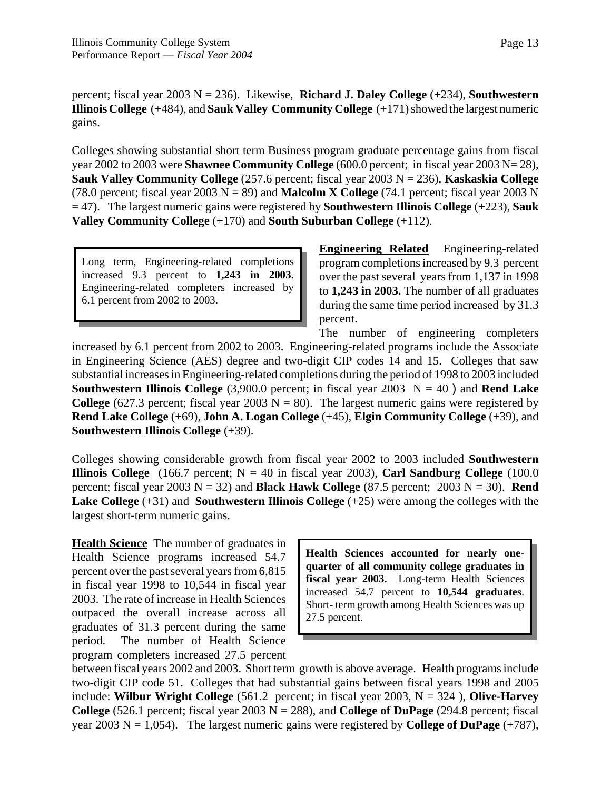percent; fiscal year 2003 N = 236). Likewise, **Richard J. Daley College** (+234), **Southwestern Illinois College** (+484), and **Sauk Valley Community College** (+171) showed the largest numeric gains.

Colleges showing substantial short term Business program graduate percentage gains from fiscal year 2002 to 2003 were **Shawnee Community College** (600.0 percent; in fiscal year 2003 N= 28), **Sauk Valley Community College** (257.6 percent; fiscal year 2003 N = 236), **Kaskaskia College** (78.0 percent; fiscal year  $2003 \text{ N} = 89$ ) and **Malcolm X College** (74.1 percent; fiscal year 2003 N = 47). The largest numeric gains were registered by **Southwestern Illinois College** (+223), **Sauk Valley Community College** (+170) and **South Suburban College** (+112).

Long term, Engineering-related completions increased 9.3 percent to **1,243 in 2003.** Engineering-related completers increased by 6.1 percent from 2002 to 2003.

**Engineering Related** Engineering-related program completions increased by 9.3 percent over the past several years from 1,137 in 1998 to **1,243 in 2003.** The number of all graduates during the same time period increased by 31.3 percent.

The number of engineering completers increased by 6.1 percent from 2002 to 2003. Engineering-related programs include the Associate in Engineering Science (AES) degree and two-digit CIP codes 14 and 15. Colleges that saw substantial increases in Engineering-related completions during the period of 1998 to 2003 included **Southwestern Illinois College** (3,900.0 percent; in fiscal year 2003  $N = 40$ ) and **Rend Lake College** (627.3 percent; fiscal year 2003  $N = 80$ ). The largest numeric gains were registered by **Rend Lake College** (+69), **John A. Logan College** (+45), **Elgin Community College** (+39), and **Southwestern Illinois College** (+39).

Colleges showing considerable growth from fiscal year 2002 to 2003 included **Southwestern Illinois College** (166.7 percent;  $N = 40$  in fiscal year 2003), **Carl Sandburg College** (100.0) percent; fiscal year 2003  $N = 32$ ) and **Black Hawk College** (87.5 percent; 2003  $N = 30$ ). **Rend Lake College** (+31) and **Southwestern Illinois College** (+25) were among the colleges with the largest short-term numeric gains.

**Health Science** The number of graduates in Health Science programs increased 54.7 percent over the past several years from 6,815 in fiscal year 1998 to 10,544 in fiscal year 2003. The rate of increase in Health Sciences outpaced the overall increase across all graduates of 31.3 percent during the same period. The number of Health Science program completers increased 27.5 percent

**Health Sciences accounted for nearly onequarter of all community college graduates in fiscal year 2003.** Long-term Health Sciences increased 54.7 percent to **10,544 graduates**. Short- term growth among Health Sciences was up 27.5 percent.

between fiscal years 2002 and 2003. Short term growth is above average. Health programs include two-digit CIP code 51. Colleges that had substantial gains between fiscal years 1998 and 2005 include: **Wilbur Wright College** (561.2 percent; in fiscal year 2003, N = 324 ), **Olive-Harvey College** (526.1 percent; fiscal year 2003  $N = 288$ ), and **College of DuPage** (294.8 percent; fiscal year 2003 N = 1,054). The largest numeric gains were registered by **College of DuPage**  $(+787)$ ,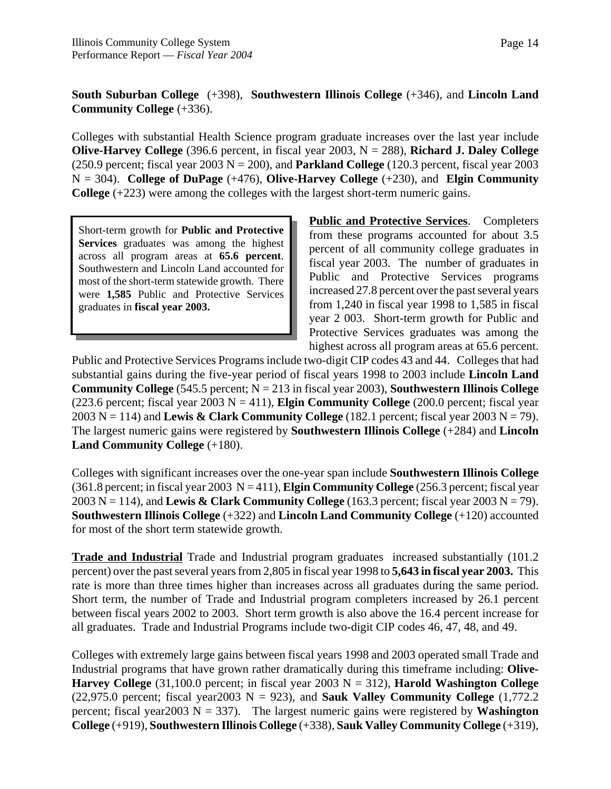# **South Suburban College** (+398), **Southwestern Illinois College** (+346), and **Lincoln Land Community College** (+336).

Colleges with substantial Health Science program graduate increases over the last year include **Olive-Harvey College** (396.6 percent, in fiscal year 2003, N = 288), **Richard J. Daley College** (250.9 percent; fiscal year 2003  $N = 200$ ), and **Parkland College** (120.3 percent, fiscal year 2003  $N = 304$ ). **College of DuPage** (+476), **Olive-Harvey College** (+230), and **Elgin Community College** (+223) were among the colleges with the largest short-term numeric gains.

Short-term growth for **Public and Protective Services** graduates was among the highest across all program areas at **65.6 percent**. Southwestern and Lincoln Land accounted for most of the short-term statewide growth. There were **1,585** Public and Protective Services graduates in **fiscal year 2003.**

**Public and Protective Services**. Completers from these programs accounted for about 3.5 percent of all community college graduates in fiscal year 2003. The number of graduates in Public and Protective Services programs increased 27.8 percent over the past several years from 1,240 in fiscal year 1998 to 1,585 in fiscal year 2 003. Short-term growth for Public and Protective Services graduates was among the highest across all program areas at 65.6 percent.

Public and Protective Services Programs include two-digit CIP codes 43 and 44. Colleges that had substantial gains during the five-year period of fiscal years 1998 to 2003 include **Lincoln Land Community College** (545.5 percent; N = 213 in fiscal year 2003), **Southwestern Illinois College** (223.6 percent; fiscal year  $2003 \text{ N} = 411$ ), **Elgin Community College** (200.0 percent; fiscal year 2003 N = 114) and **Lewis & Clark Community College** (182.1 percent; fiscal year 2003 N = 79). The largest numeric gains were registered by **Southwestern Illinois College** (+284) and **Lincoln Land Community College** (+180).

Colleges with significant increases over the one-year span include **Southwestern Illinois College** (361.8 percent; in fiscal year 2003 N = 411), **Elgin Community College** (256.3 percent; fiscal year 2003 N = 114), and **Lewis & Clark Community College** (163.3 percent; fiscal year 2003 N = 79). **Southwestern Illinois College** (+322) and **Lincoln Land Community College** (+120) accounted for most of the short term statewide growth.

**Trade and Industrial** Trade and Industrial program graduates increased substantially (101.2 percent) over the past several years from 2,805 in fiscal year 1998 to **5,643 in fiscal year 2003.** This rate is more than three times higher than increases across all graduates during the same period. Short term, the number of Trade and Industrial program completers increased by 26.1 percent between fiscal years 2002 to 2003. Short term growth is also above the 16.4 percent increase for all graduates. Trade and Industrial Programs include two-digit CIP codes 46, 47, 48, and 49.

Colleges with extremely large gains between fiscal years 1998 and 2003 operated small Trade and Industrial programs that have grown rather dramatically during this timeframe including: **Olive-Harvey College**  $(31,100.0$  percent; in fiscal year 2003 N = 312), **Harold Washington College** (22,975.0 percent; fiscal year2003  $N = 923$ ), and **Sauk Valley Community College**  $(1,772.2)$ percent; fiscal year2003  $N = 337$ ). The largest numeric gains were registered by **Washington College** (+919), **Southwestern Illinois College** (+338), **Sauk Valley Community College** (+319),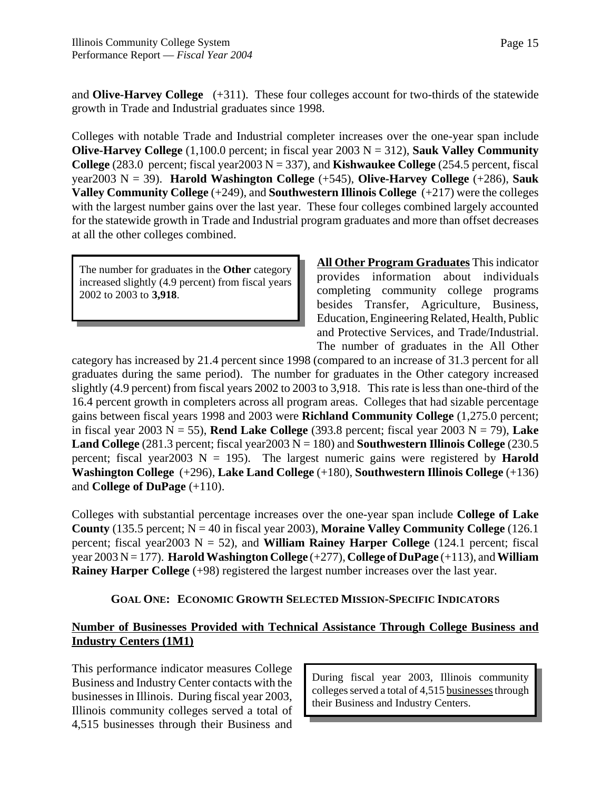and **Olive-Harvey College** (+311). These four colleges account for two-thirds of the statewide growth in Trade and Industrial graduates since 1998.

Colleges with notable Trade and Industrial completer increases over the one-year span include **Olive-Harvey College** (1,100.0 percent; in fiscal year 2003 N = 312), **Sauk Valley Community College**  $(283.0 \text{ percent}; \text{fiscal year2003 N} = 337)$ , and **Kishwaukee College**  $(254.5 \text{ percent}, \text{fiscal})$ year2003 N = 39). **Harold Washington College** (+545), **Olive-Harvey College** (+286), **Sauk Valley Community College** (+249), and **Southwestern Illinois College** (+217) were the colleges with the largest number gains over the last year. These four colleges combined largely accounted for the statewide growth in Trade and Industrial program graduates and more than offset decreases at all the other colleges combined.

The number for graduates in the **Other** category increased slightly (4.9 percent) from fiscal years 2002 to 2003 to **3,918**.

**All Other Program Graduates** This indicator provides information about individuals completing community college programs besides Transfer, Agriculture, Business, Education, Engineering Related, Health, Public and Protective Services, and Trade/Industrial. The number of graduates in the All Other

category has increased by 21.4 percent since 1998 (compared to an increase of 31.3 percent for all graduates during the same period). The number for graduates in the Other category increased slightly (4.9 percent) from fiscal years 2002 to 2003 to 3,918. This rate is less than one-third of the 16.4 percent growth in completers across all program areas. Colleges that had sizable percentage gains between fiscal years 1998 and 2003 were **Richland Community College** (1,275.0 percent; in fiscal year 2003  $N = 55$ ), **Rend Lake College** (393.8 percent; fiscal year 2003  $N = 79$ ), **Lake Land College** (281.3 percent; fiscal year  $2003 \text{ N} = 180$ ) and **Southwestern Illinois College** (230.5) percent; fiscal year2003  $N = 195$ ). The largest numeric gains were registered by **Harold Washington College** (+296), **Lake Land College** (+180), **Southwestern Illinois College** (+136) and **College of DuPage** (+110).

Colleges with substantial percentage increases over the one-year span include **College of Lake County** (135.5 percent;  $N = 40$  in fiscal year 2003), **Moraine Valley Community College** (126.1) percent; fiscal year2003  $N = 52$ ), and **William Rainey Harper College** (124.1 percent; fiscal year 2003 N = 177). **HaroldWashington College** (+277), **College of DuPage** (+113), and **William Rainey Harper College** (+98) registered the largest number increases over the last year.

# **GOAL ONE: ECONOMIC GROWTH SELECTED MISSION-SPECIFIC INDICATORS**

# **Number of Businesses Provided with Technical Assistance Through College Business and Industry Centers (1M1)**

This performance indicator measures College Business and Industry Center contacts with the businesses in Illinois. During fiscal year 2003, Illinois community colleges served a total of 4,515 businesses through their Business and

During fiscal year 2003, Illinois community colleges served a total of 4,515 businesses through their Business and Industry Centers.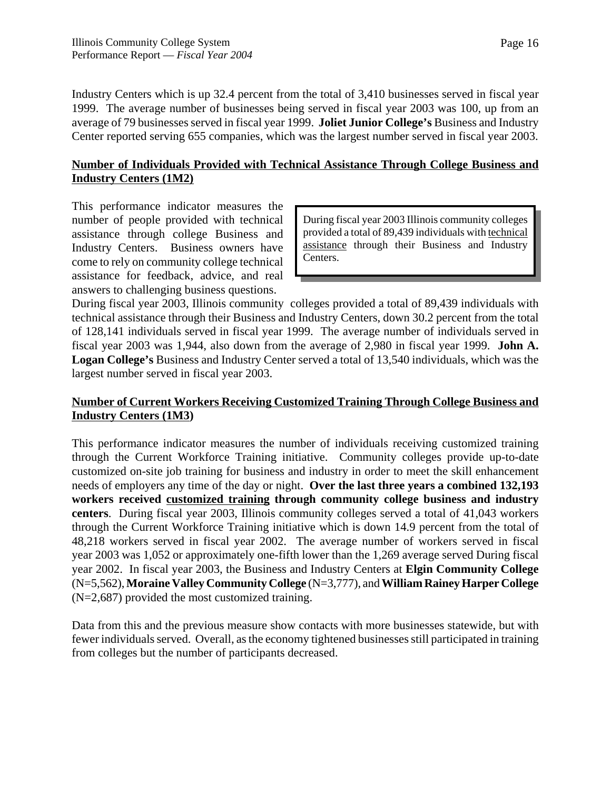Industry Centers which is up 32.4 percent from the total of 3,410 businesses served in fiscal year 1999. The average number of businesses being served in fiscal year 2003 was 100, up from an average of 79 businesses served in fiscal year 1999. **Joliet Junior College's** Business and Industry Center reported serving 655 companies, which was the largest number served in fiscal year 2003.

# **Number of Individuals Provided with Technical Assistance Through College Business and Industry Centers (1M2)**

This performance indicator measures the number of people provided with technical assistance through college Business and Industry Centers. Business owners have come to rely on community college technical assistance for feedback, advice, and real answers to challenging business questions.

During fiscal year 2003 Illinois community colleges provided a total of 89,439 individuals with technical assistance through their Business and Industry Centers.

During fiscal year 2003, Illinois community colleges provided a total of 89,439 individuals with technical assistance through their Business and Industry Centers, down 30.2 percent from the total of 128,141 individuals served in fiscal year 1999. The average number of individuals served in fiscal year 2003 was 1,944, also down from the average of 2,980 in fiscal year 1999. **John A. Logan College's** Business and Industry Center served a total of 13,540 individuals, which was the largest number served in fiscal year 2003.

# **Number of Current Workers Receiving Customized Training Through College Business and Industry Centers (1M3)**

This performance indicator measures the number of individuals receiving customized training through the Current Workforce Training initiative. Community colleges provide up-to-date customized on-site job training for business and industry in order to meet the skill enhancement needs of employers any time of the day or night. **Over the last three years a combined 132,193 workers received customized training through community college business and industry centers**. During fiscal year 2003, Illinois community colleges served a total of 41,043 workers through the Current Workforce Training initiative which is down 14.9 percent from the total of 48,218 workers served in fiscal year 2002. The average number of workers served in fiscal year 2003 was 1,052 or approximately one-fifth lower than the 1,269 average served During fiscal year 2002. In fiscal year 2003, the Business and Industry Centers at **Elgin Community College** (N=5,562), **Moraine Valley Community College** (N=3,777), and **William Rainey Harper College** (N=2,687) provided the most customized training.

Data from this and the previous measure show contacts with more businesses statewide, but with fewer individuals served. Overall, as the economy tightened businesses still participated in training from colleges but the number of participants decreased.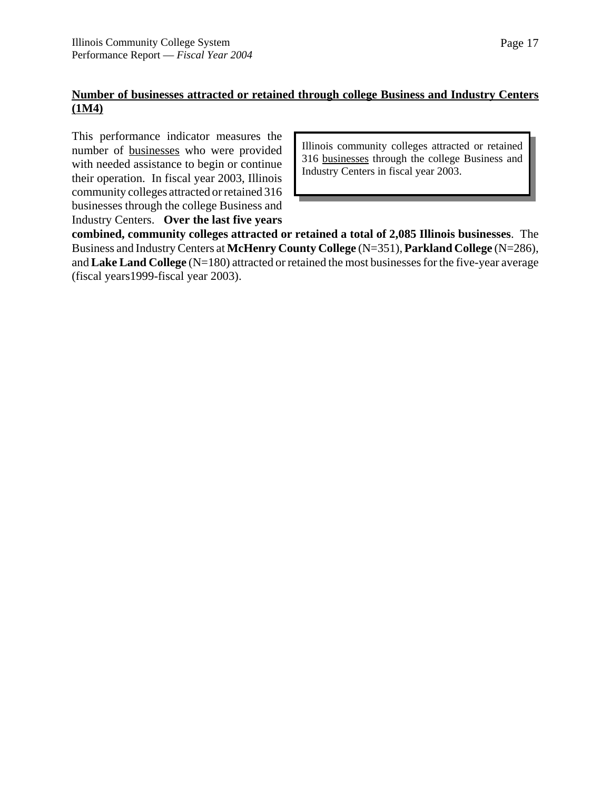# **Number of businesses attracted or retained through college Business and Industry Centers (1M4)**

This performance indicator measures the number of businesses who were provided with needed assistance to begin or continue their operation. In fiscal year 2003, Illinois community colleges attracted or retained 316 businesses through the college Business and Industry Centers. **Over the last five years**

Illinois community colleges attracted or retained 316 businesses through the college Business and Industry Centers in fiscal year 2003.

**combined, community colleges attracted or retained a total of 2,085 Illinois businesses**. The Business and Industry Centers at **McHenry County College** (N=351), **Parkland College** (N=286), and **Lake Land College** (N=180) attracted or retained the most businesses for the five-year average (fiscal years1999-fiscal year 2003).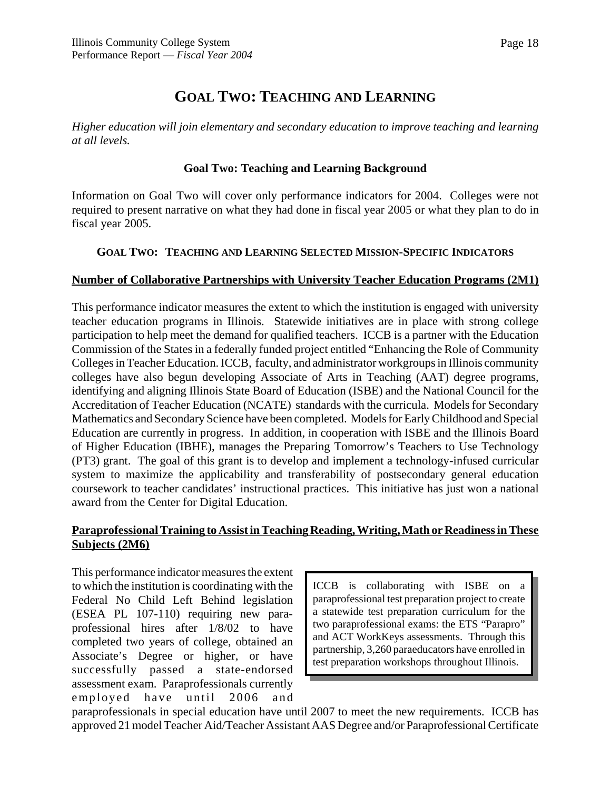# **GOAL TWO: TEACHING AND LEARNING**

*Higher education will join elementary and secondary education to improve teaching and learning at all levels.*

# **Goal Two: Teaching and Learning Background**

Information on Goal Two will cover only performance indicators for 2004. Colleges were not required to present narrative on what they had done in fiscal year 2005 or what they plan to do in fiscal year 2005.

## **GOAL TWO: TEACHING AND LEARNING SELECTED MISSION-SPECIFIC INDICATORS**

#### **Number of Collaborative Partnerships with University Teacher Education Programs (2M1)**

This performance indicator measures the extent to which the institution is engaged with university teacher education programs in Illinois. Statewide initiatives are in place with strong college participation to help meet the demand for qualified teachers. ICCB is a partner with the Education Commission of the States in a federally funded project entitled "Enhancing the Role of Community Colleges in Teacher Education. ICCB, faculty, and administrator workgroups in Illinois community colleges have also begun developing Associate of Arts in Teaching (AAT) degree programs, identifying and aligning Illinois State Board of Education (ISBE) and the National Council for the Accreditation of Teacher Education (NCATE) standards with the curricula. Models for Secondary Mathematics and Secondary Science have been completed. Models for Early Childhood and Special Education are currently in progress. In addition, in cooperation with ISBE and the Illinois Board of Higher Education (IBHE), manages the Preparing Tomorrow's Teachers to Use Technology (PT3) grant. The goal of this grant is to develop and implement a technology-infused curricular system to maximize the applicability and transferability of postsecondary general education coursework to teacher candidates' instructional practices. This initiative has just won a national award from the Center for Digital Education.

# **Paraprofessional Training to Assist in Teaching Reading, Writing, Math or Readiness in These Subjects (2M6)**

This performance indicator measures the extent to which the institution is coordinating with the Federal No Child Left Behind legislation (ESEA PL 107-110) requiring new paraprofessional hires after 1/8/02 to have completed two years of college, obtained an Associate's Degree or higher, or have successfully passed a state-endorsed assessment exam. Paraprofessionals currently employed have until 2006 and

ICCB is collaborating with ISBE on a paraprofessional test preparation project to create a statewide test preparation curriculum for the two paraprofessional exams: the ETS "Parapro" and ACT WorkKeys assessments. Through this partnership, 3,260 paraeducators have enrolled in test preparation workshops throughout Illinois.

paraprofessionals in special education have until 2007 to meet the new requirements. ICCB has approved 21 model Teacher Aid/Teacher Assistant AAS Degree and/or Paraprofessional Certificate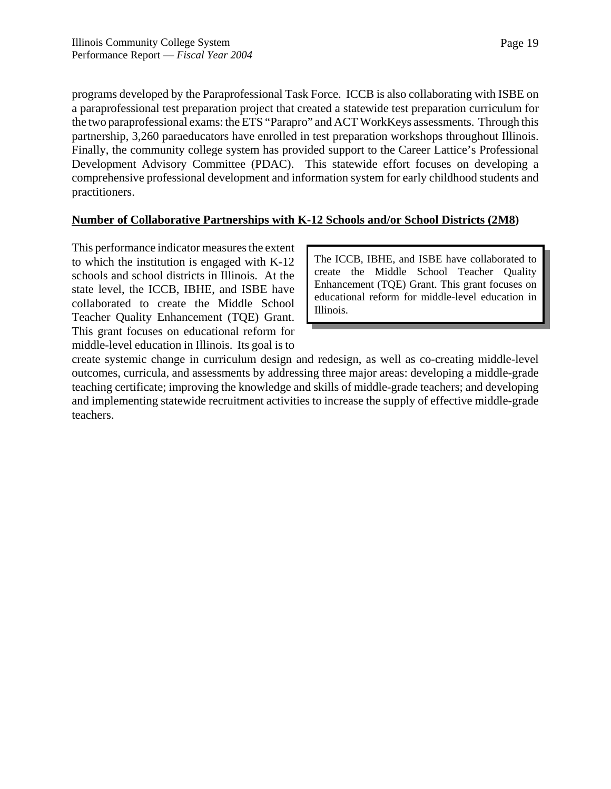programs developed by the Paraprofessional Task Force. ICCB is also collaborating with ISBE on a paraprofessional test preparation project that created a statewide test preparation curriculum for the two paraprofessional exams: the ETS "Parapro" and ACT WorkKeys assessments. Through this partnership, 3,260 paraeducators have enrolled in test preparation workshops throughout Illinois. Finally, the community college system has provided support to the Career Lattice's Professional Development Advisory Committee (PDAC). This statewide effort focuses on developing a comprehensive professional development and information system for early childhood students and practitioners.

# **Number of Collaborative Partnerships with K-12 Schools and/or School Districts (2M8)**

This performance indicator measures the extent to which the institution is engaged with K-12 schools and school districts in Illinois. At the state level, the ICCB, IBHE, and ISBE have collaborated to create the Middle School Teacher Quality Enhancement (TQE) Grant. This grant focuses on educational reform for middle-level education in Illinois. Its goal is to

The ICCB, IBHE, and ISBE have collaborated to create the Middle School Teacher Quality Enhancement (TQE) Grant. This grant focuses on educational reform for middle-level education in Illinois.

create systemic change in curriculum design and redesign, as well as co-creating middle-level outcomes, curricula, and assessments by addressing three major areas: developing a middle-grade teaching certificate; improving the knowledge and skills of middle-grade teachers; and developing and implementing statewide recruitment activities to increase the supply of effective middle-grade teachers.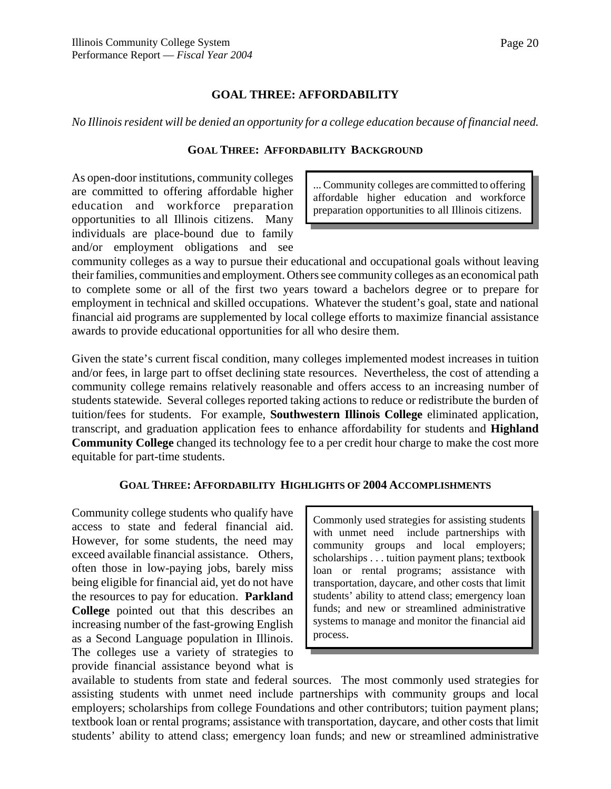#### **GOAL THREE: AFFORDABILITY**

*No Illinois resident will be denied an opportunity for a college education because of financial need.*

#### **GOAL THREE: AFFORDABILITY BACKGROUND**

As open-door institutions, community colleges are committed to offering affordable higher education and workforce preparation opportunities to all Illinois citizens. Many individuals are place-bound due to family and/or employment obligations and see

... Community colleges are committed to offering affordable higher education and workforce preparation opportunities to all Illinois citizens.

community colleges as a way to pursue their educational and occupational goals without leaving their families, communities and employment. Others see community colleges as an economical path to complete some or all of the first two years toward a bachelors degree or to prepare for employment in technical and skilled occupations. Whatever the student's goal, state and national financial aid programs are supplemented by local college efforts to maximize financial assistance awards to provide educational opportunities for all who desire them.

Given the state's current fiscal condition, many colleges implemented modest increases in tuition and/or fees, in large part to offset declining state resources. Nevertheless, the cost of attending a community college remains relatively reasonable and offers access to an increasing number of students statewide. Several colleges reported taking actions to reduce or redistribute the burden of tuition/fees for students. For example, **Southwestern Illinois College** eliminated application, transcript, and graduation application fees to enhance affordability for students and **Highland Community College** changed its technology fee to a per credit hour charge to make the cost more equitable for part-time students.

#### **GOAL THREE: AFFORDABILITY HIGHLIGHTS OF 2004 ACCOMPLISHMENTS**

Community college students who qualify have access to state and federal financial aid. However, for some students, the need may exceed available financial assistance. Others, often those in low-paying jobs, barely miss being eligible for financial aid, yet do not have the resources to pay for education. **Parkland College** pointed out that this describes an increasing number of the fast-growing English as a Second Language population in Illinois. The colleges use a variety of strategies to provide financial assistance beyond what is

Commonly used strategies for assisting students with unmet need include partnerships with community groups and local employers; scholarships . . . tuition payment plans; textbook loan or rental programs; assistance with transportation, daycare, and other costs that limit students' ability to attend class; emergency loan funds; and new or streamlined administrative systems to manage and monitor the financial aid process.

available to students from state and federal sources. The most commonly used strategies for assisting students with unmet need include partnerships with community groups and local employers; scholarships from college Foundations and other contributors; tuition payment plans; textbook loan or rental programs; assistance with transportation, daycare, and other costs that limit students' ability to attend class; emergency loan funds; and new or streamlined administrative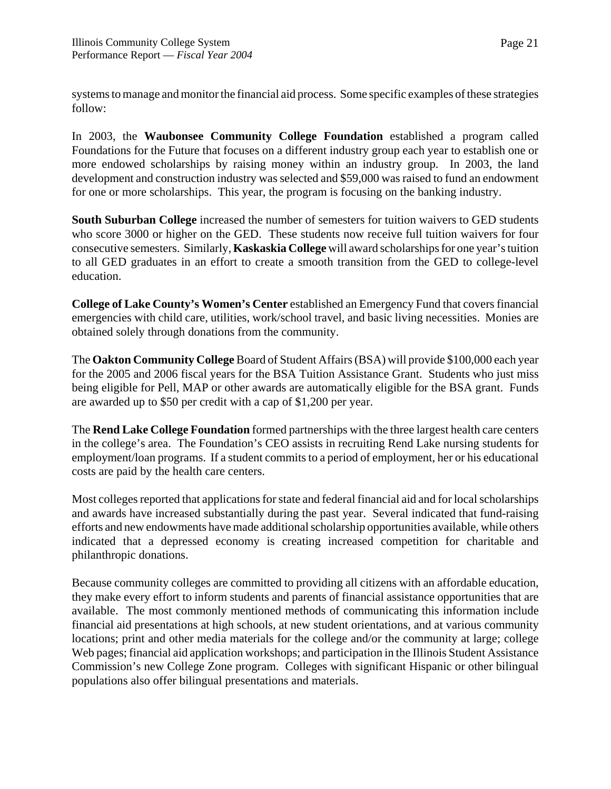systems to manage and monitor the financial aid process. Some specific examples of these strategies follow:

In 2003, the **Waubonsee Community College Foundation** established a program called Foundations for the Future that focuses on a different industry group each year to establish one or more endowed scholarships by raising money within an industry group. In 2003, the land development and construction industry was selected and \$59,000 was raised to fund an endowment for one or more scholarships. This year, the program is focusing on the banking industry.

**South Suburban College** increased the number of semesters for tuition waivers to GED students who score 3000 or higher on the GED. These students now receive full tuition waivers for four consecutive semesters. Similarly, **Kaskaskia College** will award scholarships for one year's tuition to all GED graduates in an effort to create a smooth transition from the GED to college-level education.

**College of Lake County's Women's Center** established an Emergency Fund that covers financial emergencies with child care, utilities, work/school travel, and basic living necessities. Monies are obtained solely through donations from the community.

The **Oakton Community College** Board of Student Affairs (BSA) will provide \$100,000 each year for the 2005 and 2006 fiscal years for the BSA Tuition Assistance Grant. Students who just miss being eligible for Pell, MAP or other awards are automatically eligible for the BSA grant. Funds are awarded up to \$50 per credit with a cap of \$1,200 per year.

The **Rend Lake College Foundation** formed partnerships with the three largest health care centers in the college's area. The Foundation's CEO assists in recruiting Rend Lake nursing students for employment/loan programs. If a student commits to a period of employment, her or his educational costs are paid by the health care centers.

Most colleges reported that applications for state and federal financial aid and for local scholarships and awards have increased substantially during the past year. Several indicated that fund-raising efforts and new endowments have made additional scholarship opportunities available, while others indicated that a depressed economy is creating increased competition for charitable and philanthropic donations.

Because community colleges are committed to providing all citizens with an affordable education, they make every effort to inform students and parents of financial assistance opportunities that are available. The most commonly mentioned methods of communicating this information include financial aid presentations at high schools, at new student orientations, and at various community locations; print and other media materials for the college and/or the community at large; college Web pages; financial aid application workshops; and participation in the Illinois Student Assistance Commission's new College Zone program. Colleges with significant Hispanic or other bilingual populations also offer bilingual presentations and materials.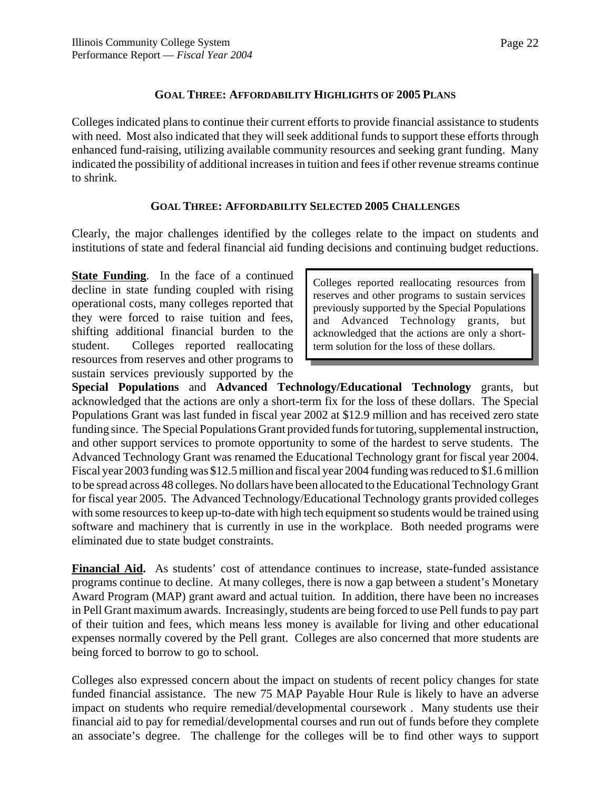#### **GOAL THREE: AFFORDABILITY HIGHLIGHTS OF 2005 PLANS**

Colleges indicated plans to continue their current efforts to provide financial assistance to students with need. Most also indicated that they will seek additional funds to support these efforts through enhanced fund-raising, utilizing available community resources and seeking grant funding. Many indicated the possibility of additional increases in tuition and fees if other revenue streams continue to shrink.

#### **GOAL THREE: AFFORDABILITY SELECTED 2005 CHALLENGES**

Clearly, the major challenges identified by the colleges relate to the impact on students and institutions of state and federal financial aid funding decisions and continuing budget reductions.

**State Funding.** In the face of a continued decline in state funding coupled with rising operational costs, many colleges reported that they were forced to raise tuition and fees, shifting additional financial burden to the student. Colleges reported reallocating resources from reserves and other programs to sustain services previously supported by the

Colleges reported reallocating resources from reserves and other programs to sustain services previously supported by the Special Populations and Advanced Technology grants, but acknowledged that the actions are only a shortterm solution for the loss of these dollars.

**Special Populations** and **Advanced Technology/Educational Technology** grants, but acknowledged that the actions are only a short-term fix for the loss of these dollars. The Special Populations Grant was last funded in fiscal year 2002 at \$12.9 million and has received zero state funding since. The Special Populations Grant provided funds for tutoring, supplemental instruction, and other support services to promote opportunity to some of the hardest to serve students. The Advanced Technology Grant was renamed the Educational Technology grant for fiscal year 2004. Fiscal year 2003 funding was \$12.5 million and fiscal year 2004 funding was reduced to \$1.6 million to be spread across 48 colleges. No dollars have been allocated to the Educational Technology Grant for fiscal year 2005. The Advanced Technology/Educational Technology grants provided colleges with some resources to keep up-to-date with high tech equipment so students would be trained using software and machinery that is currently in use in the workplace. Both needed programs were eliminated due to state budget constraints.

**Financial Aid.** As students' cost of attendance continues to increase, state-funded assistance programs continue to decline. At many colleges, there is now a gap between a student's Monetary Award Program (MAP) grant award and actual tuition. In addition, there have been no increases in Pell Grant maximum awards. Increasingly, students are being forced to use Pell funds to pay part of their tuition and fees, which means less money is available for living and other educational expenses normally covered by the Pell grant. Colleges are also concerned that more students are being forced to borrow to go to school.

Colleges also expressed concern about the impact on students of recent policy changes for state funded financial assistance. The new 75 MAP Payable Hour Rule is likely to have an adverse impact on students who require remedial/developmental coursework . Many students use their financial aid to pay for remedial/developmental courses and run out of funds before they complete an associate's degree. The challenge for the colleges will be to find other ways to support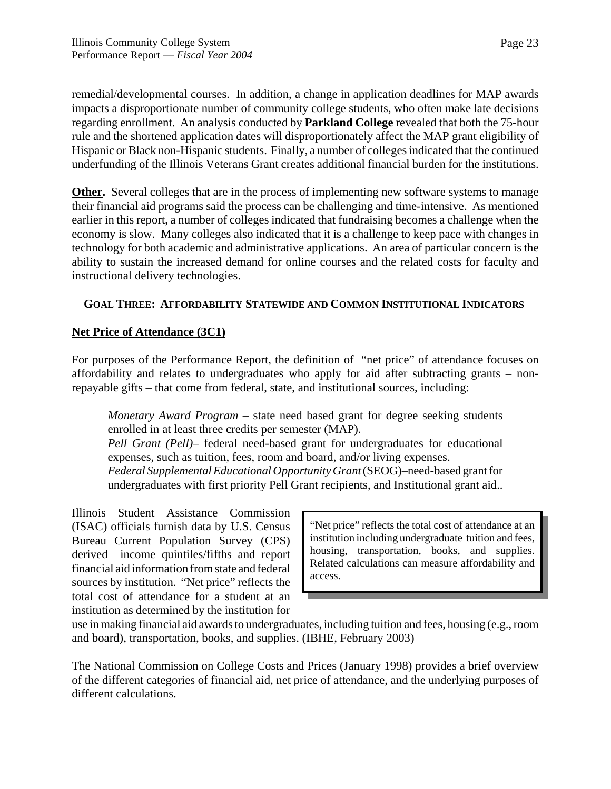remedial/developmental courses. In addition, a change in application deadlines for MAP awards impacts a disproportionate number of community college students, who often make late decisions regarding enrollment. An analysis conducted by **Parkland College** revealed that both the 75-hour rule and the shortened application dates will disproportionately affect the MAP grant eligibility of Hispanic or Black non-Hispanic students. Finally, a number of colleges indicated that the continued underfunding of the Illinois Veterans Grant creates additional financial burden for the institutions.

**Other.** Several colleges that are in the process of implementing new software systems to manage their financial aid programs said the process can be challenging and time-intensive. As mentioned earlier in this report, a number of colleges indicated that fundraising becomes a challenge when the economy is slow. Many colleges also indicated that it is a challenge to keep pace with changes in technology for both academic and administrative applications. An area of particular concern is the ability to sustain the increased demand for online courses and the related costs for faculty and instructional delivery technologies.

# **GOAL THREE: AFFORDABILITY STATEWIDE AND COMMON INSTITUTIONAL INDICATORS**

## **Net Price of Attendance (3C1)**

For purposes of the Performance Report, the definition of "net price" of attendance focuses on affordability and relates to undergraduates who apply for aid after subtracting grants – nonrepayable gifts – that come from federal, state, and institutional sources, including:

*Monetary Award Program* – state need based grant for degree seeking students enrolled in at least three credits per semester (MAP).

*Pell Grant (Pell)*– federal need-based grant for undergraduates for educational expenses, such as tuition, fees, room and board, and/or living expenses. *Federal Supplemental Educational Opportunity Grant* (SEOG)–need-based grant for undergraduates with first priority Pell Grant recipients, and Institutional grant aid..

Illinois Student Assistance Commission (ISAC) officials furnish data by U.S. Census Bureau Current Population Survey (CPS) derived income quintiles/fifths and report financial aid information from state and federal sources by institution. "Net price" reflects the total cost of attendance for a student at an institution as determined by the institution for

"Net price" reflects the total cost of attendance at an institution including undergraduate tuition and fees, housing, transportation, books, and supplies. Related calculations can measure affordability and access.

use in making financial aid awards to undergraduates, including tuition and fees, housing (e.g., room and board), transportation, books, and supplies. (IBHE, February 2003)

The National Commission on College Costs and Prices (January 1998) provides a brief overview of the different categories of financial aid, net price of attendance, and the underlying purposes of different calculations.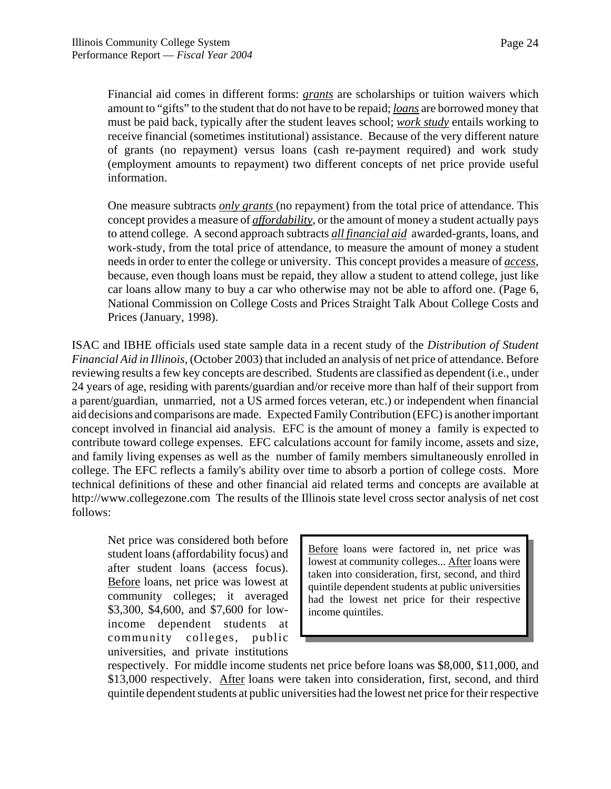Financial aid comes in different forms: *grants* are scholarships or tuition waivers which amount to "gifts" to the student that do not have to be repaid; *loans* are borrowed money that must be paid back, typically after the student leaves school; *work study* entails working to receive financial (sometimes institutional) assistance. Because of the very different nature of grants (no repayment) versus loans (cash re-payment required) and work study (employment amounts to repayment) two different concepts of net price provide useful information.

One measure subtracts *only grants* (no repayment) from the total price of attendance. This concept provides a measure of *affordability*, or the amount of money a student actually pays to attend college. A second approach subtracts *all financial aid* awarded-grants, loans, and work-study, from the total price of attendance, to measure the amount of money a student needs in order to enter the college or university. This concept provides a measure of *access*, because, even though loans must be repaid, they allow a student to attend college, just like car loans allow many to buy a car who otherwise may not be able to afford one. (Page 6, National Commission on College Costs and Prices Straight Talk About College Costs and Prices (January, 1998).

ISAC and IBHE officials used state sample data in a recent study of the *Distribution of Student Financial Aid in Illinois*, (October 2003) that included an analysis of net price of attendance. Before reviewing results a few key concepts are described. Students are classified as dependent (i.e., under 24 years of age, residing with parents/guardian and/or receive more than half of their support from a parent/guardian, unmarried, not a US armed forces veteran, etc.) or independent when financial aid decisions and comparisons are made. Expected Family Contribution (EFC) is another important concept involved in financial aid analysis. EFC is the amount of money a family is expected to contribute toward college expenses. EFC calculations account for family income, assets and size, and family living expenses as well as the number of family members simultaneously enrolled in college. The EFC reflects a family's ability over time to absorb a portion of college costs. More technical definitions of these and other financial aid related terms and concepts are available at http://www.collegezone.com The results of the Illinois state level cross sector analysis of net cost follows:

Net price was considered both before student loans (affordability focus) and after student loans (access focus). Before loans, net price was lowest at community colleges; it averaged \$3,300, \$4,600, and \$7,600 for lowincome dependent students at community colleges, public universities, and private institutions

Before loans were factored in, net price was lowest at community colleges... After loans were taken into consideration, first, second, and third quintile dependent students at public universities had the lowest net price for their respective income quintiles.

respectively. For middle income students net price before loans was \$8,000, \$11,000, and \$13,000 respectively. After loans were taken into consideration, first, second, and third quintile dependent students at public universities had the lowest net price for their respective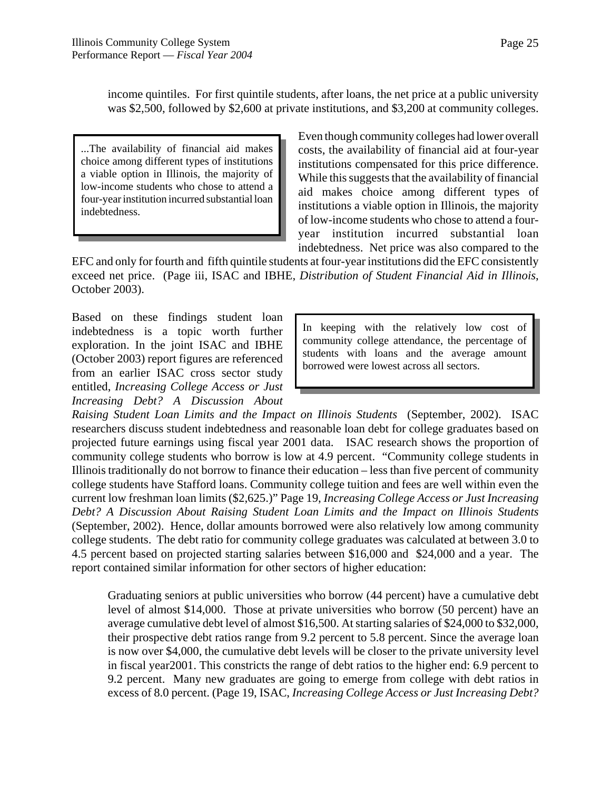income quintiles. For first quintile students, after loans, the net price at a public university was \$2,500, followed by \$2,600 at private institutions, and \$3,200 at community colleges.

...The availability of financial aid makes choice among different types of institutions a viable option in Illinois, the majority of low-income students who chose to attend a four-year institution incurred substantial loan indebtedness.

Even though community colleges had lower overall costs, the availability of financial aid at four-year institutions compensated for this price difference. While this suggests that the availability of financial aid makes choice among different types of institutions a viable option in Illinois, the majority of low-income students who chose to attend a fouryear institution incurred substantial loan indebtedness. Net price was also compared to the

EFC and only for fourth and fifth quintile students at four-year institutions did the EFC consistently exceed net price. (Page iii, ISAC and IBHE, *Distribution of Student Financial Aid in Illinois*, October 2003).

Based on these findings student loan indebtedness is a topic worth further exploration. In the joint ISAC and IBHE (October 2003) report figures are referenced from an earlier ISAC cross sector study entitled, *Increasing College Access or Just Increasing Debt? A Discussion About*

In keeping with the relatively low cost of community college attendance, the percentage of students with loans and the average amount borrowed were lowest across all sectors.

*Raising Student Loan Limits and the Impact on Illinois Students* (September, 2002). ISAC researchers discuss student indebtedness and reasonable loan debt for college graduates based on projected future earnings using fiscal year 2001 data. ISAC research shows the proportion of community college students who borrow is low at 4.9 percent. "Community college students in Illinois traditionally do not borrow to finance their education – less than five percent of community college students have Stafford loans. Community college tuition and fees are well within even the current low freshman loan limits (\$2,625.)" Page 19, *Increasing College Access or Just Increasing Debt? A Discussion About Raising Student Loan Limits and the Impact on Illinois Students* (September, 2002). Hence, dollar amounts borrowed were also relatively low among community college students. The debt ratio for community college graduates was calculated at between 3.0 to 4.5 percent based on projected starting salaries between \$16,000 and \$24,000 and a year. The report contained similar information for other sectors of higher education:

Graduating seniors at public universities who borrow (44 percent) have a cumulative debt level of almost \$14,000. Those at private universities who borrow (50 percent) have an average cumulative debt level of almost \$16,500. At starting salaries of \$24,000 to \$32,000, their prospective debt ratios range from 9.2 percent to 5.8 percent. Since the average loan is now over \$4,000, the cumulative debt levels will be closer to the private university level in fiscal year2001. This constricts the range of debt ratios to the higher end: 6.9 percent to 9.2 percent. Many new graduates are going to emerge from college with debt ratios in excess of 8.0 percent. (Page 19, ISAC, *Increasing College Access or Just Increasing Debt?*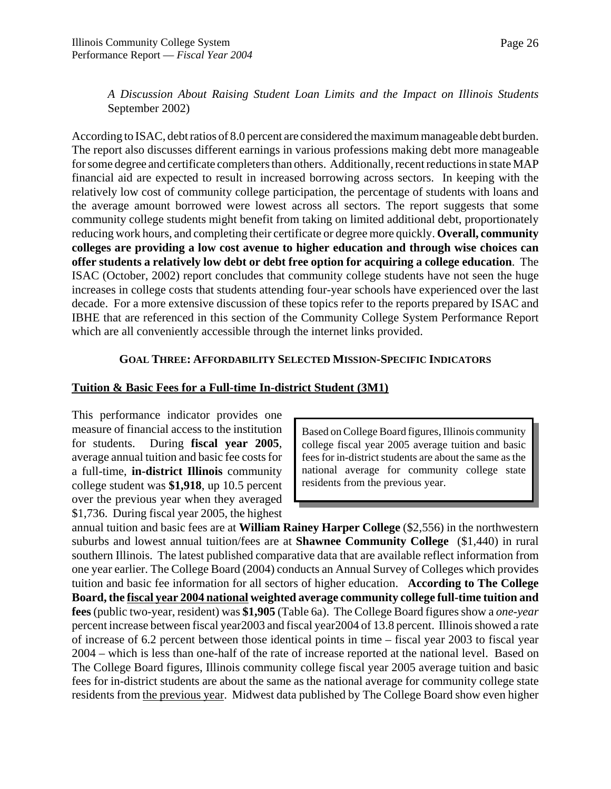*A Discussion About Raising Student Loan Limits and the Impact on Illinois Students* September 2002)

According to ISAC, debt ratios of 8.0 percent are considered the maximum manageable debt burden. The report also discusses different earnings in various professions making debt more manageable for some degree and certificate completers than others. Additionally, recent reductions in state MAP financial aid are expected to result in increased borrowing across sectors. In keeping with the relatively low cost of community college participation, the percentage of students with loans and the average amount borrowed were lowest across all sectors. The report suggests that some community college students might benefit from taking on limited additional debt, proportionately reducing work hours, and completing their certificate or degree more quickly. **Overall, community colleges are providing a low cost avenue to higher education and through wise choices can offer students a relatively low debt or debt free option for acquiring a college education**. The ISAC (October, 2002) report concludes that community college students have not seen the huge increases in college costs that students attending four-year schools have experienced over the last decade. For a more extensive discussion of these topics refer to the reports prepared by ISAC and IBHE that are referenced in this section of the Community College System Performance Report which are all conveniently accessible through the internet links provided.

#### **GOAL THREE: AFFORDABILITY SELECTED MISSION-SPECIFIC INDICATORS**

#### **Tuition & Basic Fees for a Full-time In-district Student (3M1)**

This performance indicator provides one measure of financial access to the institution for students. During **fiscal year 2005**, average annual tuition and basic fee costs for a full-time, **in-district Illinois** community college student was **\$1,918**, up 10.5 percent over the previous year when they averaged \$1,736. During fiscal year 2005, the highest

Based on College Board figures, Illinois community college fiscal year 2005 average tuition and basic fees for in-district students are about the same as the national average for community college state residents from the previous year.

annual tuition and basic fees are at **William Rainey Harper College** (\$2,556) in the northwestern suburbs and lowest annual tuition/fees are at **Shawnee Community College** (\$1,440) in rural southern Illinois. The latest published comparative data that are available reflect information from one year earlier. The College Board (2004) conducts an Annual Survey of Colleges which provides tuition and basic fee information for all sectors of higher education. **According to The College Board, the fiscal year 2004 national weighted average community college full-time tuition and fees** (public two-year, resident) was **\$1,905** (Table 6a). The College Board figures show a *one-year* percent increase between fiscal year2003 and fiscal year2004 of 13.8 percent. Illinois showed a rate of increase of 6.2 percent between those identical points in time – fiscal year 2003 to fiscal year 2004 – which is less than one-half of the rate of increase reported at the national level. Based on The College Board figures, Illinois community college fiscal year 2005 average tuition and basic fees for in-district students are about the same as the national average for community college state residents from the previous year. Midwest data published by The College Board show even higher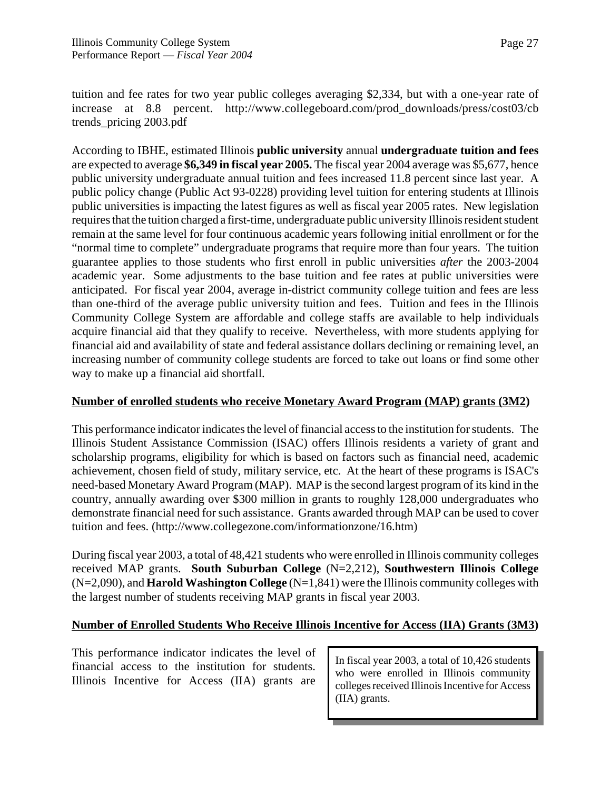tuition and fee rates for two year public colleges averaging \$2,334, but with a one-year rate of increase at 8.8 percent. http://www.collegeboard.com/prod\_downloads/press/cost03/cb trends\_pricing 2003.pdf

According to IBHE, estimated Illinois **public university** annual **undergraduate tuition and fees** are expected to average **\$6,349 in fiscal year 2005.** The fiscal year 2004 average was \$5,677, hence public university undergraduate annual tuition and fees increased 11.8 percent since last year. A public policy change (Public Act 93-0228) providing level tuition for entering students at Illinois public universities is impacting the latest figures as well as fiscal year 2005 rates. New legislation requires that the tuition charged a first-time, undergraduate public university Illinois resident student remain at the same level for four continuous academic years following initial enrollment or for the "normal time to complete" undergraduate programs that require more than four years. The tuition guarantee applies to those students who first enroll in public universities *after* the 2003-2004 academic year. Some adjustments to the base tuition and fee rates at public universities were anticipated. For fiscal year 2004, average in-district community college tuition and fees are less than one-third of the average public university tuition and fees. Tuition and fees in the Illinois Community College System are affordable and college staffs are available to help individuals acquire financial aid that they qualify to receive. Nevertheless, with more students applying for financial aid and availability of state and federal assistance dollars declining or remaining level, an increasing number of community college students are forced to take out loans or find some other way to make up a financial aid shortfall.

#### **Number of enrolled students who receive Monetary Award Program (MAP) grants (3M2)**

This performance indicator indicates the level of financial access to the institution for students. The Illinois Student Assistance Commission (ISAC) offers Illinois residents a variety of grant and scholarship programs, eligibility for which is based on factors such as financial need, academic achievement, chosen field of study, military service, etc. At the heart of these programs is ISAC's need-based Monetary Award Program (MAP).MAP is the second largest program of its kind in the country, annually awarding over \$300 million in grants to roughly 128,000 undergraduates who demonstrate financial need for such assistance. Grants awarded through MAP can be used to cover tuition and fees. (http://www.collegezone.com/informationzone/16.htm)

During fiscal year 2003, a total of 48,421 students who were enrolled in Illinois community colleges received MAP grants. **South Suburban College** (N=2,212), **Southwestern Illinois College** (N=2,090), and **Harold Washington College** (N=1,841) were the Illinois community colleges with the largest number of students receiving MAP grants in fiscal year 2003.

# **Number of Enrolled Students Who Receive Illinois Incentive for Access (IIA) Grants (3M3)**

This performance indicator indicates the level of financial access to the institution for students. Illinois Incentive for Access (IIA) grants are

In fiscal year 2003, a total of 10,426 students who were enrolled in Illinois community colleges received Illinois Incentive for Access (IIA) grants.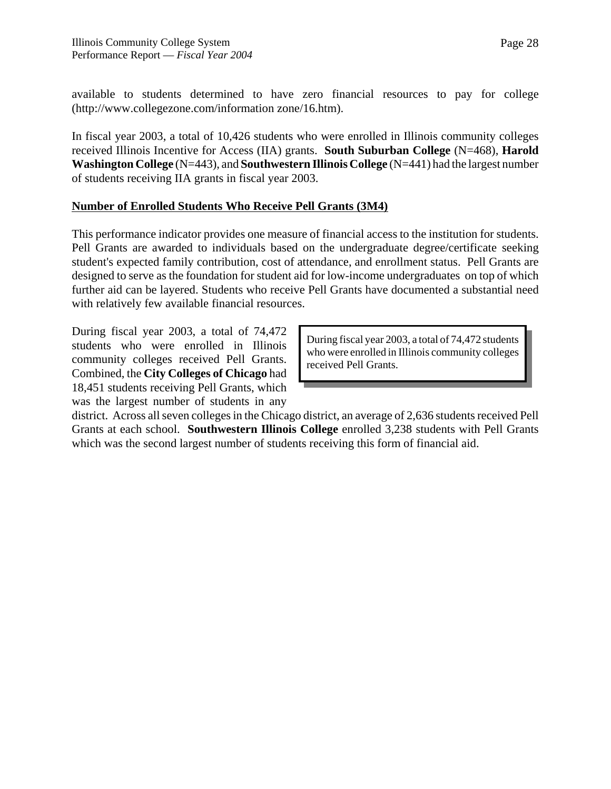available to students determined to have zero financial resources to pay for college (http://www.collegezone.com/information zone/16.htm).

In fiscal year 2003, a total of 10,426 students who were enrolled in Illinois community colleges received Illinois Incentive for Access (IIA) grants. **South Suburban College** (N=468), **Harold Washington College** (N=443), and **Southwestern Illinois College** (N=441) had the largest number of students receiving IIA grants in fiscal year 2003.

# **Number of Enrolled Students Who Receive Pell Grants (3M4)**

This performance indicator provides one measure of financial access to the institution for students. Pell Grants are awarded to individuals based on the undergraduate degree/certificate seeking student's expected family contribution, cost of attendance, and enrollment status. Pell Grants are designed to serve as the foundation for student aid for low-income undergraduates on top of which further aid can be layered. Students who receive Pell Grants have documented a substantial need with relatively few available financial resources.

During fiscal year 2003, a total of 74,472 students who were enrolled in Illinois community colleges received Pell Grants. Combined, the **City Colleges of Chicago** had 18,451 students receiving Pell Grants, which was the largest number of students in any

During fiscal year 2003, a total of 74,472 students who were enrolled in Illinois community colleges received Pell Grants.

district. Across all seven colleges in the Chicago district, an average of 2,636 students received Pell Grants at each school. **Southwestern Illinois College** enrolled 3,238 students with Pell Grants which was the second largest number of students receiving this form of financial aid.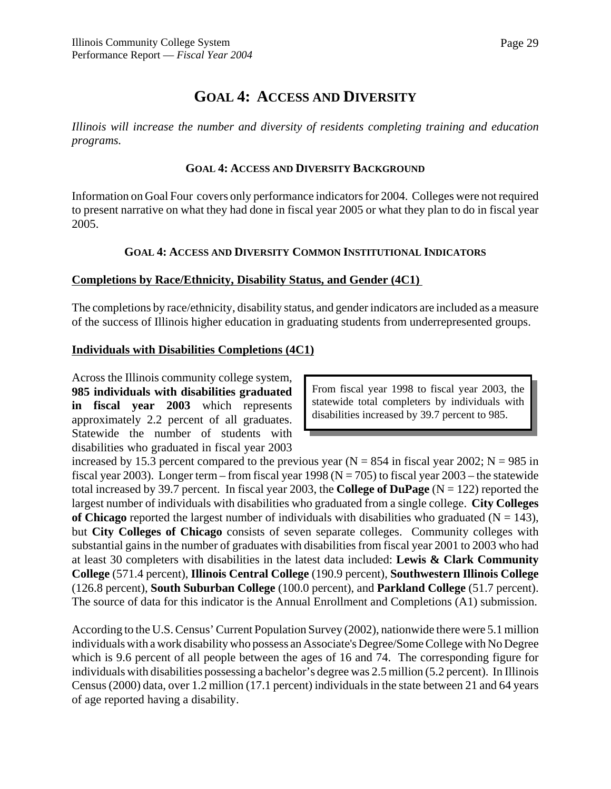# **GOAL 4: ACCESS AND DIVERSITY**

*Illinois will increase the number and diversity of residents completing training and education programs.*

#### **GOAL 4: ACCESS AND DIVERSITY BACKGROUND**

Information on Goal Four covers only performance indicators for 2004. Colleges were not required to present narrative on what they had done in fiscal year 2005 or what they plan to do in fiscal year 2005.

## **GOAL 4: ACCESS AND DIVERSITY COMMON INSTITUTIONAL INDICATORS**

## **Completions by Race/Ethnicity, Disability Status, and Gender (4C1)**

The completions by race/ethnicity, disability status, and gender indicators are included as a measure of the success of Illinois higher education in graduating students from underrepresented groups.

## **Individuals with Disabilities Completions (4C1)**

Across the Illinois community college system, **985 individuals with disabilities graduated in fiscal year 2003** which represents approximately 2.2 percent of all graduates. Statewide the number of students with disabilities who graduated in fiscal year 2003

From fiscal year 1998 to fiscal year 2003, the statewide total completers by individuals with disabilities increased by 39.7 percent to 985.

increased by 15.3 percent compared to the previous year  $(N = 854$  in fiscal year 2002; N = 985 in fiscal year 2003). Longer term – from fiscal year 1998 ( $N = 705$ ) to fiscal year 2003 – the statewide total increased by 39.7 percent. In fiscal year 2003, the **College of DuPage** (N = 122) reported the largest number of individuals with disabilities who graduated from a single college. **City Colleges** of Chicago reported the largest number of individuals with disabilities who graduated ( $N = 143$ ), but **City Colleges of Chicago** consists of seven separate colleges. Community colleges with substantial gains in the number of graduates with disabilities from fiscal year 2001 to 2003 who had at least 30 completers with disabilities in the latest data included: **Lewis & Clark Community College** (571.4 percent), **Illinois Central College** (190.9 percent), **Southwestern Illinois College** (126.8 percent), **South Suburban College** (100.0 percent), and **Parkland College** (51.7 percent). The source of data for this indicator is the Annual Enrollment and Completions (A1) submission.

According to the U.S. Census' Current Population Survey (2002), nationwide there were 5.1 million individuals with a work disability who possess an Associate's Degree/Some College with No Degree which is 9.6 percent of all people between the ages of 16 and 74. The corresponding figure for individuals with disabilities possessing a bachelor's degree was 2.5 million (5.2 percent). In Illinois Census (2000) data, over 1.2 million (17.1 percent) individuals in the state between 21 and 64 years of age reported having a disability.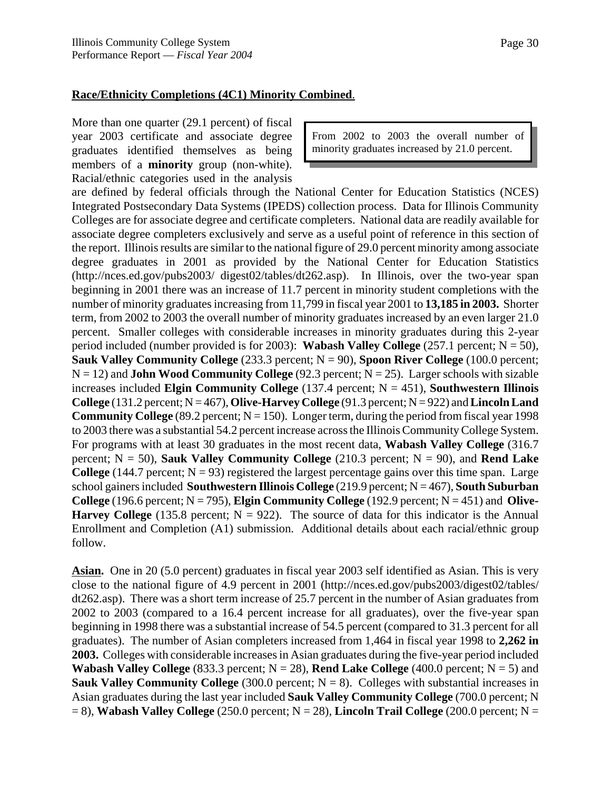#### **Race/Ethnicity Completions (4C1) Minority Combined**.

More than one quarter (29.1 percent) of fiscal year 2003 certificate and associate degree graduates identified themselves as being members of a **minority** group (non-white). Racial/ethnic categories used in the analysis

From 2002 to 2003 the overall number of minority graduates increased by 21.0 percent.

are defined by federal officials through the National Center for Education Statistics (NCES) Integrated Postsecondary Data Systems (IPEDS) collection process. Data for Illinois Community Colleges are for associate degree and certificate completers. National data are readily available for associate degree completers exclusively and serve as a useful point of reference in this section of the report. Illinois results are similar to the national figure of 29.0 percent minority among associate degree graduates in 2001 as provided by the National Center for Education Statistics (http://nces.ed.gov/pubs2003/ digest02/tables/dt262.asp). In Illinois, over the two-year span beginning in 2001 there was an increase of 11.7 percent in minority student completions with the number of minority graduates increasing from 11,799 in fiscal year 2001 to **13,185 in 2003.** Shorter term, from 2002 to 2003 the overall number of minority graduates increased by an even larger 21.0 percent. Smaller colleges with considerable increases in minority graduates during this 2-year period included (number provided is for 2003): **Wabash Valley College**  $(257.1$  percent;  $N = 50$ ), **Sauk Valley Community College** (233.3 percent; N = 90), **Spoon River College** (100.0 percent;  $N = 12$ ) and **John Wood Community College** (92.3 percent;  $N = 25$ ). Larger schools with sizable increases included **Elgin Community College** (137.4 percent; N = 451), **Southwestern Illinois College** (131.2 percent;  $N = 467$ ), **Olive-Harvey College** (91.3 percent;  $N = 922$ ) and **Lincoln Land Community College** (89.2 percent;  $N = 150$ ). Longer term, during the period from fiscal year 1998 to 2003 there was a substantial 54.2 percent increase across the Illinois Community College System. For programs with at least 30 graduates in the most recent data, **Wabash Valley College** (316.7 percent;  $N = 50$ ), **Sauk Valley Community College** (210.3 percent;  $N = 90$ ), and **Rend Lake College** (144.7 percent;  $N = 93$ ) registered the largest percentage gains over this time span. Large school gainers included **Southwestern Illinois College** (219.9 percent; N = 467), **South Suburban College** (196.6 percent;  $N = 795$ ), **Elgin Community College** (192.9 percent;  $N = 451$ ) and **Olive-Harvey College** (135.8 percent;  $N = 922$ ). The source of data for this indicator is the Annual Enrollment and Completion (A1) submission. Additional details about each racial/ethnic group follow.

**Asian.** One in 20 (5.0 percent) graduates in fiscal year 2003 self identified as Asian. This is very close to the national figure of 4.9 percent in 2001 (http://nces.ed.gov/pubs2003/digest02/tables/ dt262.asp). There was a short term increase of 25.7 percent in the number of Asian graduates from 2002 to 2003 (compared to a 16.4 percent increase for all graduates), over the five-year span beginning in 1998 there was a substantial increase of 54.5 percent (compared to 31.3 percent for all graduates). The number of Asian completers increased from 1,464 in fiscal year 1998 to **2,262 in 2003.** Colleges with considerable increases in Asian graduates during the five-year period included **Wabash Valley College** (833.3 percent;  $N = 28$ ), **Rend Lake College** (400.0 percent;  $N = 5$ ) and **Sauk Valley Community College** (300.0 percent;  $N = 8$ ). Colleges with substantial increases in Asian graduates during the last year included **Sauk Valley Community College** (700.0 percent; N  $= 8$ ), **Wabash Valley College** (250.0 percent; N = 28), **Lincoln Trail College** (200.0 percent; N =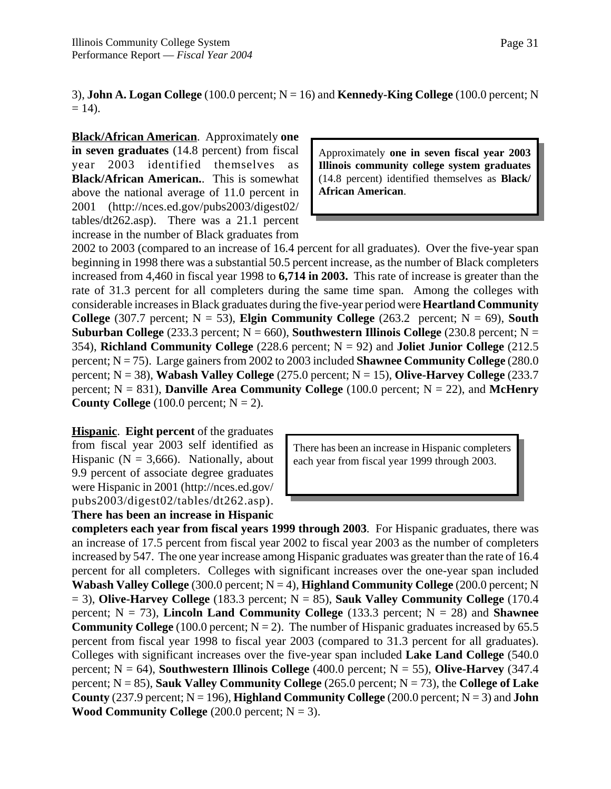3), **John A. Logan College** (100.0 percent; N = 16) and **Kennedy-King College** (100.0 percent; N  $= 14$ ).

**Black/African American**. Approximately **one in seven graduates** (14.8 percent) from fiscal year 2003 identified themselves as **Black/African American.**. This is somewhat above the national average of 11.0 percent in 2001 (http://nces.ed.gov/pubs2003/digest02/ tables/dt262.asp). There was a 21.1 percent increase in the number of Black graduates from

Approximately **one in seven fiscal year 2003 Illinois community college system graduates** (14.8 percent) identified themselves as **Black/ African American**.

2002 to 2003 (compared to an increase of 16.4 percent for all graduates). Over the five-year span beginning in 1998 there was a substantial 50.5 percent increase, as the number of Black completers increased from 4,460 in fiscal year 1998 to **6,714 in 2003.** This rate of increase is greater than the rate of 31.3 percent for all completers during the same time span. Among the colleges with considerable increases in Black graduates during the five-year period were **Heartland Community College** (307.7 percent;  $N = 53$ ), **Elgin Community College** (263.2 percent;  $N = 69$ ), **South Suburban College** (233.3 percent;  $N = 660$ ), **Southwestern Illinois College** (230.8 percent;  $N =$ 354), **Richland Community College** (228.6 percent; N = 92) and **Joliet Junior College** (212.5 percent; N = 75). Large gainers from 2002 to 2003 included **Shawnee Community College** (280.0 percent; N = 38), **Wabash Valley College** (275.0 percent; N = 15), **Olive-Harvey College** (233.7 percent;  $N = 831$ ), **Danville Area Community College** (100.0 percent;  $N = 22$ ), and **McHenry County College**  $(100.0 \text{ percent}; N = 2)$ .

**Hispanic**. **Eight percent** of the graduates from fiscal year 2003 self identified as Hispanic ( $N = 3,666$ ). Nationally, about 9.9 percent of associate degree graduates were Hispanic in 2001 (http://nces.ed.gov/ pubs2003/digest02/tables/dt262.asp). **There has been an increase in Hispanic**

There has been an increase in Hispanic completers each year from fiscal year 1999 through 2003.

**completers each year from fiscal years 1999 through 2003**. For Hispanic graduates, there was an increase of 17.5 percent from fiscal year 2002 to fiscal year 2003 as the number of completers increased by 547. The one year increase among Hispanic graduates was greater than the rate of 16.4 percent for all completers. Colleges with significant increases over the one-year span included **Wabash Valley College** (300.0 percent; N = 4), **Highland Community College** (200.0 percent; N  $= 3$ ), **Olive-Harvey College** (183.3 percent; N  $= 85$ ), **Sauk Valley Community College** (170.4) percent;  $N = 73$ ), **Lincoln Land Community College** (133.3 percent;  $N = 28$ ) and **Shawnee Community College** (100.0 percent;  $N = 2$ ). The number of Hispanic graduates increased by 65.5 percent from fiscal year 1998 to fiscal year 2003 (compared to 31.3 percent for all graduates). Colleges with significant increases over the five-year span included **Lake Land College** (540.0 percent;  $N = 64$ ), **Southwestern Illinois College** (400.0 percent;  $N = 55$ ), **Olive-Harvey** (347.4) percent; N = 85), **Sauk Valley Community College** (265.0 percent; N = 73), the **College of Lake County** (237.9 percent;  $N = 196$ ), **Highland Community College** (200.0 percent;  $N = 3$ ) and **John Wood Community College**  $(200.0 \text{ percent}; N = 3)$ .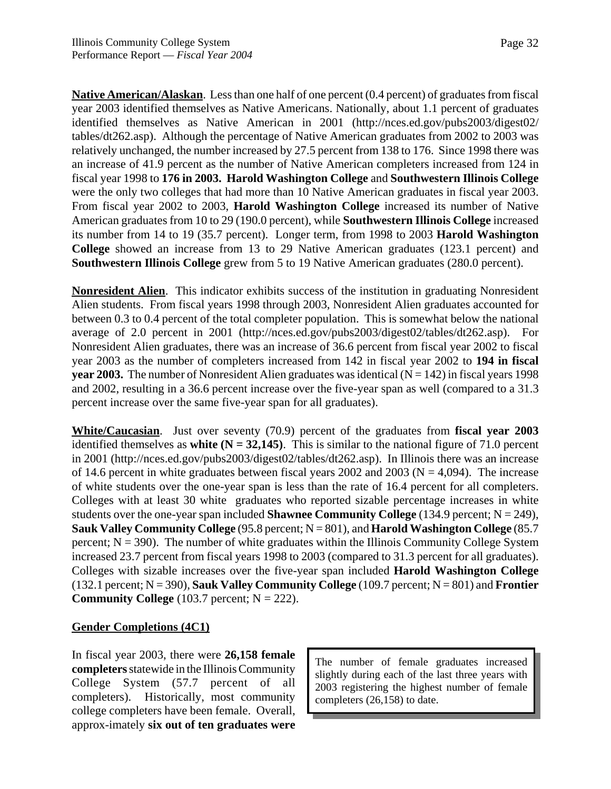**Native American/Alaskan**. Less than one half of one percent (0.4 percent) of graduates from fiscal year 2003 identified themselves as Native Americans. Nationally, about 1.1 percent of graduates identified themselves as Native American in 2001 (http://nces.ed.gov/pubs2003/digest02/ tables/dt262.asp). Although the percentage of Native American graduates from 2002 to 2003 was relatively unchanged, the number increased by 27.5 percent from 138 to 176. Since 1998 there was an increase of 41.9 percent as the number of Native American completers increased from 124 in fiscal year 1998 to **176 in 2003. Harold Washington College** and **Southwestern Illinois College** were the only two colleges that had more than 10 Native American graduates in fiscal year 2003. From fiscal year 2002 to 2003, **Harold Washington College** increased its number of Native American graduates from 10 to 29 (190.0 percent), while **Southwestern Illinois College** increased its number from 14 to 19 (35.7 percent). Longer term, from 1998 to 2003 **Harold Washington College** showed an increase from 13 to 29 Native American graduates (123.1 percent) and **Southwestern Illinois College** grew from 5 to 19 Native American graduates (280.0 percent).

**Nonresident Alien**. This indicator exhibits success of the institution in graduating Nonresident Alien students. From fiscal years 1998 through 2003, Nonresident Alien graduates accounted for between 0.3 to 0.4 percent of the total completer population. This is somewhat below the national average of 2.0 percent in 2001 (http://nces.ed.gov/pubs2003/digest02/tables/dt262.asp). For Nonresident Alien graduates, there was an increase of 36.6 percent from fiscal year 2002 to fiscal year 2003 as the number of completers increased from 142 in fiscal year 2002 to **194 in fiscal year 2003.** The number of Nonresident Alien graduates was identical  $(N = 142)$  in fiscal years 1998 and 2002, resulting in a 36.6 percent increase over the five-year span as well (compared to a 31.3 percent increase over the same five-year span for all graduates).

**White/Caucasian**. Just over seventy (70.9) percent of the graduates from **fiscal year 2003** identified themselves as **white (N = 32,145)**. This is similar to the national figure of 71.0 percent in 2001 (http://nces.ed.gov/pubs2003/digest02/tables/dt262.asp). In Illinois there was an increase of 14.6 percent in white graduates between fiscal years 2002 and 2003 ( $N = 4,094$ ). The increase of white students over the one-year span is less than the rate of 16.4 percent for all completers. Colleges with at least 30 white graduates who reported sizable percentage increases in white students over the one-year span included **Shawnee Community College** (134.9 percent; N = 249), **Sauk Valley Community College** (95.8 percent; N = 801), and **Harold Washington College** (85.7 percent;  $N = 390$ ). The number of white graduates within the Illinois Community College System increased 23.7 percent from fiscal years 1998 to 2003 (compared to 31.3 percent for all graduates). Colleges with sizable increases over the five-year span included **Harold Washington College** (132.1 percent; N = 390), **Sauk Valley Community College** (109.7 percent; N = 801) and **Frontier Community College** (103.7 percent;  $N = 222$ ).

#### **Gender Completions (4C1)**

In fiscal year 2003, there were **26,158 female completers** statewide in the Illinois Community College System (57.7 percent of all completers). Historically, most community college completers have been female. Overall, approx-imately **six out of ten graduates were**

The number of female graduates increased slightly during each of the last three years with 2003 registering the highest number of female completers (26,158) to date.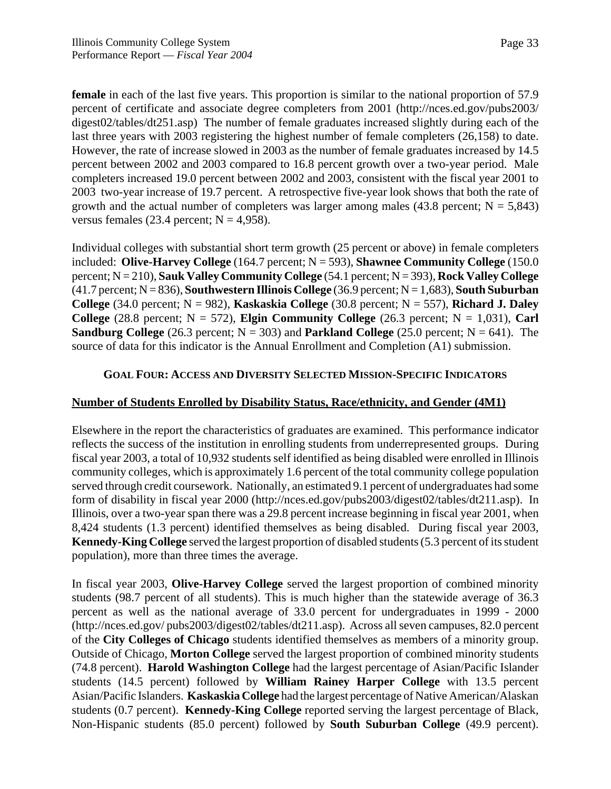**female** in each of the last five years. This proportion is similar to the national proportion of 57.9 percent of certificate and associate degree completers from 2001 (http://nces.ed.gov/pubs2003/ digest02/tables/dt251.asp) The number of female graduates increased slightly during each of the last three years with 2003 registering the highest number of female completers (26,158) to date. However, the rate of increase slowed in 2003 as the number of female graduates increased by 14.5 percent between 2002 and 2003 compared to 16.8 percent growth over a two-year period. Male completers increased 19.0 percent between 2002 and 2003, consistent with the fiscal year 2001 to 2003 two-year increase of 19.7 percent. A retrospective five-year look shows that both the rate of growth and the actual number of completers was larger among males  $(43.8 \text{ percent}; N = 5,843)$ versus females (23.4 percent;  $N = 4.958$ ).

Individual colleges with substantial short term growth (25 percent or above) in female completers included: **Olive-Harvey College** (164.7 percent; N = 593), **Shawnee Community College** (150.0 percent; N = 210), **Sauk Valley Community College** (54.1 percent; N = 393), **Rock Valley College** (41.7 percent; N = 836), **Southwestern Illinois College** (36.9 percent; N = 1,683), **South Suburban College** (34.0 percent;  $N = 982$ ), **Kaskaskia College** (30.8 percent;  $N = 557$ ), **Richard J. Daley College** (28.8 percent;  $N = 572$ ), **Elgin Community College** (26.3 percent;  $N = 1.031$ ), **Carl Sandburg College** (26.3 percent;  $N = 303$ ) and **Parkland College** (25.0 percent;  $N = 641$ ). The source of data for this indicator is the Annual Enrollment and Completion (A1) submission.

#### **GOAL FOUR: ACCESS AND DIVERSITY SELECTED MISSION-SPECIFIC INDICATORS**

#### **Number of Students Enrolled by Disability Status, Race/ethnicity, and Gender (4M1)**

Elsewhere in the report the characteristics of graduates are examined. This performance indicator reflects the success of the institution in enrolling students from underrepresented groups. During fiscal year 2003, a total of 10,932 students self identified as being disabled were enrolled in Illinois community colleges, which is approximately 1.6 percent of the total community college population served through credit coursework. Nationally, an estimated 9.1 percent of undergraduates had some form of disability in fiscal year 2000 (http://nces.ed.gov/pubs2003/digest02/tables/dt211.asp). In Illinois, over a two-year span there was a 29.8 percent increase beginning in fiscal year 2001, when 8,424 students (1.3 percent) identified themselves as being disabled. During fiscal year 2003, **Kennedy-King College** served the largest proportion of disabled students (5.3 percent of its student population), more than three times the average.

In fiscal year 2003, **Olive-Harvey College** served the largest proportion of combined minority students (98.7 percent of all students). This is much higher than the statewide average of 36.3 percent as well as the national average of 33.0 percent for undergraduates in 1999 - 2000 (http://nces.ed.gov/ pubs2003/digest02/tables/dt211.asp). Across all seven campuses, 82.0 percent of the **City Colleges of Chicago** students identified themselves as members of a minority group. Outside of Chicago, **Morton College** served the largest proportion of combined minority students (74.8 percent). **Harold Washington College** had the largest percentage of Asian/Pacific Islander students (14.5 percent) followed by **William Rainey Harper College** with 13.5 percent Asian/Pacific Islanders. **Kaskaskia College** had the largest percentage of Native American/Alaskan students (0.7 percent). **Kennedy-King College** reported serving the largest percentage of Black, Non-Hispanic students (85.0 percent) followed by **South Suburban College** (49.9 percent).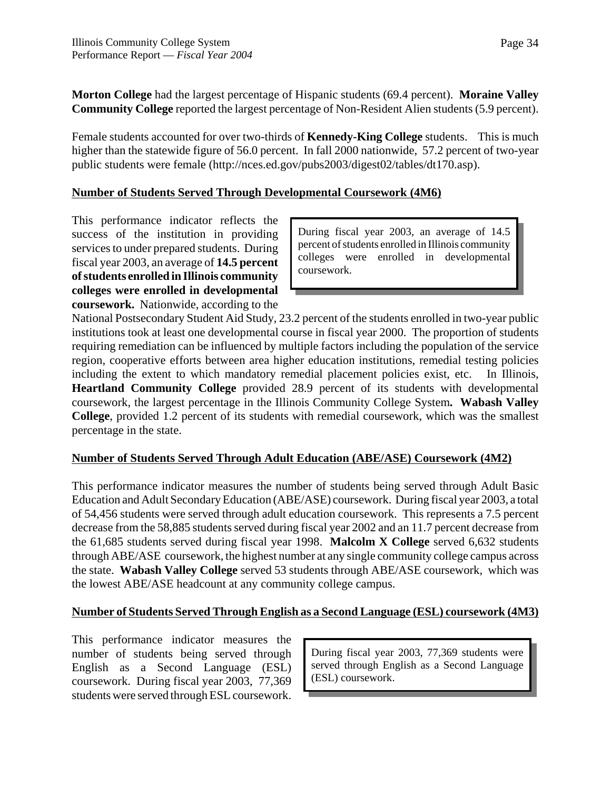**Morton College** had the largest percentage of Hispanic students (69.4 percent). **Moraine Valley Community College** reported the largest percentage of Non-Resident Alien students (5.9 percent).

Female students accounted for over two-thirds of **Kennedy-King College** students. This is much higher than the statewide figure of 56.0 percent. In fall 2000 nationwide, 57.2 percent of two-year public students were female (http://nces.ed.gov/pubs2003/digest02/tables/dt170.asp).

## **Number of Students Served Through Developmental Coursework (4M6)**

This performance indicator reflects the success of the institution in providing services to under prepared students. During fiscal year 2003, an average of **14.5 percent of students enrolled in Illinois community colleges were enrolled in developmental coursework.** Nationwide, according to the

During fiscal year 2003, an average of 14.5 percent of students enrolled in Illinois community colleges were enrolled in developmental coursework.

National Postsecondary Student Aid Study, 23.2 percent of the students enrolled in two-year public institutions took at least one developmental course in fiscal year 2000. The proportion of students requiring remediation can be influenced by multiple factors including the population of the service region, cooperative efforts between area higher education institutions, remedial testing policies including the extent to which mandatory remedial placement policies exist, etc. In Illinois, **Heartland Community College** provided 28.9 percent of its students with developmental coursework, the largest percentage in the Illinois Community College System**. Wabash Valley College**, provided 1.2 percent of its students with remedial coursework, which was the smallest percentage in the state.

# **Number of Students Served Through Adult Education (ABE/ASE) Coursework (4M2)**

This performance indicator measures the number of students being served through Adult Basic Education and Adult Secondary Education (ABE/ASE) coursework. During fiscal year 2003, a total of 54,456 students were served through adult education coursework. This represents a 7.5 percent decrease from the 58,885 students served during fiscal year 2002 and an 11.7 percent decrease from the 61,685 students served during fiscal year 1998. **Malcolm X College** served 6,632 students through ABE/ASE coursework, the highest number at any single community college campus across the state. **Wabash Valley College** served 53 students through ABE/ASE coursework, which was the lowest ABE/ASE headcount at any community college campus.

# **Number of Students Served Through English as a Second Language (ESL) coursework (4M3)**

This performance indicator measures the number of students being served through English as a Second Language (ESL) coursework. During fiscal year 2003, 77,369 students were served through ESL coursework.

During fiscal year 2003, 77,369 students were served through English as a Second Language (ESL) coursework.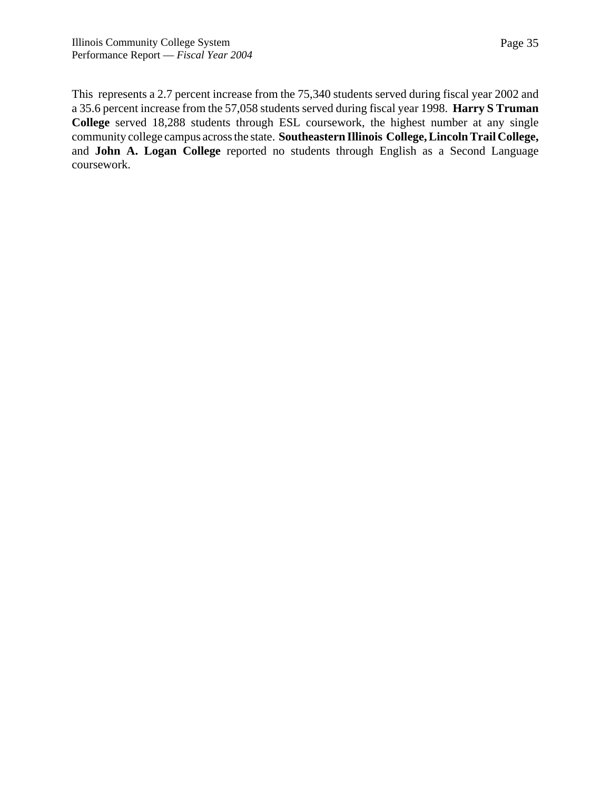This represents a 2.7 percent increase from the 75,340 students served during fiscal year 2002 and a 35.6 percent increase from the 57,058 students served during fiscal year 1998. **Harry S Truman College** served 18,288 students through ESL coursework, the highest number at any single community college campus across the state. **Southeastern Illinois College, Lincoln Trail College,** and **John A. Logan College** reported no students through English as a Second Language coursework.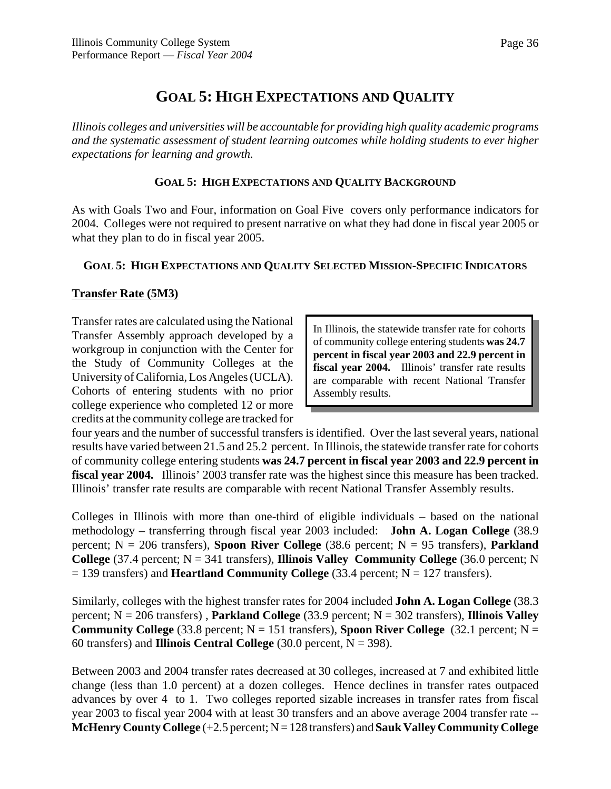# **GOAL 5: HIGH EXPECTATIONS AND QUALITY**

*Illinois colleges and universities will be accountable for providing high quality academic programs and the systematic assessment of student learning outcomes while holding students to ever higher expectations for learning and growth.*

### **GOAL 5: HIGH EXPECTATIONS AND QUALITY BACKGROUND**

As with Goals Two and Four, information on Goal Five covers only performance indicators for 2004. Colleges were not required to present narrative on what they had done in fiscal year 2005 or what they plan to do in fiscal year 2005.

# **GOAL 5: HIGH EXPECTATIONS AND QUALITY SELECTED MISSION-SPECIFIC INDICATORS**

# **Transfer Rate (5M3)**

Transfer rates are calculated using the National Transfer Assembly approach developed by a workgroup in conjunction with the Center for the Study of Community Colleges at the University of California, Los Angeles (UCLA). Cohorts of entering students with no prior college experience who completed 12 or more credits at the community college are tracked for

In Illinois, the statewide transfer rate for cohorts of community college entering students **was 24.7 percent in fiscal year 2003 and 22.9 percent in fiscal year 2004.** Illinois' transfer rate results are comparable with recent National Transfer Assembly results.

four years and the number of successful transfers is identified. Over the last several years, national results have varied between 21.5 and 25.2 percent. In Illinois, the statewide transfer rate for cohorts of community college entering students **was 24.7 percent in fiscal year 2003 and 22.9 percent in fiscal year 2004.** Illinois' 2003 transfer rate was the highest since this measure has been tracked. Illinois' transfer rate results are comparable with recent National Transfer Assembly results.

Colleges in Illinois with more than one-third of eligible individuals – based on the national methodology – transferring through fiscal year 2003 included: **John A. Logan College** (38.9 percent; N = 206 transfers), **Spoon River College** (38.6 percent; N = 95 transfers), **Parkland College** (37.4 percent;  $N = 341$  transfers), **Illinois Valley Community College** (36.0 percent; N  $= 139$  transfers) and **Heartland Community College** (33.4 percent;  $N = 127$  transfers).

Similarly, colleges with the highest transfer rates for 2004 included **John A. Logan College** (38.3 percent; N = 206 transfers) , **Parkland College** (33.9 percent; N = 302 transfers), **Illinois Valley Community College** (33.8 percent;  $N = 151$  transfers), **Spoon River College** (32.1 percent;  $N =$ 60 transfers) and **Illinois Central College**  $(30.0 \text{ percent}, N = 398)$ .

Between 2003 and 2004 transfer rates decreased at 30 colleges, increased at 7 and exhibited little change (less than 1.0 percent) at a dozen colleges. Hence declines in transfer rates outpaced advances by over 4 to 1. Two colleges reported sizable increases in transfer rates from fiscal year 2003 to fiscal year 2004 with at least 30 transfers and an above average 2004 transfer rate -- **McHenry County College** (+2.5 percent; N = 128 transfers) and **Sauk Valley Community College**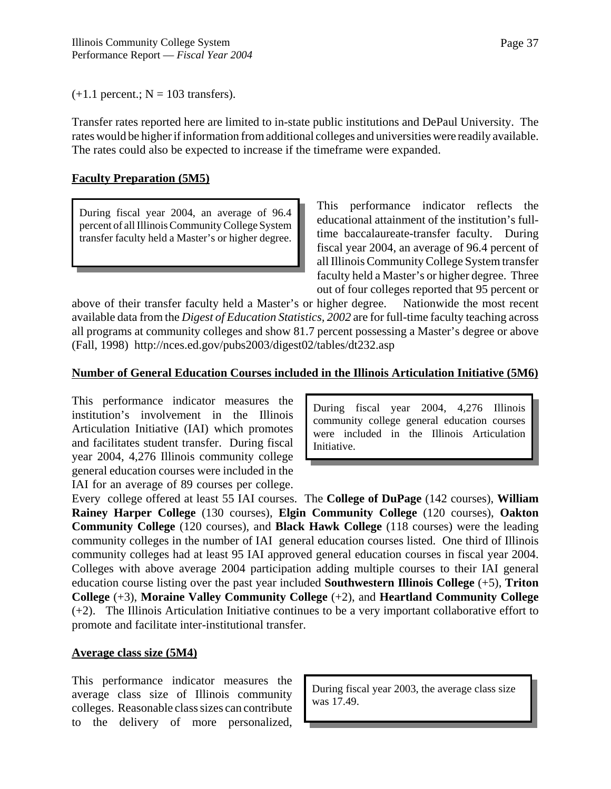$(+1.1 \text{ percent.}; N = 103 \text{ transfers}).$ 

Transfer rates reported here are limited to in-state public institutions and DePaul University. The rates would be higher if information from additional colleges and universities were readily available. The rates could also be expected to increase if the timeframe were expanded.

### **Faculty Preparation (5M5)**

During fiscal year 2004, an average of 96.4 percent of all Illinois Community College System transfer faculty held a Master's or higher degree.

This performance indicator reflects the educational attainment of the institution's fulltime baccalaureate-transfer faculty. During fiscal year 2004, an average of 96.4 percent of all Illinois Community College System transfer faculty held a Master's or higher degree. Three out of four colleges reported that 95 percent or

above of their transfer faculty held a Master's or higher degree. Nationwide the most recent available data from the *Digest of Education Statistics, 2002* are for full-time faculty teaching across all programs at community colleges and show 81.7 percent possessing a Master's degree or above (Fall, 1998) http://nces.ed.gov/pubs2003/digest02/tables/dt232.asp

#### **Number of General Education Courses included in the Illinois Articulation Initiative (5M6)**

This performance indicator measures the institution's involvement in the Illinois Articulation Initiative (IAI) which promotes and facilitates student transfer. During fiscal year 2004, 4,276 Illinois community college general education courses were included in the IAI for an average of 89 courses per college.

During fiscal year 2004, 4,276 Illinois community college general education courses were included in the Illinois Articulation Initiative.

Every college offered at least 55 IAI courses. The **College of DuPage** (142 courses), **William Rainey Harper College** (130 courses), **Elgin Community College** (120 courses), **Oakton Community College** (120 courses), and **Black Hawk College** (118 courses) were the leading community colleges in the number of IAI general education courses listed. One third of Illinois community colleges had at least 95 IAI approved general education courses in fiscal year 2004. Colleges with above average 2004 participation adding multiple courses to their IAI general education course listing over the past year included **Southwestern Illinois College** (+5), **Triton College** (+3), **Moraine Valley Community College** (+2), and **Heartland Community College** (+2). The Illinois Articulation Initiative continues to be a very important collaborative effort to promote and facilitate inter-institutional transfer.

#### **Average class size (5M4)**

This performance indicator measures the average class size of Illinois community colleges. Reasonable class sizes can contribute to the delivery of more personalized,

During fiscal year 2003, the average class size was 17.49.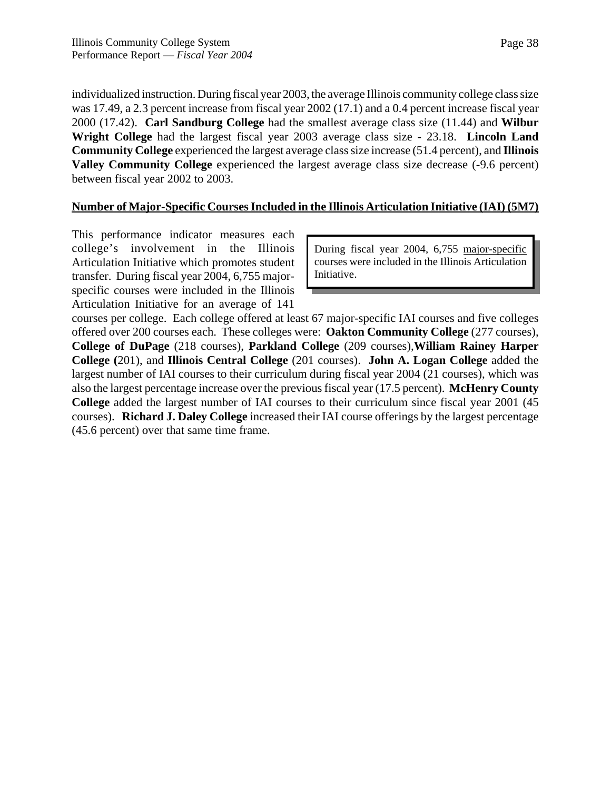individualized instruction. During fiscal year 2003, the average Illinois community college class size was 17.49, a 2.3 percent increase from fiscal year 2002 (17.1) and a 0.4 percent increase fiscal year 2000 (17.42). **Carl Sandburg College** had the smallest average class size (11.44) and **Wilbur Wright College** had the largest fiscal year 2003 average class size - 23.18. **Lincoln Land Community College** experienced the largest average class size increase (51.4 percent), and **Illinois Valley Community College** experienced the largest average class size decrease (-9.6 percent) between fiscal year 2002 to 2003.

### **Number of Major-Specific Courses Included in the Illinois Articulation Initiative (IAI) (5M7)**

This performance indicator measures each college's involvement in the Illinois Articulation Initiative which promotes student transfer. During fiscal year 2004, 6,755 majorspecific courses were included in the Illinois Articulation Initiative for an average of 141

During fiscal year 2004, 6,755 major-specific courses were included in the Illinois Articulation Initiative.

courses per college. Each college offered at least 67 major-specific IAI courses and five colleges offered over 200 courses each. These colleges were: **Oakton Community College** (277 courses), **College of DuPage** (218 courses), **Parkland College** (209 courses),**William Rainey Harper College (**201), and **Illinois Central College** (201 courses). **John A. Logan College** added the largest number of IAI courses to their curriculum during fiscal year 2004 (21 courses), which was also the largest percentage increase over the previous fiscal year (17.5 percent). **McHenry County College** added the largest number of IAI courses to their curriculum since fiscal year 2001 (45 courses). **Richard J. Daley College** increased their IAI course offerings by the largest percentage (45.6 percent) over that same time frame.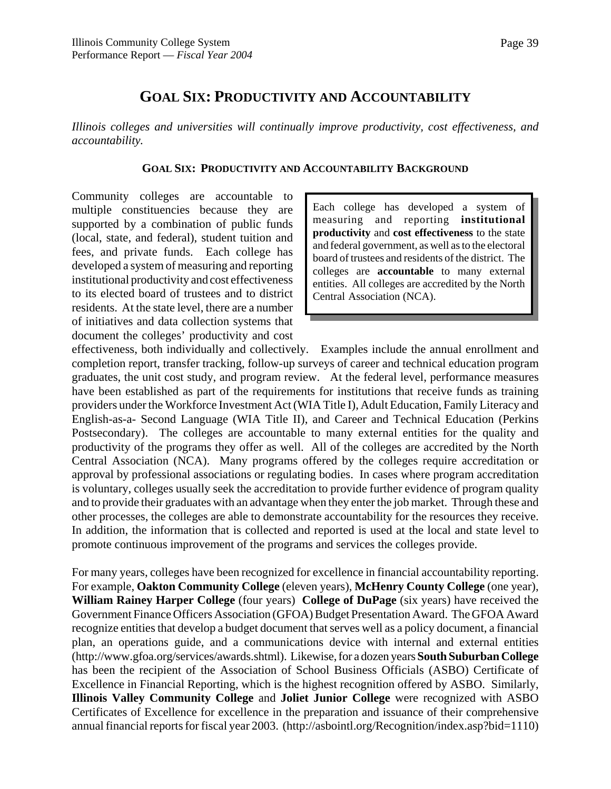# **GOAL SIX: PRODUCTIVITY AND ACCOUNTABILITY**

*Illinois colleges and universities will continually improve productivity, cost effectiveness, and accountability.*

#### **GOAL SIX: PRODUCTIVITY AND ACCOUNTABILITY BACKGROUND**

Community colleges are accountable to multiple constituencies because they are supported by a combination of public funds (local, state, and federal), student tuition and fees, and private funds. Each college has developed a system of measuring and reporting institutional productivity and cost effectiveness to its elected board of trustees and to district residents. At the state level, there are a number of initiatives and data collection systems that document the colleges' productivity and cost

Each college has developed a system of measuring and reporting **institutional productivity** and **cost effectiveness** to the state and federal government, as well as to the electoral board of trustees and residents of the district. The colleges are **accountable** to many external entities. All colleges are accredited by the North Central Association (NCA).

effectiveness, both individually and collectively. Examples include the annual enrollment and completion report, transfer tracking, follow-up surveys of career and technical education program graduates, the unit cost study, and program review. At the federal level, performance measures have been established as part of the requirements for institutions that receive funds as training providers under the Workforce Investment Act (WIA Title I), Adult Education, Family Literacy and English-as-a- Second Language (WIA Title II), and Career and Technical Education (Perkins Postsecondary). The colleges are accountable to many external entities for the quality and productivity of the programs they offer as well. All of the colleges are accredited by the North Central Association (NCA). Many programs offered by the colleges require accreditation or approval by professional associations or regulating bodies. In cases where program accreditation is voluntary, colleges usually seek the accreditation to provide further evidence of program quality and to provide their graduates with an advantage when they enter the job market. Through these and other processes, the colleges are able to demonstrate accountability for the resources they receive. In addition, the information that is collected and reported is used at the local and state level to promote continuous improvement of the programs and services the colleges provide.

For many years, colleges have been recognized for excellence in financial accountability reporting. For example, **Oakton Community College** (eleven years), **McHenry County College** (one year), **William Rainey Harper College** (four years) **College of DuPage** (six years) have received the Government Finance Officers Association (GFOA) Budget Presentation Award. The GFOA Award recognize entities that develop a budget document that serves well as a policy document, a financial plan, an operations guide, and a communications device with internal and external entities (http://www.gfoa.org/services/awards.shtml). Likewise, for a dozen years **South Suburban College** has been the recipient of the Association of School Business Officials (ASBO) Certificate of Excellence in Financial Reporting, which is the highest recognition offered by ASBO. Similarly, **Illinois Valley Community College** and **Joliet Junior College** were recognized with ASBO Certificates of Excellence for excellence in the preparation and issuance of their comprehensive annual financial reports for fiscal year 2003. (http://asbointl.org/Recognition/index.asp?bid=1110)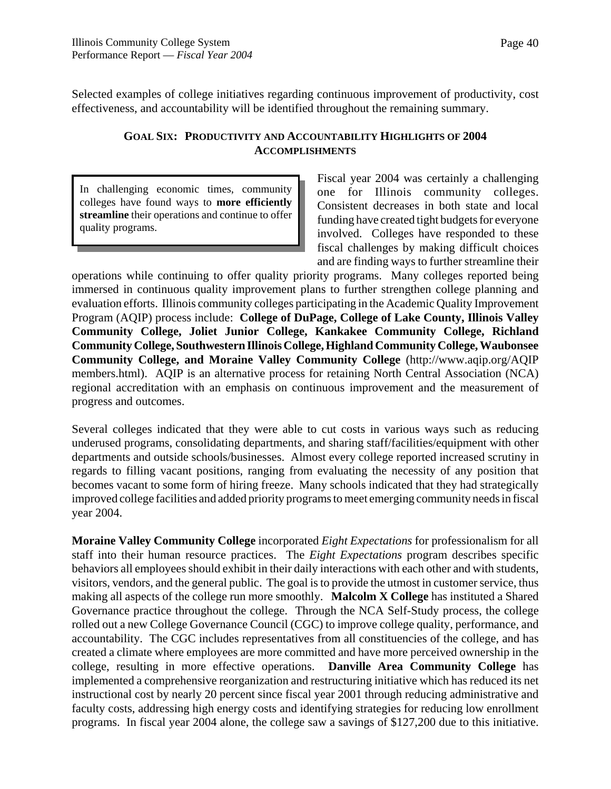Selected examples of college initiatives regarding continuous improvement of productivity, cost effectiveness, and accountability will be identified throughout the remaining summary.

#### **GOAL SIX: PRODUCTIVITY AND ACCOUNTABILITY HIGHLIGHTS OF 2004 ACCOMPLISHMENTS**

In challenging economic times, community colleges have found ways to **more efficiently streamline** their operations and continue to offer quality programs.

Fiscal year 2004 was certainly a challenging one for Illinois community colleges. Consistent decreases in both state and local funding have created tight budgets for everyone involved. Colleges have responded to these fiscal challenges by making difficult choices and are finding ways to further streamline their

operations while continuing to offer quality priority programs. Many colleges reported being immersed in continuous quality improvement plans to further strengthen college planning and evaluation efforts. Illinois community colleges participating in the Academic Quality Improvement Program (AQIP) process include: **College of DuPage, College of Lake County, Illinois Valley Community College, Joliet Junior College, Kankakee Community College, Richland Community College, Southwestern Illinois College, Highland Community College, Waubonsee Community College, and Moraine Valley Community College** (http://www.aqip.org/AQIP members.html). AQIP is an alternative process for retaining North Central Association (NCA) regional accreditation with an emphasis on continuous improvement and the measurement of progress and outcomes.

Several colleges indicated that they were able to cut costs in various ways such as reducing underused programs, consolidating departments, and sharing staff/facilities/equipment with other departments and outside schools/businesses. Almost every college reported increased scrutiny in regards to filling vacant positions, ranging from evaluating the necessity of any position that becomes vacant to some form of hiring freeze. Many schools indicated that they had strategically improved college facilities and added priority programs to meet emerging community needs in fiscal year 2004.

**Moraine Valley Community College** incorporated *Eight Expectations* for professionalism for all staff into their human resource practices. The *Eight Expectations* program describes specific behaviors all employees should exhibit in their daily interactions with each other and with students, visitors, vendors, and the general public. The goal is to provide the utmost in customer service, thus making all aspects of the college run more smoothly. **Malcolm X College** has instituted a Shared Governance practice throughout the college. Through the NCA Self-Study process, the college rolled out a new College Governance Council (CGC) to improve college quality, performance, and accountability. The CGC includes representatives from all constituencies of the college, and has created a climate where employees are more committed and have more perceived ownership in the college, resulting in more effective operations. **Danville Area Community College** has implemented a comprehensive reorganization and restructuring initiative which has reduced its net instructional cost by nearly 20 percent since fiscal year 2001 through reducing administrative and faculty costs, addressing high energy costs and identifying strategies for reducing low enrollment programs. In fiscal year 2004 alone, the college saw a savings of \$127,200 due to this initiative.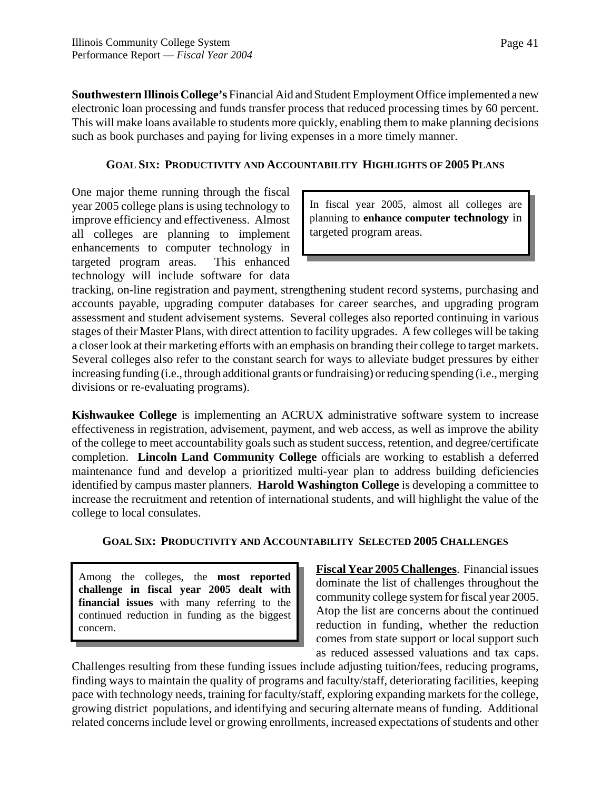**Southwestern Illinois College's** Financial Aid and Student Employment Office implemented a new electronic loan processing and funds transfer process that reduced processing times by 60 percent. This will make loans available to students more quickly, enabling them to make planning decisions such as book purchases and paying for living expenses in a more timely manner.

### **GOAL SIX: PRODUCTIVITY AND ACCOUNTABILITY HIGHLIGHTS OF 2005 PLANS**

One major theme running through the fiscal year 2005 college plans is using technology to improve efficiency and effectiveness. Almost all colleges are planning to implement enhancements to computer technology in targeted program areas. This enhanced technology will include software for data

In fiscal year 2005, almost all colleges are planning to **enhance computer technology** in targeted program areas.

tracking, on-line registration and payment, strengthening student record systems, purchasing and accounts payable, upgrading computer databases for career searches, and upgrading program assessment and student advisement systems. Several colleges also reported continuing in various stages of their Master Plans, with direct attention to facility upgrades. A few colleges will be taking a closer look at their marketing efforts with an emphasis on branding their college to target markets. Several colleges also refer to the constant search for ways to alleviate budget pressures by either increasing funding (i.e., through additional grants or fundraising) or reducing spending (i.e., merging divisions or re-evaluating programs).

**Kishwaukee College** is implementing an ACRUX administrative software system to increase effectiveness in registration, advisement, payment, and web access, as well as improve the ability of the college to meet accountability goals such as student success, retention, and degree/certificate completion. **Lincoln Land Community College** officials are working to establish a deferred maintenance fund and develop a prioritized multi-year plan to address building deficiencies identified by campus master planners. **Harold Washington College** is developing a committee to increase the recruitment and retention of international students, and will highlight the value of the college to local consulates.

# **GOAL SIX: PRODUCTIVITY AND ACCOUNTABILITY SELECTED 2005 CHALLENGES**

Among the colleges, the **most reported challenge in fiscal year 2005 dealt with financial issues** with many referring to the continued reduction in funding as the biggest concern.

**Fiscal Year 2005 Challenges**. Financial issues dominate the list of challenges throughout the community college system for fiscal year 2005. Atop the list are concerns about the continued reduction in funding, whether the reduction comes from state support or local support such as reduced assessed valuations and tax caps.

Challenges resulting from these funding issues include adjusting tuition/fees, reducing programs, finding ways to maintain the quality of programs and faculty/staff, deteriorating facilities, keeping pace with technology needs, training for faculty/staff, exploring expanding markets for the college, growing district populations, and identifying and securing alternate means of funding. Additional related concerns include level or growing enrollments, increased expectations of students and other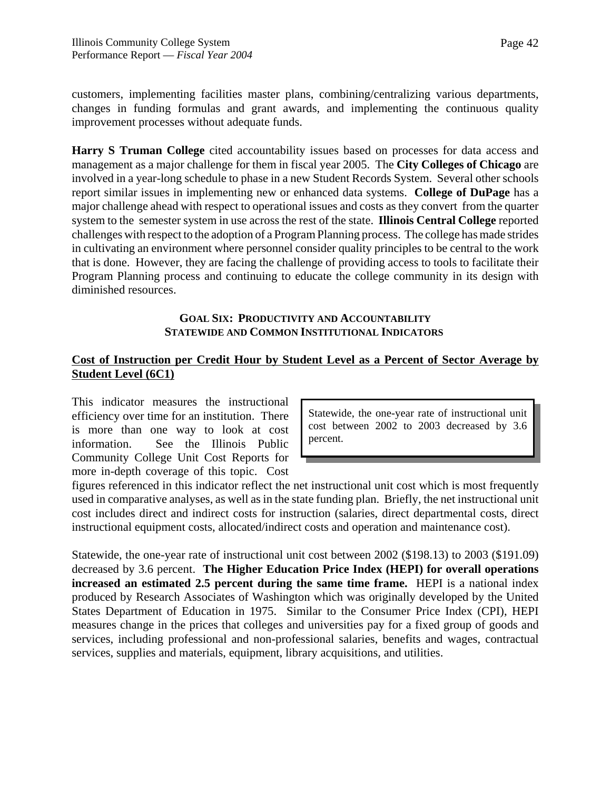customers, implementing facilities master plans, combining/centralizing various departments, changes in funding formulas and grant awards, and implementing the continuous quality improvement processes without adequate funds.

**Harry S Truman College** cited accountability issues based on processes for data access and management as a major challenge for them in fiscal year 2005. The **City Colleges of Chicago** are involved in a year-long schedule to phase in a new Student Records System. Several other schools report similar issues in implementing new or enhanced data systems. **College of DuPage** has a major challenge ahead with respect to operational issues and costs as they convert from the quarter system to the semester system in use across the rest of the state. **Illinois Central College** reported challenges with respect to the adoption of a Program Planning process. The college has made strides in cultivating an environment where personnel consider quality principles to be central to the work that is done. However, they are facing the challenge of providing access to tools to facilitate their Program Planning process and continuing to educate the college community in its design with diminished resources.

#### **GOAL SIX: PRODUCTIVITY AND ACCOUNTABILITY STATEWIDE AND COMMON INSTITUTIONAL INDICATORS**

# **Cost of Instruction per Credit Hour by Student Level as a Percent of Sector Average by Student Level (6C1)**

This indicator measures the instructional efficiency over time for an institution. There is more than one way to look at cost information. See the Illinois Public Community College Unit Cost Reports for more in-depth coverage of this topic. Cost

Statewide, the one-year rate of instructional unit cost between 2002 to 2003 decreased by 3.6 percent.

figures referenced in this indicator reflect the net instructional unit cost which is most frequently used in comparative analyses, as well as in the state funding plan. Briefly, the net instructional unit cost includes direct and indirect costs for instruction (salaries, direct departmental costs, direct instructional equipment costs, allocated/indirect costs and operation and maintenance cost).

Statewide, the one-year rate of instructional unit cost between 2002 (\$198.13) to 2003 (\$191.09) decreased by 3.6 percent. **The Higher Education Price Index (HEPI) for overall operations increased an estimated 2.5 percent during the same time frame.** HEPI is a national index produced by Research Associates of Washington which was originally developed by the United States Department of Education in 1975. Similar to the Consumer Price Index (CPI), HEPI measures change in the prices that colleges and universities pay for a fixed group of goods and services, including professional and non-professional salaries, benefits and wages, contractual services, supplies and materials, equipment, library acquisitions, and utilities.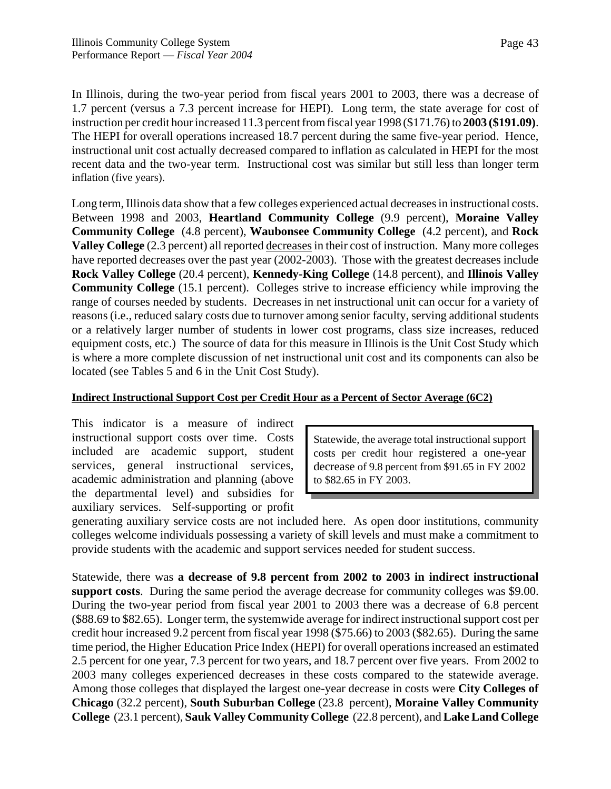In Illinois, during the two-year period from fiscal years 2001 to 2003, there was a decrease of 1.7 percent (versus a 7.3 percent increase for HEPI). Long term, the state average for cost of instruction per credit hour increased 11.3 percent from fiscal year 1998 (\$171.76) to **2003 (\$191.09)**. The HEPI for overall operations increased 18.7 percent during the same five-year period. Hence, instructional unit cost actually decreased compared to inflation as calculated in HEPI for the most recent data and the two-year term. Instructional cost was similar but still less than longer term inflation (five years).

Long term, Illinois data show that a few colleges experienced actual decreases in instructional costs. Between 1998 and 2003, **Heartland Community College** (9.9 percent), **Moraine Valley Community College** (4.8 percent), **Waubonsee Community College** (4.2 percent), and **Rock Valley College** (2.3 percent) all reported decreases in their cost of instruction. Many more colleges have reported decreases over the past year (2002-2003). Those with the greatest decreases include **Rock Valley College** (20.4 percent), **Kennedy-King College** (14.8 percent), and **Illinois Valley Community College** (15.1 percent). Colleges strive to increase efficiency while improving the range of courses needed by students. Decreases in net instructional unit can occur for a variety of reasons (i.e., reduced salary costs due to turnover among senior faculty, serving additional students or a relatively larger number of students in lower cost programs, class size increases, reduced equipment costs, etc.) The source of data for this measure in Illinois is the Unit Cost Study which is where a more complete discussion of net instructional unit cost and its components can also be located (see Tables 5 and 6 in the Unit Cost Study).

#### **Indirect Instructional Support Cost per Credit Hour as a Percent of Sector Average (6C2)**

This indicator is a measure of indirect instructional support costs over time. Costs included are academic support, student services, general instructional services, academic administration and planning (above the departmental level) and subsidies for auxiliary services. Self-supporting or profit

Statewide, the average total instructional support costs per credit hour registered a one-year decrease of 9.8 percent from \$91.65 in FY 2002 to \$82.65 in FY 2003.

generating auxiliary service costs are not included here. As open door institutions, community colleges welcome individuals possessing a variety of skill levels and must make a commitment to provide students with the academic and support services needed for student success.

Statewide, there was **a decrease of 9.8 percent from 2002 to 2003 in indirect instructional support costs**. During the same period the average decrease for community colleges was \$9.00. During the two-year period from fiscal year 2001 to 2003 there was a decrease of 6.8 percent (\$88.69 to \$82.65). Longer term, the systemwide average for indirect instructional support cost per credit hour increased 9.2 percent from fiscal year 1998 (\$75.66) to 2003 (\$82.65). During the same time period, the Higher Education Price Index (HEPI) for overall operations increased an estimated 2.5 percent for one year, 7.3 percent for two years, and 18.7 percent over five years. From 2002 to 2003 many colleges experienced decreases in these costs compared to the statewide average. Among those colleges that displayed the largest one-year decrease in costs were **City Colleges of Chicago** (32.2 percent), **South Suburban College** (23.8 percent), **Moraine Valley Community College** (23.1 percent), **Sauk Valley Community College** (22.8 percent), and **Lake Land College**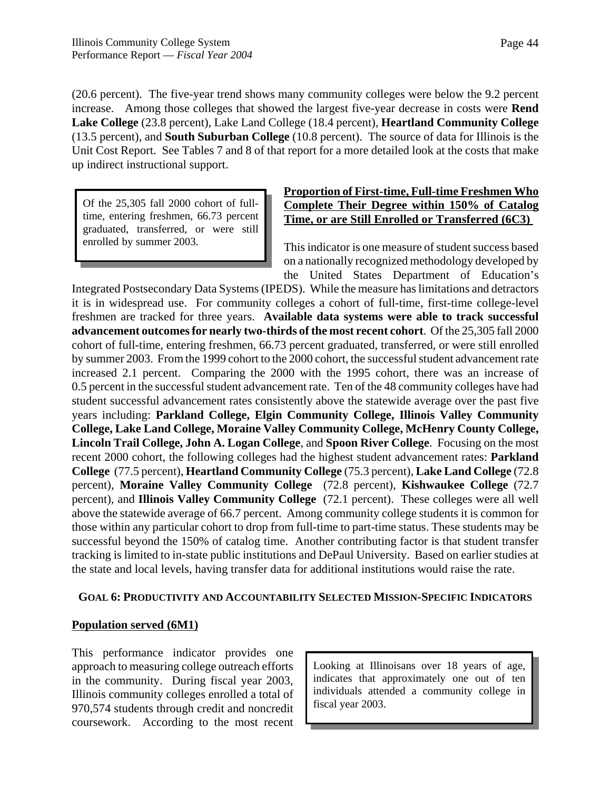(20.6 percent). The five-year trend shows many community colleges were below the 9.2 percent increase. Among those colleges that showed the largest five-year decrease in costs were **Rend Lake College** (23.8 percent), Lake Land College (18.4 percent), **Heartland Community College** (13.5 percent), and **South Suburban College** (10.8 percent). The source of data for Illinois is the Unit Cost Report. See Tables 7 and 8 of that report for a more detailed look at the costs that make up indirect instructional support.

Of the 25,305 fall 2000 cohort of fulltime, entering freshmen, 66.73 percent graduated, transferred, or were still enrolled by summer 2003.

# **Proportion of First-time, Full-time Freshmen Who Complete Their Degree within 150% of Catalog Time, or are Still Enrolled or Transferred (6C3)**

This indicator is one measure of student success based on a nationally recognized methodology developed by the United States Department of Education's

Integrated Postsecondary Data Systems (IPEDS). While the measure has limitations and detractors it is in widespread use. For community colleges a cohort of full-time, first-time college-level freshmen are tracked for three years. **Available data systems were able to track successful advancement outcomes for nearly two-thirds of the most recent cohort**. Of the 25,305 fall 2000 cohort of full-time, entering freshmen, 66.73 percent graduated, transferred, or were still enrolled by summer 2003. From the 1999 cohort to the 2000 cohort, the successful student advancement rate increased 2.1 percent. Comparing the 2000 with the 1995 cohort, there was an increase of 0.5 percent in the successful student advancement rate. Ten of the 48 community colleges have had student successful advancement rates consistently above the statewide average over the past five years including: **Parkland College, Elgin Community College, Illinois Valley Community College, Lake Land College, Moraine Valley Community College, McHenry County College, Lincoln Trail College, John A. Logan College**, and **Spoon River College**. Focusing on the most recent 2000 cohort, the following colleges had the highest student advancement rates: **Parkland College** (77.5 percent), **Heartland Community College** (75.3 percent), **Lake Land College** (72.8 percent), **Moraine Valley Community College** (72.8 percent), **Kishwaukee College** (72.7 percent), and **Illinois Valley Community College** (72.1 percent). These colleges were all well above the statewide average of 66.7 percent. Among community college students it is common for those within any particular cohort to drop from full-time to part-time status. These students may be successful beyond the 150% of catalog time. Another contributing factor is that student transfer tracking is limited to in-state public institutions and DePaul University. Based on earlier studies at the state and local levels, having transfer data for additional institutions would raise the rate.

#### **GOAL 6: PRODUCTIVITY AND ACCOUNTABILITY SELECTED MISSION-SPECIFIC INDICATORS**

#### **Population served (6M1)**

This performance indicator provides one approach to measuring college outreach efforts in the community. During fiscal year 2003, Illinois community colleges enrolled a total of 970,574 students through credit and noncredit coursework. According to the most recent

Looking at Illinoisans over 18 years of age, indicates that approximately one out of ten individuals attended a community college in fiscal year 2003.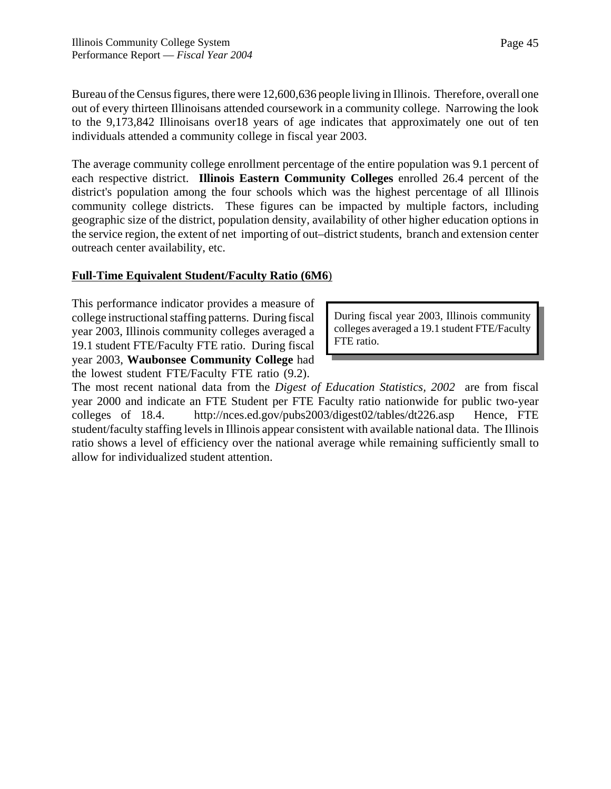Bureau of the Census figures, there were 12,600,636 people living in Illinois. Therefore, overall one out of every thirteen Illinoisans attended coursework in a community college. Narrowing the look to the 9,173,842 Illinoisans over18 years of age indicates that approximately one out of ten individuals attended a community college in fiscal year 2003.

The average community college enrollment percentage of the entire population was 9.1 percent of each respective district. **Illinois Eastern Community Colleges** enrolled 26.4 percent of the district's population among the four schools which was the highest percentage of all Illinois community college districts. These figures can be impacted by multiple factors, including geographic size of the district, population density, availability of other higher education options in the service region, the extent of net importing of out–district students, branch and extension center outreach center availability, etc.

### **Full-Time Equivalent Student/Faculty Ratio (6M6**)

This performance indicator provides a measure of college instructional staffing patterns. During fiscal year 2003, Illinois community colleges averaged a 19.1 student FTE/Faculty FTE ratio. During fiscal year 2003, **Waubonsee Community College** had the lowest student FTE/Faculty FTE ratio (9.2).

During fiscal year 2003, Illinois community colleges averaged a 19.1 student FTE/Faculty FTE ratio.

The most recent national data from the *Digest of Education Statistics, 2002* are from fiscal year 2000 and indicate an FTE Student per FTE Faculty ratio nationwide for public two-year colleges of 18.4. http://nces.ed.gov/pubs2003/digest02/tables/dt226.asp Hence, FTE student/faculty staffing levels in Illinois appear consistent with available national data. The Illinois ratio shows a level of efficiency over the national average while remaining sufficiently small to allow for individualized student attention.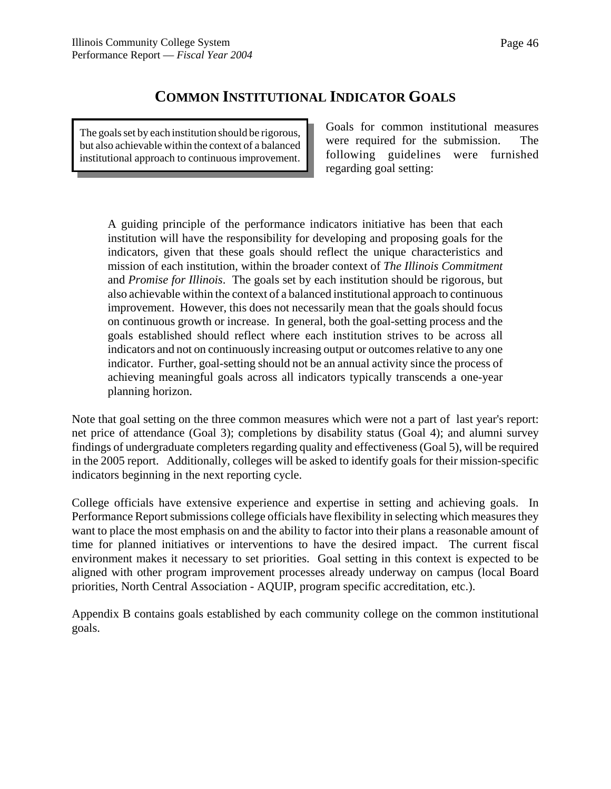# **COMMON INSTITUTIONAL INDICATOR GOALS**

The goals set by each institution should be rigorous, but also achievable within the context of a balanced institutional approach to continuous improvement. Goals for common institutional measures were required for the submission. The following guidelines were furnished regarding goal setting:

A guiding principle of the performance indicators initiative has been that each institution will have the responsibility for developing and proposing goals for the indicators, given that these goals should reflect the unique characteristics and mission of each institution, within the broader context of *The Illinois Commitment* and *Promise for Illinois*. The goals set by each institution should be rigorous, but also achievable within the context of a balanced institutional approach to continuous improvement. However, this does not necessarily mean that the goals should focus on continuous growth or increase. In general, both the goal-setting process and the goals established should reflect where each institution strives to be across all indicators and not on continuously increasing output or outcomes relative to any one indicator. Further, goal-setting should not be an annual activity since the process of achieving meaningful goals across all indicators typically transcends a one-year planning horizon.

Note that goal setting on the three common measures which were not a part of last year's report: net price of attendance (Goal 3); completions by disability status (Goal 4); and alumni survey findings of undergraduate completers regarding quality and effectiveness (Goal 5), will be required in the 2005 report. Additionally, colleges will be asked to identify goals for their mission-specific indicators beginning in the next reporting cycle.

College officials have extensive experience and expertise in setting and achieving goals. In Performance Report submissions college officials have flexibility in selecting which measures they want to place the most emphasis on and the ability to factor into their plans a reasonable amount of time for planned initiatives or interventions to have the desired impact. The current fiscal environment makes it necessary to set priorities. Goal setting in this context is expected to be aligned with other program improvement processes already underway on campus (local Board priorities, North Central Association - AQUIP, program specific accreditation, etc.).

Appendix B contains goals established by each community college on the common institutional goals.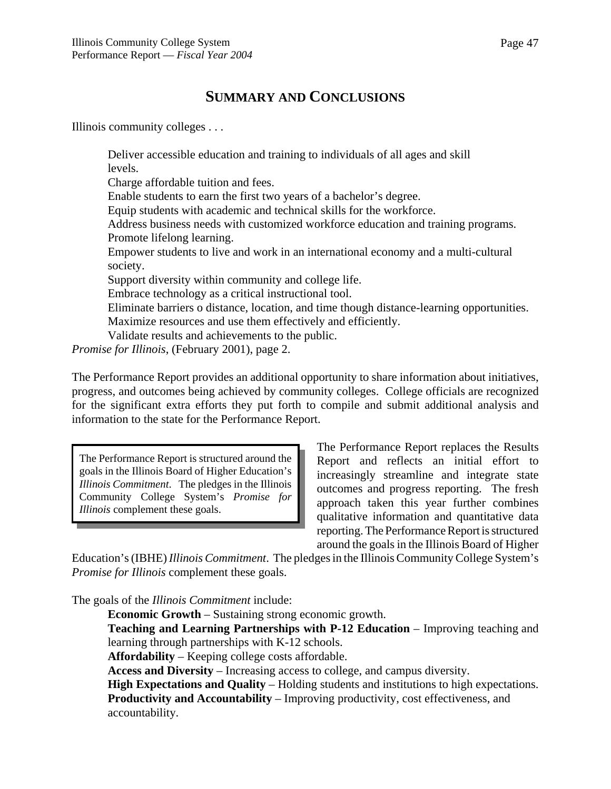# **SUMMARY AND CONCLUSIONS**

Illinois community colleges . . .

Deliver accessible education and training to individuals of all ages and skill levels.

Charge affordable tuition and fees.

Enable students to earn the first two years of a bachelor's degree.

Equip students with academic and technical skills for the workforce.

Address business needs with customized workforce education and training programs. Promote lifelong learning.

Empower students to live and work in an international economy and a multi-cultural society.

Support diversity within community and college life.

Embrace technology as a critical instructional tool.

Eliminate barriers o distance, location, and time though distance-learning opportunities. Maximize resources and use them effectively and efficiently.

Validate results and achievements to the public.

*Promise for Illinois*, (February 2001), page 2.

The Performance Report provides an additional opportunity to share information about initiatives, progress, and outcomes being achieved by community colleges. College officials are recognized for the significant extra efforts they put forth to compile and submit additional analysis and information to the state for the Performance Report.

The Performance Report is structured around the goals in the Illinois Board of Higher Education's *Illinois Commitment*. The pledges in the Illinois Community College System's *Promise for Illinois* complement these goals.

The Performance Report replaces the Results Report and reflects an initial effort to increasingly streamline and integrate state outcomes and progress reporting. The fresh approach taken this year further combines qualitative information and quantitative data reporting. The Performance Report is structured around the goals in the Illinois Board of Higher

Education's (IBHE) *Illinois Commitment*. The pledges in the Illinois Community College System's *Promise for Illinois* complement these goals.

The goals of the *Illinois Commitment* include:

**Economic Growth** – Sustaining strong economic growth.

**Teaching and Learning Partnerships with P-12 Education** – Improving teaching and learning through partnerships with K-12 schools.

**Affordability** – Keeping college costs affordable.

**Access and Diversity** – Increasing access to college, and campus diversity.

**High Expectations and Quality** – Holding students and institutions to high expectations.

**Productivity and Accountability** – Improving productivity, cost effectiveness, and accountability.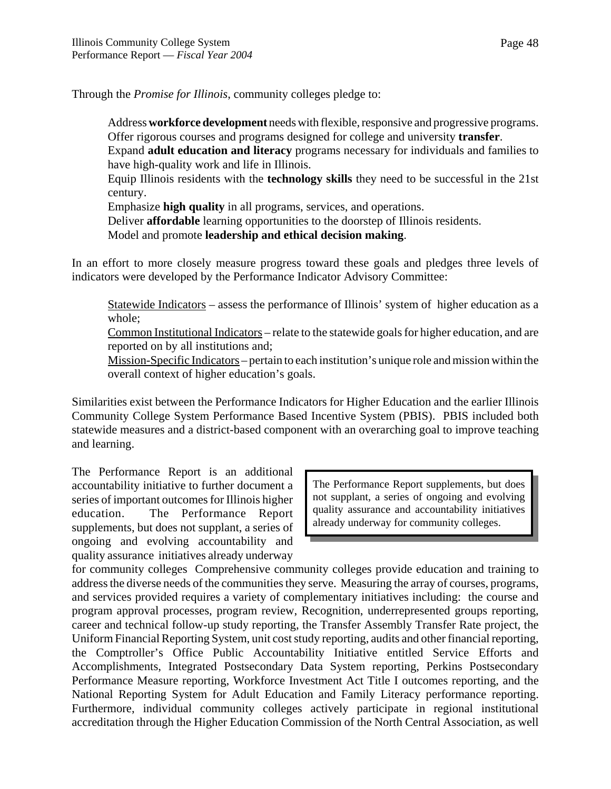Through the *Promise for Illinois*, community colleges pledge to:

Address **workforce development** needs with flexible, responsive and progressive programs. Offer rigorous courses and programs designed for college and university **transfer**.

 Expand **adult education and literacy** programs necessary for individuals and families to have high-quality work and life in Illinois.

Equip Illinois residents with the **technology skills** they need to be successful in the 21st century.

Emphasize **high quality** in all programs, services, and operations.

Deliver **affordable** learning opportunities to the doorstep of Illinois residents.

Model and promote **leadership and ethical decision making**.

In an effort to more closely measure progress toward these goals and pledges three levels of indicators were developed by the Performance Indicator Advisory Committee:

Statewide Indicators – assess the performance of Illinois' system of higher education as a whole;

Common Institutional Indicators – relate to the statewide goals for higher education, and are reported on by all institutions and;

Mission-Specific Indicators – pertain to each institution's unique role and mission within the overall context of higher education's goals.

Similarities exist between the Performance Indicators for Higher Education and the earlier Illinois Community College System Performance Based Incentive System (PBIS). PBIS included both statewide measures and a district-based component with an overarching goal to improve teaching and learning.

The Performance Report is an additional accountability initiative to further document a series of important outcomes for Illinois higher education. The Performance Report supplements, but does not supplant, a series of ongoing and evolving accountability and quality assurance initiatives already underway

The Performance Report supplements, but does not supplant, a series of ongoing and evolving quality assurance and accountability initiatives already underway for community colleges.

for community colleges Comprehensive community colleges provide education and training to address the diverse needs of the communities they serve. Measuring the array of courses, programs, and services provided requires a variety of complementary initiatives including: the course and program approval processes, program review, Recognition, underrepresented groups reporting, career and technical follow-up study reporting, the Transfer Assembly Transfer Rate project, the Uniform Financial Reporting System, unit cost study reporting, audits and other financial reporting, the Comptroller's Office Public Accountability Initiative entitled Service Efforts and Accomplishments, Integrated Postsecondary Data System reporting, Perkins Postsecondary Performance Measure reporting, Workforce Investment Act Title I outcomes reporting, and the National Reporting System for Adult Education and Family Literacy performance reporting. Furthermore, individual community colleges actively participate in regional institutional accreditation through the Higher Education Commission of the North Central Association, as well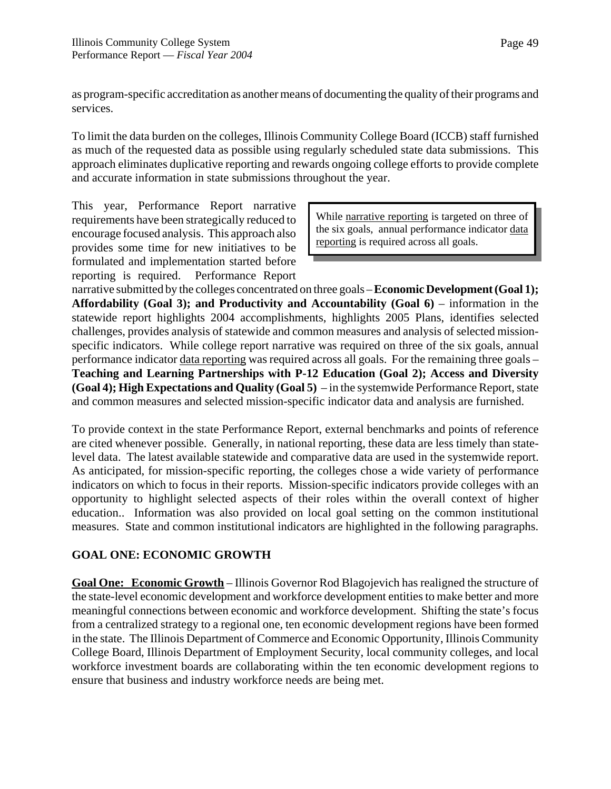as program-specific accreditation as another means of documenting the quality of their programs and services.

To limit the data burden on the colleges, Illinois Community College Board (ICCB) staff furnished as much of the requested data as possible using regularly scheduled state data submissions. This approach eliminates duplicative reporting and rewards ongoing college efforts to provide complete and accurate information in state submissions throughout the year.

This year, Performance Report narrative requirements have been strategically reduced to encourage focused analysis. This approach also provides some time for new initiatives to be formulated and implementation started before reporting is required. Performance Report

While narrative reporting is targeted on three of the six goals, annual performance indicator data reporting is required across all goals.

narrative submitted by the colleges concentrated on three goals – **Economic Development (Goal 1);** Affordability (Goal 3); and Productivity and Accountability (Goal 6) – information in the statewide report highlights 2004 accomplishments, highlights 2005 Plans, identifies selected challenges, provides analysis of statewide and common measures and analysis of selected missionspecific indicators. While college report narrative was required on three of the six goals, annual performance indicator data reporting was required across all goals. For the remaining three goals – **Teaching and Learning Partnerships with P-12 Education (Goal 2); Access and Diversity (Goal 4); High Expectations and Quality (Goal 5)** – in the systemwide Performance Report, state and common measures and selected mission-specific indicator data and analysis are furnished.

To provide context in the state Performance Report, external benchmarks and points of reference are cited whenever possible. Generally, in national reporting, these data are less timely than statelevel data. The latest available statewide and comparative data are used in the systemwide report. As anticipated, for mission-specific reporting, the colleges chose a wide variety of performance indicators on which to focus in their reports. Mission-specific indicators provide colleges with an opportunity to highlight selected aspects of their roles within the overall context of higher education.. Information was also provided on local goal setting on the common institutional measures. State and common institutional indicators are highlighted in the following paragraphs.

# **GOAL ONE: ECONOMIC GROWTH**

**Goal One: Economic Growth** – Illinois Governor Rod Blagojevich has realigned the structure of the state-level economic development and workforce development entities to make better and more meaningful connections between economic and workforce development. Shifting the state's focus from a centralized strategy to a regional one, ten economic development regions have been formed in the state. The Illinois Department of Commerce and Economic Opportunity, Illinois Community College Board, Illinois Department of Employment Security, local community colleges, and local workforce investment boards are collaborating within the ten economic development regions to ensure that business and industry workforce needs are being met.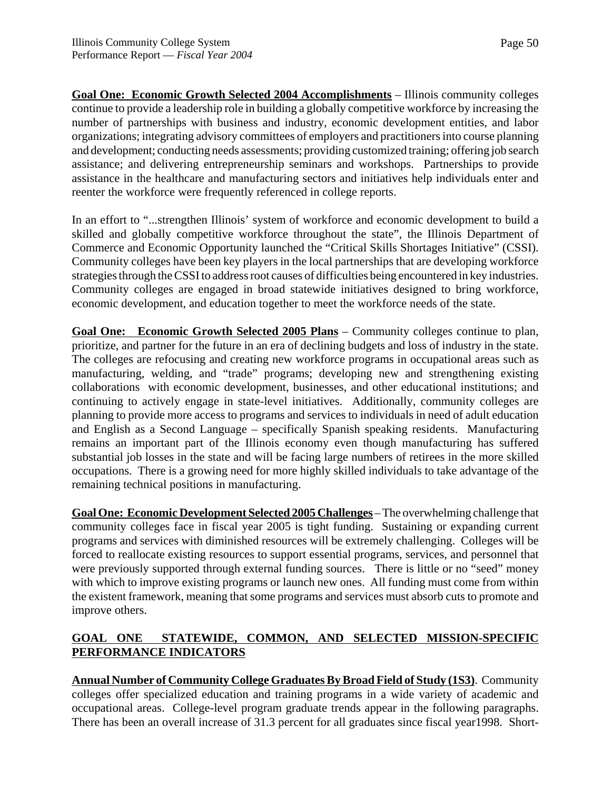**Goal One: Economic Growth Selected 2004 Accomplishments** – Illinois community colleges continue to provide a leadership role in building a globally competitive workforce by increasing the number of partnerships with business and industry, economic development entities, and labor organizations; integrating advisory committees of employers and practitioners into course planning and development; conducting needs assessments; providing customized training; offering job search assistance; and delivering entrepreneurship seminars and workshops. Partnerships to provide assistance in the healthcare and manufacturing sectors and initiatives help individuals enter and reenter the workforce were frequently referenced in college reports.

In an effort to "...strengthen Illinois' system of workforce and economic development to build a skilled and globally competitive workforce throughout the state", the Illinois Department of Commerce and Economic Opportunity launched the "Critical Skills Shortages Initiative" (CSSI). Community colleges have been key players in the local partnerships that are developing workforce strategies through the CSSI to address root causes of difficulties being encountered in key industries. Community colleges are engaged in broad statewide initiatives designed to bring workforce, economic development, and education together to meet the workforce needs of the state.

**Goal One: Economic Growth Selected 2005 Plans** – Community colleges continue to plan, prioritize, and partner for the future in an era of declining budgets and loss of industry in the state. The colleges are refocusing and creating new workforce programs in occupational areas such as manufacturing, welding, and "trade" programs; developing new and strengthening existing collaborations with economic development, businesses, and other educational institutions; and continuing to actively engage in state-level initiatives. Additionally, community colleges are planning to provide more access to programs and services to individuals in need of adult education and English as a Second Language – specifically Spanish speaking residents. Manufacturing remains an important part of the Illinois economy even though manufacturing has suffered substantial job losses in the state and will be facing large numbers of retirees in the more skilled occupations. There is a growing need for more highly skilled individuals to take advantage of the remaining technical positions in manufacturing.

**Goal One: Economic Development Selected 2005 Challenges** – The overwhelming challenge that community colleges face in fiscal year 2005 is tight funding. Sustaining or expanding current programs and services with diminished resources will be extremely challenging. Colleges will be forced to reallocate existing resources to support essential programs, services, and personnel that were previously supported through external funding sources. There is little or no "seed" money with which to improve existing programs or launch new ones. All funding must come from within the existent framework, meaning that some programs and services must absorb cuts to promote and improve others.

# **GOAL ONE STATEWIDE, COMMON, AND SELECTED MISSION-SPECIFIC PERFORMANCE INDICATORS**

**Annual Number of Community College Graduates By Broad Field of Study (1S3)**. Community colleges offer specialized education and training programs in a wide variety of academic and occupational areas. College-level program graduate trends appear in the following paragraphs. There has been an overall increase of 31.3 percent for all graduates since fiscal year1998. Short-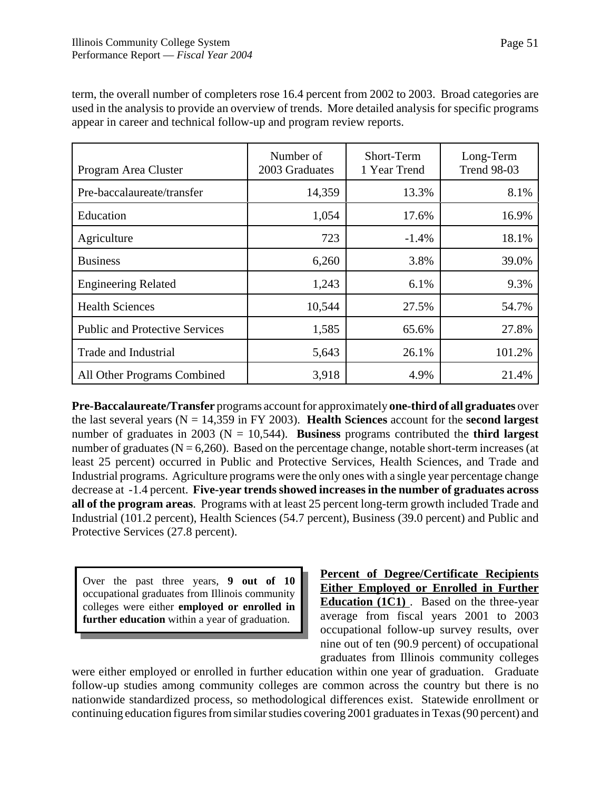| Program Area Cluster                  | Number of<br>2003 Graduates | Short-Term<br>1 Year Trend | Long-Term<br><b>Trend 98-03</b> |
|---------------------------------------|-----------------------------|----------------------------|---------------------------------|
| Pre-baccalaureate/transfer            | 14,359                      | 13.3%                      | 8.1%                            |
| Education                             | 1,054                       | 17.6%                      | 16.9%                           |
| Agriculture                           | 723                         | $-1.4%$                    | 18.1%                           |
| <b>Business</b>                       | 6,260                       | 3.8%                       | 39.0%                           |
| <b>Engineering Related</b>            | 1,243                       | 6.1%                       | 9.3%                            |
| <b>Health Sciences</b>                | 10,544                      | 27.5%                      | 54.7%                           |
| <b>Public and Protective Services</b> | 1,585                       | 65.6%                      | 27.8%                           |
| Trade and Industrial                  | 5,643                       | 26.1%                      | 101.2%                          |
| All Other Programs Combined           | 3,918                       | 4.9%                       | 21.4%                           |

term, the overall number of completers rose 16.4 percent from 2002 to 2003. Broad categories are used in the analysis to provide an overview of trends. More detailed analysis for specific programs appear in career and technical follow-up and program review reports.

**Pre-Baccalaureate/Transfer** programs account for approximately **one-third of all graduates** over the last several years (N = 14,359 in FY 2003). **Health Sciences** account for the **second largest** number of graduates in 2003 ( $N = 10,544$ ). **Business** programs contributed the **third largest** number of graduates ( $N = 6,260$ ). Based on the percentage change, notable short-term increases (at least 25 percent) occurred in Public and Protective Services, Health Sciences, and Trade and Industrial programs. Agriculture programs were the only ones with a single year percentage change decrease at -1.4 percent. **Five-year trends showed increases in the number of graduates across all of the program areas**. Programs with at least 25 percent long-term growth included Trade and Industrial (101.2 percent), Health Sciences (54.7 percent), Business (39.0 percent) and Public and Protective Services (27.8 percent).

Over the past three years, **9 out of 10** occupational graduates from Illinois community colleges were either **employed or enrolled in further education** within a year of graduation.

**Percent of Degree/Certificate Recipients Either Employed or Enrolled in Further Education (1C1)** . Based on the three-year average from fiscal years 2001 to 2003 occupational follow-up survey results, over nine out of ten (90.9 percent) of occupational graduates from Illinois community colleges

were either employed or enrolled in further education within one year of graduation. Graduate follow-up studies among community colleges are common across the country but there is no nationwide standardized process, so methodological differences exist. Statewide enrollment or continuing education figures from similar studies covering 2001 graduates in Texas (90 percent) and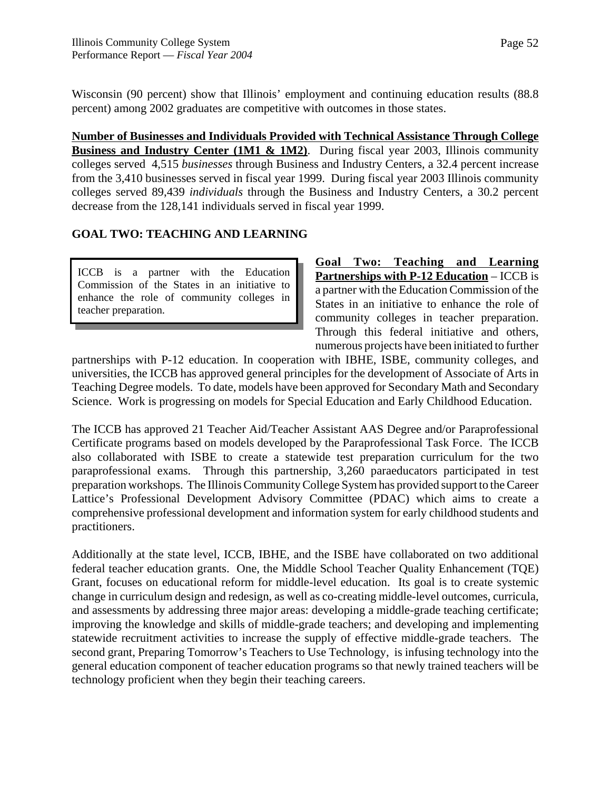Wisconsin (90 percent) show that Illinois' employment and continuing education results (88.8 percent) among 2002 graduates are competitive with outcomes in those states.

**Number of Businesses and Individuals Provided with Technical Assistance Through College Business and Industry Center (1M1 & 1M2)**. During fiscal year 2003, Illinois community colleges served 4,515 *businesses* through Business and Industry Centers, a 32.4 percent increase from the 3,410 businesses served in fiscal year 1999. During fiscal year 2003 Illinois community colleges served 89,439 *individuals* through the Business and Industry Centers, a 30.2 percent decrease from the 128,141 individuals served in fiscal year 1999.

# **GOAL TWO: TEACHING AND LEARNING**

ICCB is a partner with the Education Commission of the States in an initiative to enhance the role of community colleges in teacher preparation.

**Goal Two: Teaching and Learning Partnerships with P-12 Education** – ICCB is a partner with the Education Commission of the States in an initiative to enhance the role of community colleges in teacher preparation. Through this federal initiative and others, numerous projects have been initiated to further

partnerships with P-12 education. In cooperation with IBHE, ISBE, community colleges, and universities, the ICCB has approved general principles for the development of Associate of Arts in Teaching Degree models. To date, models have been approved for Secondary Math and Secondary Science. Work is progressing on models for Special Education and Early Childhood Education.

The ICCB has approved 21 Teacher Aid/Teacher Assistant AAS Degree and/or Paraprofessional Certificate programs based on models developed by the Paraprofessional Task Force. The ICCB also collaborated with ISBE to create a statewide test preparation curriculum for the two paraprofessional exams. Through this partnership, 3,260 paraeducators participated in test preparation workshops. The Illinois Community College System has provided support to the Career Lattice's Professional Development Advisory Committee (PDAC) which aims to create a comprehensive professional development and information system for early childhood students and practitioners.

Additionally at the state level, ICCB, IBHE, and the ISBE have collaborated on two additional federal teacher education grants. One, the Middle School Teacher Quality Enhancement (TQE) Grant, focuses on educational reform for middle-level education. Its goal is to create systemic change in curriculum design and redesign, as well as co-creating middle-level outcomes, curricula, and assessments by addressing three major areas: developing a middle-grade teaching certificate; improving the knowledge and skills of middle-grade teachers; and developing and implementing statewide recruitment activities to increase the supply of effective middle-grade teachers. The second grant, Preparing Tomorrow's Teachers to Use Technology, is infusing technology into the general education component of teacher education programs so that newly trained teachers will be technology proficient when they begin their teaching careers.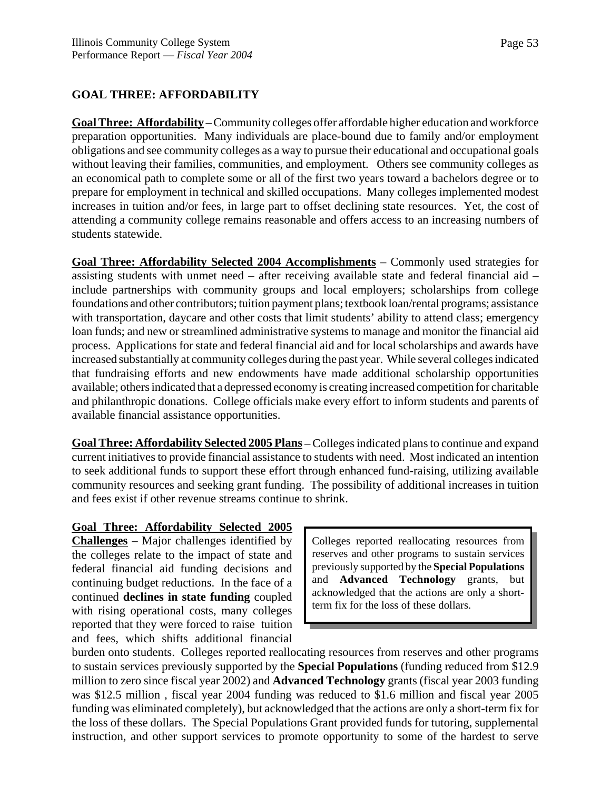### **GOAL THREE: AFFORDABILITY**

**Goal Three: Affordability** – Community colleges offer affordable higher education and workforce preparation opportunities. Many individuals are place-bound due to family and/or employment obligations and see community colleges as a way to pursue their educational and occupational goals without leaving their families, communities, and employment. Others see community colleges as an economical path to complete some or all of the first two years toward a bachelors degree or to prepare for employment in technical and skilled occupations. Many colleges implemented modest increases in tuition and/or fees, in large part to offset declining state resources. Yet, the cost of attending a community college remains reasonable and offers access to an increasing numbers of students statewide.

**Goal Three: Affordability Selected 2004 Accomplishments** – Commonly used strategies for assisting students with unmet need – after receiving available state and federal financial aid – include partnerships with community groups and local employers; scholarships from college foundations and other contributors; tuition payment plans; textbook loan/rental programs; assistance with transportation, daycare and other costs that limit students' ability to attend class; emergency loan funds; and new or streamlined administrative systems to manage and monitor the financial aid process. Applications for state and federal financial aid and for local scholarships and awards have increased substantially at community colleges during the past year. While several colleges indicated that fundraising efforts and new endowments have made additional scholarship opportunities available; others indicated that a depressed economy is creating increased competition for charitable and philanthropic donations. College officials make every effort to inform students and parents of available financial assistance opportunities.

**Goal Three: Affordability Selected 2005 Plans** – Colleges indicated plans to continue and expand current initiatives to provide financial assistance to students with need. Most indicated an intention to seek additional funds to support these effort through enhanced fund-raising, utilizing available community resources and seeking grant funding. The possibility of additional increases in tuition and fees exist if other revenue streams continue to shrink.

#### **Goal Three: Affordability Selected 2005**

**Challenges** – Major challenges identified by the colleges relate to the impact of state and federal financial aid funding decisions and continuing budget reductions. In the face of a continued **declines in state funding** coupled with rising operational costs, many colleges reported that they were forced to raise tuition and fees, which shifts additional financial

Colleges reported reallocating resources from reserves and other programs to sustain services previously supported by the **Special Populations** and **Advanced Technology** grants, but acknowledged that the actions are only a shortterm fix for the loss of these dollars.

burden onto students. Colleges reported reallocating resources from reserves and other programs to sustain services previously supported by the **Special Populations** (funding reduced from \$12.9 million to zero since fiscal year 2002) and **Advanced Technology** grants (fiscal year 2003 funding was \$12.5 million , fiscal year 2004 funding was reduced to \$1.6 million and fiscal year 2005 funding was eliminated completely), but acknowledged that the actions are only a short-term fix for the loss of these dollars. The Special Populations Grant provided funds for tutoring, supplemental instruction, and other support services to promote opportunity to some of the hardest to serve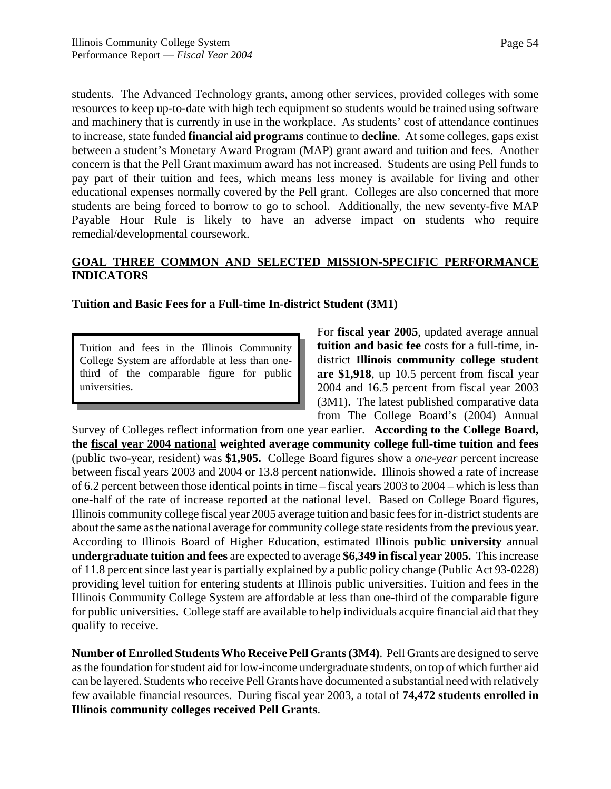students. The Advanced Technology grants, among other services, provided colleges with some resources to keep up-to-date with high tech equipment so students would be trained using software and machinery that is currently in use in the workplace. As students' cost of attendance continues to increase, state funded **financial aid programs** continue to **decline**. At some colleges, gaps exist between a student's Monetary Award Program (MAP) grant award and tuition and fees. Another concern is that the Pell Grant maximum award has not increased. Students are using Pell funds to pay part of their tuition and fees, which means less money is available for living and other educational expenses normally covered by the Pell grant. Colleges are also concerned that more students are being forced to borrow to go to school. Additionally, the new seventy-five MAP Payable Hour Rule is likely to have an adverse impact on students who require remedial/developmental coursework.

### **GOAL THREE COMMON AND SELECTED MISSION-SPECIFIC PERFORMANCE INDICATORS**

# **Tuition and Basic Fees for a Full-time In-district Student (3M1)**

Tuition and fees in the Illinois Community College System are affordable at less than onethird of the comparable figure for public universities.

For **fiscal year 2005**, updated average annual **tuition and basic fee** costs for a full-time, indistrict **Illinois community college student are \$1,918**, up 10.5 percent from fiscal year 2004 and 16.5 percent from fiscal year 2003 (3M1). The latest published comparative data from The College Board's (2004) Annual

Survey of Colleges reflect information from one year earlier. **According to the College Board, the fiscal year 2004 national weighted average community college full-time tuition and fees** (public two-year, resident) was **\$1,905.** College Board figures show a *one-year* percent increase between fiscal years 2003 and 2004 or 13.8 percent nationwide. Illinois showed a rate of increase of 6.2 percent between those identical points in time – fiscal years 2003 to 2004 – which is less than one-half of the rate of increase reported at the national level. Based on College Board figures, Illinois community college fiscal year 2005 average tuition and basic fees for in-district students are about the same as the national average for community college state residents from the previous year. According to Illinois Board of Higher Education, estimated Illinois **public university** annual **undergraduate tuition and fees** are expected to average **\$6,349 in fiscal year 2005.** This increase of 11.8 percent since last year is partially explained by a public policy change (Public Act 93-0228) providing level tuition for entering students at Illinois public universities. Tuition and fees in the Illinois Community College System are affordable at less than one-third of the comparable figure for public universities. College staff are available to help individuals acquire financial aid that they qualify to receive.

**Number of Enrolled Students Who Receive Pell Grants (3M4)**. Pell Grants are designed to serve as the foundation for student aid for low-income undergraduate students, on top of which further aid can be layered. Students who receive Pell Grants have documented a substantial need with relatively few available financial resources. During fiscal year 2003, a total of **74,472 students enrolled in Illinois community colleges received Pell Grants**.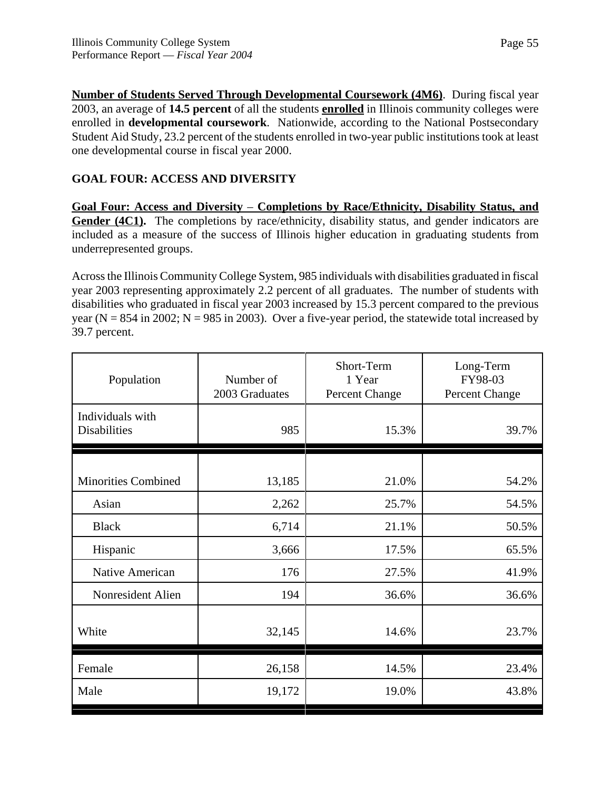**Number of Students Served Through Developmental Coursework (4M6)**. During fiscal year 2003, an average of **14.5 percent** of all the students **enrolled** in Illinois community colleges were enrolled in **developmental coursework**. Nationwide, according to the National Postsecondary Student Aid Study, 23.2 percent of the students enrolled in two-year public institutions took at least one developmental course in fiscal year 2000.

# **GOAL FOUR: ACCESS AND DIVERSITY**

**Goal Four: Access and Diversity** – **Completions by Race/Ethnicity, Disability Status, and** Gender (4C1). The completions by race/ethnicity, disability status, and gender indicators are included as a measure of the success of Illinois higher education in graduating students from underrepresented groups.

Across the Illinois Community College System, 985 individuals with disabilities graduated in fiscal year 2003 representing approximately 2.2 percent of all graduates. The number of students with disabilities who graduated in fiscal year 2003 increased by 15.3 percent compared to the previous year ( $N = 854$  in 2002;  $N = 985$  in 2003). Over a five-year period, the statewide total increased by 39.7 percent.

| Population                              | Number of<br>2003 Graduates | Short-Term<br>1 Year<br>Percent Change | Long-Term<br>FY98-03<br>Percent Change |
|-----------------------------------------|-----------------------------|----------------------------------------|----------------------------------------|
| Individuals with<br><b>Disabilities</b> | 985                         | 15.3%                                  | 39.7%                                  |
|                                         |                             |                                        |                                        |
| <b>Minorities Combined</b>              | 13,185                      | 21.0%                                  | 54.2%                                  |
| Asian                                   | 2,262                       | 25.7%                                  | 54.5%                                  |
| <b>Black</b>                            | 6,714                       | 21.1%                                  | 50.5%                                  |
| Hispanic                                | 3,666                       | 17.5%                                  | 65.5%                                  |
| Native American                         | 176                         | 27.5%                                  | 41.9%                                  |
| Nonresident Alien                       | 194                         | 36.6%                                  | 36.6%                                  |
| White                                   | 32,145                      | 14.6%                                  | 23.7%                                  |
| Female                                  | 26,158                      | 14.5%                                  | 23.4%                                  |
| Male                                    | 19,172                      | 19.0%                                  | 43.8%                                  |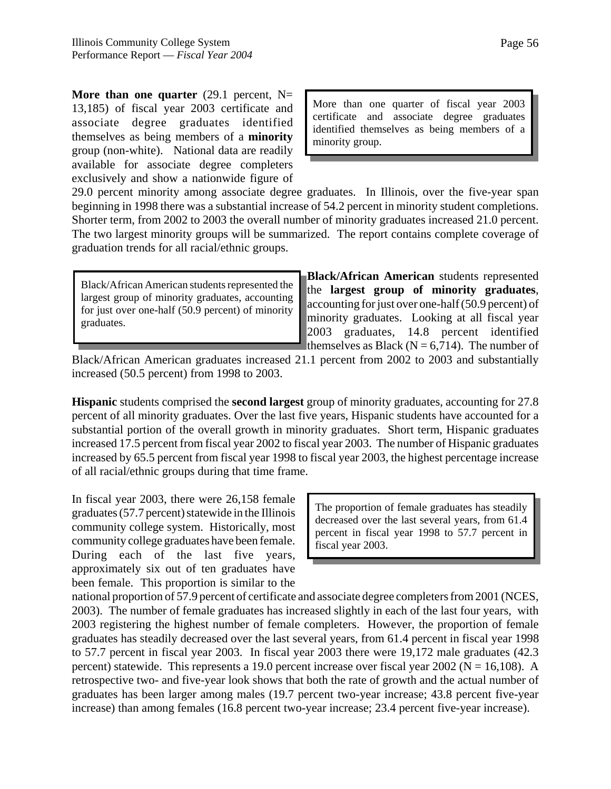**More than one quarter** (29.1 percent,  $N=$ 13,185) of fiscal year 2003 certificate and associate degree graduates identified themselves as being members of a **minority** group (non-white). National data are readily available for associate degree completers exclusively and show a nationwide figure of

More than one quarter of fiscal year 2003 certificate and associate degree graduates identified themselves as being members of a minority group.

29.0 percent minority among associate degree graduates. In Illinois, over the five-year span beginning in 1998 there was a substantial increase of 54.2 percent in minority student completions. Shorter term, from 2002 to 2003 the overall number of minority graduates increased 21.0 percent. The two largest minority groups will be summarized. The report contains complete coverage of graduation trends for all racial/ethnic groups.

Black/African American students represented the largest group of minority graduates, accounting for just over one-half (50.9 percent) of minority graduates.

**Black/African American** students represented the **largest group of minority graduates**, accounting for just over one-half (50.9 percent) of minority graduates. Looking at all fiscal year 2003 graduates, 14.8 percent identified themselves as Black ( $N = 6,714$ ). The number of

Black/African American graduates increased 21.1 percent from 2002 to 2003 and substantially increased (50.5 percent) from 1998 to 2003.

**Hispanic** students comprised the **second largest** group of minority graduates, accounting for 27.8 percent of all minority graduates. Over the last five years, Hispanic students have accounted for a substantial portion of the overall growth in minority graduates. Short term, Hispanic graduates increased 17.5 percent from fiscal year 2002 to fiscal year 2003. The number of Hispanic graduates increased by 65.5 percent from fiscal year 1998 to fiscal year 2003, the highest percentage increase of all racial/ethnic groups during that time frame.

In fiscal year 2003, there were 26,158 female graduates (57.7 percent) statewide in the Illinois community college system. Historically, most community college graduates have been female. During each of the last five years, approximately six out of ten graduates have been female. This proportion is similar to the

The proportion of female graduates has steadily decreased over the last several years, from 61.4 percent in fiscal year 1998 to 57.7 percent in fiscal year 2003.

national proportion of 57.9 percent of certificate and associate degree completers from 2001 (NCES, 2003). The number of female graduates has increased slightly in each of the last four years, with 2003 registering the highest number of female completers. However, the proportion of female graduates has steadily decreased over the last several years, from 61.4 percent in fiscal year 1998 to 57.7 percent in fiscal year 2003. In fiscal year 2003 there were 19,172 male graduates (42.3 percent) statewide. This represents a 19.0 percent increase over fiscal year  $2002$  (N = 16,108). A retrospective two- and five-year look shows that both the rate of growth and the actual number of graduates has been larger among males (19.7 percent two-year increase; 43.8 percent five-year increase) than among females (16.8 percent two-year increase; 23.4 percent five-year increase).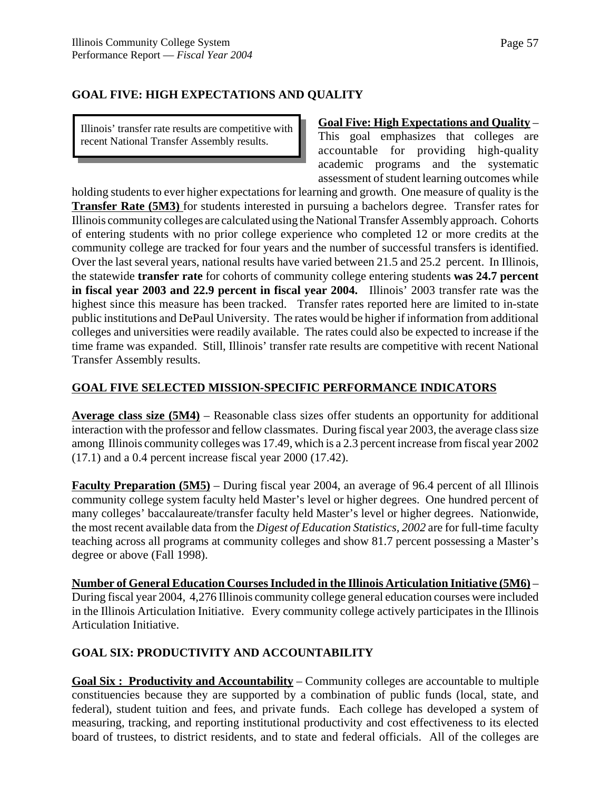# **GOAL FIVE: HIGH EXPECTATIONS AND QUALITY**

Illinois' transfer rate results are competitive with recent National Transfer Assembly results.

### **Goal Five: High Expectations and Quality** –

This goal emphasizes that colleges are accountable for providing high-quality academic programs and the systematic assessment of student learning outcomes while

holding students to ever higher expectations for learning and growth. One measure of quality is the **Transfer Rate (5M3)** for students interested in pursuing a bachelors degree. Transfer rates for Illinois community colleges are calculated using the National Transfer Assembly approach. Cohorts of entering students with no prior college experience who completed 12 or more credits at the community college are tracked for four years and the number of successful transfers is identified. Over the last several years, national results have varied between 21.5 and 25.2 percent. In Illinois, the statewide **transfer rate** for cohorts of community college entering students **was 24.7 percent in fiscal year 2003 and 22.9 percent in fiscal year 2004.** Illinois' 2003 transfer rate was the highest since this measure has been tracked. Transfer rates reported here are limited to in-state public institutions and DePaul University. The rates would be higher if information from additional colleges and universities were readily available. The rates could also be expected to increase if the time frame was expanded. Still, Illinois' transfer rate results are competitive with recent National Transfer Assembly results.

# **GOAL FIVE SELECTED MISSION-SPECIFIC PERFORMANCE INDICATORS**

**Average class size (5M4)** – Reasonable class sizes offer students an opportunity for additional interaction with the professor and fellow classmates. During fiscal year 2003, the average class size among Illinois community colleges was 17.49, which is a 2.3 percent increase from fiscal year 2002 (17.1) and a 0.4 percent increase fiscal year 2000 (17.42).

**Faculty Preparation (5M5)** – During fiscal year 2004, an average of 96.4 percent of all Illinois community college system faculty held Master's level or higher degrees. One hundred percent of many colleges' baccalaureate/transfer faculty held Master's level or higher degrees. Nationwide, the most recent available data from the *Digest of Education Statistics, 2002* are for full-time faculty teaching across all programs at community colleges and show 81.7 percent possessing a Master's degree or above (Fall 1998).

**Number of General Education Courses Included in the Illinois Articulation Initiative (5M6)** – During fiscal year 2004, 4,276 Illinois community college general education courses were included in the Illinois Articulation Initiative. Every community college actively participates in the Illinois Articulation Initiative.

# **GOAL SIX: PRODUCTIVITY AND ACCOUNTABILITY**

**Goal Six : Productivity and Accountability** – Community colleges are accountable to multiple constituencies because they are supported by a combination of public funds (local, state, and federal), student tuition and fees, and private funds. Each college has developed a system of measuring, tracking, and reporting institutional productivity and cost effectiveness to its elected board of trustees, to district residents, and to state and federal officials. All of the colleges are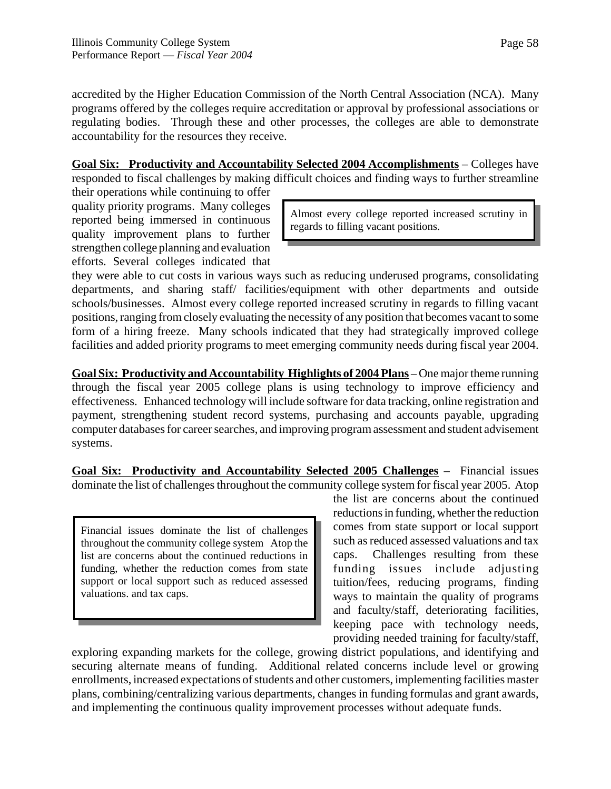accredited by the Higher Education Commission of the North Central Association (NCA). Many programs offered by the colleges require accreditation or approval by professional associations or regulating bodies. Through these and other processes, the colleges are able to demonstrate accountability for the resources they receive.

**Goal Six: Productivity and Accountability Selected 2004 Accomplishments** – Colleges have responded to fiscal challenges by making difficult choices and finding ways to further streamline their operations while continuing to offer

quality priority programs. Many colleges reported being immersed in continuous quality improvement plans to further strengthen college planning and evaluation efforts. Several colleges indicated that

Almost every college reported increased scrutiny in regards to filling vacant positions.

they were able to cut costs in various ways such as reducing underused programs, consolidating departments, and sharing staff/ facilities/equipment with other departments and outside schools/businesses. Almost every college reported increased scrutiny in regards to filling vacant positions, ranging from closely evaluating the necessity of any position that becomes vacant to some form of a hiring freeze. Many schools indicated that they had strategically improved college facilities and added priority programs to meet emerging community needs during fiscal year 2004.

**Goal Six: Productivity and Accountability Highlights of 2004 Plans** – One major theme running through the fiscal year 2005 college plans is using technology to improve efficiency and effectiveness. Enhanced technology will include software for data tracking, online registration and payment, strengthening student record systems, purchasing and accounts payable, upgrading computer databases for career searches, and improving program assessment and student advisement systems.

**Goal Six: Productivity and Accountability Selected 2005 Challenges** – Financial issues dominate the list of challenges throughout the community college system for fiscal year 2005. Atop

Financial issues dominate the list of challenges throughout the community college system Atop the list are concerns about the continued reductions in funding, whether the reduction comes from state support or local support such as reduced assessed valuations. and tax caps.

the list are concerns about the continued reductions in funding, whether the reduction comes from state support or local support such as reduced assessed valuations and tax caps. Challenges resulting from these funding issues include adjusting tuition/fees, reducing programs, finding ways to maintain the quality of programs and faculty/staff, deteriorating facilities, keeping pace with technology needs, providing needed training for faculty/staff,

exploring expanding markets for the college, growing district populations, and identifying and securing alternate means of funding. Additional related concerns include level or growing enrollments, increased expectations of students and other customers, implementing facilities master plans, combining/centralizing various departments, changes in funding formulas and grant awards, and implementing the continuous quality improvement processes without adequate funds.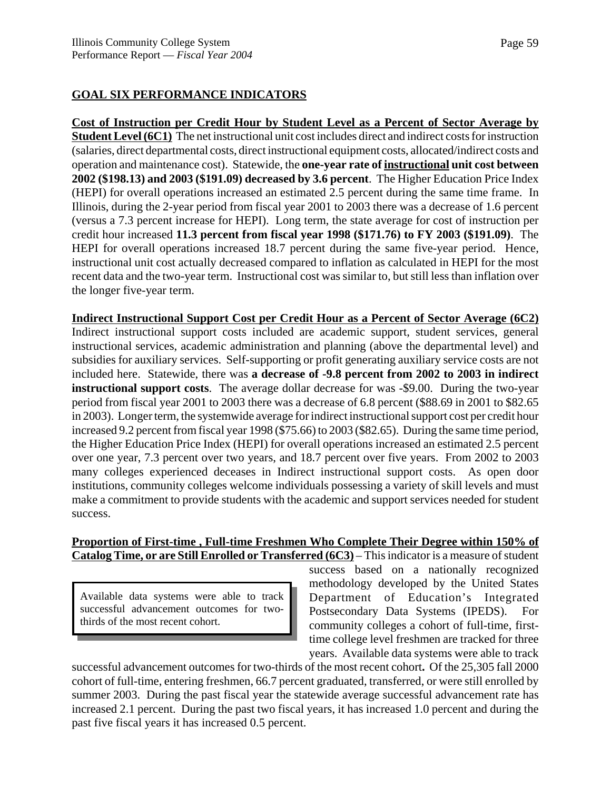# **GOAL SIX PERFORMANCE INDICATORS**

**Cost of Instruction per Credit Hour by Student Level as a Percent of Sector Average by Student Level (6C1)** The net instructional unit cost includes direct and indirect costs for instruction (salaries, direct departmental costs, direct instructional equipment costs, allocated/indirect costs and operation and maintenance cost). Statewide, the **one-year rate of instructional unit cost between 2002 (\$198.13) and 2003 (\$191.09) decreased by 3.6 percent**. The Higher Education Price Index (HEPI) for overall operations increased an estimated 2.5 percent during the same time frame. In Illinois, during the 2-year period from fiscal year 2001 to 2003 there was a decrease of 1.6 percent (versus a 7.3 percent increase for HEPI). Long term, the state average for cost of instruction per credit hour increased **11.3 percent from fiscal year 1998 (\$171.76) to FY 2003 (\$191.09)**. The HEPI for overall operations increased 18.7 percent during the same five-year period. Hence, instructional unit cost actually decreased compared to inflation as calculated in HEPI for the most recent data and the two-year term. Instructional cost was similar to, but still less than inflation over the longer five-year term.

**Indirect Instructional Support Cost per Credit Hour as a Percent of Sector Average (6C2)** Indirect instructional support costs included are academic support, student services, general instructional services, academic administration and planning (above the departmental level) and subsidies for auxiliary services. Self-supporting or profit generating auxiliary service costs are not included here. Statewide, there was **a decrease of -9.8 percent from 2002 to 2003 in indirect instructional support costs**. The average dollar decrease for was -\$9.00. During the two-year period from fiscal year 2001 to 2003 there was a decrease of 6.8 percent (\$88.69 in 2001 to \$82.65 in 2003). Longer term, the systemwide average for indirect instructional support cost per credit hour increased 9.2 percent from fiscal year 1998 (\$75.66) to 2003 (\$82.65). During the same time period, the Higher Education Price Index (HEPI) for overall operations increased an estimated 2.5 percent over one year, 7.3 percent over two years, and 18.7 percent over five years. From 2002 to 2003 many colleges experienced deceases in Indirect instructional support costs. As open door institutions, community colleges welcome individuals possessing a variety of skill levels and must make a commitment to provide students with the academic and support services needed for student success.

# **Proportion of First-time , Full-time Freshmen Who Complete Their Degree within 150% of Catalog Time, or are Still Enrolled or Transferred (6C3)** – This indicator is a measure of student

Available data systems were able to track successful advancement outcomes for twothirds of the most recent cohort.

success based on a nationally recognized methodology developed by the United States Department of Education's Integrated Postsecondary Data Systems (IPEDS). For community colleges a cohort of full-time, firsttime college level freshmen are tracked for three years. Available data systems were able to track

successful advancement outcomes for two-thirds of the most recent cohort**.** Of the 25,305 fall 2000 cohort of full-time, entering freshmen, 66.7 percent graduated, transferred, or were still enrolled by summer 2003. During the past fiscal year the statewide average successful advancement rate has increased 2.1 percent. During the past two fiscal years, it has increased 1.0 percent and during the past five fiscal years it has increased 0.5 percent.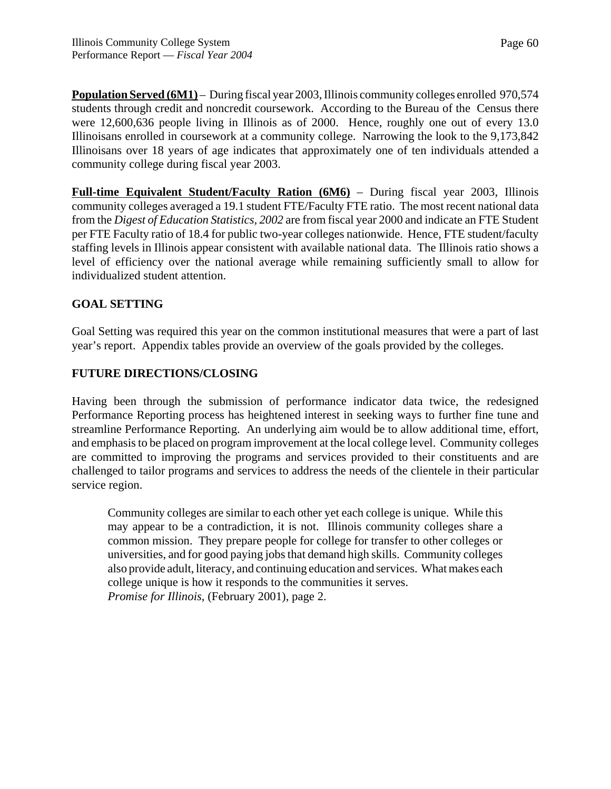**Population Served (6M1)** – During fiscal year 2003, Illinois community colleges enrolled 970,574 students through credit and noncredit coursework. According to the Bureau of the Census there were 12,600,636 people living in Illinois as of 2000. Hence, roughly one out of every 13.0 Illinoisans enrolled in coursework at a community college. Narrowing the look to the 9,173,842 Illinoisans over 18 years of age indicates that approximately one of ten individuals attended a community college during fiscal year 2003.

**Full-time Equivalent Student/Faculty Ration (6M6)** – During fiscal year 2003, Illinois community colleges averaged a 19.1 student FTE/Faculty FTE ratio. The most recent national data from the *Digest of Education Statistics, 2002* are from fiscal year 2000 and indicate an FTE Student per FTE Faculty ratio of 18.4 for public two-year colleges nationwide. Hence, FTE student/faculty staffing levels in Illinois appear consistent with available national data. The Illinois ratio shows a level of efficiency over the national average while remaining sufficiently small to allow for individualized student attention.

# **GOAL SETTING**

Goal Setting was required this year on the common institutional measures that were a part of last year's report. Appendix tables provide an overview of the goals provided by the colleges.

# **FUTURE DIRECTIONS/CLOSING**

Having been through the submission of performance indicator data twice, the redesigned Performance Reporting process has heightened interest in seeking ways to further fine tune and streamline Performance Reporting. An underlying aim would be to allow additional time, effort, and emphasis to be placed on program improvement at the local college level. Community colleges are committed to improving the programs and services provided to their constituents and are challenged to tailor programs and services to address the needs of the clientele in their particular service region.

Community colleges are similar to each other yet each college is unique. While this may appear to be a contradiction, it is not. Illinois community colleges share a common mission. They prepare people for college for transfer to other colleges or universities, and for good paying jobs that demand high skills. Community colleges also provide adult, literacy, and continuing education and services. What makes each college unique is how it responds to the communities it serves. *Promise for Illinois*, (February 2001), page 2.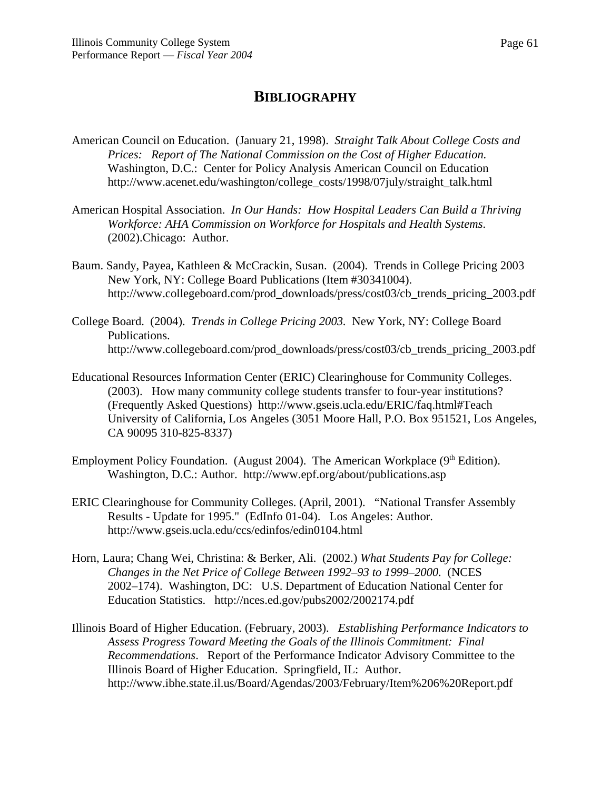# **BIBLIOGRAPHY**

- American Council on Education. (January 21, 1998). *Straight Talk About College Costs and Prices: Report of The National Commission on the Cost of Higher Education.*  Washington, D.C.: Center for Policy Analysis American Council on Education http://www.acenet.edu/washington/college\_costs/1998/07july/straight\_talk.html
- American Hospital Association. *In Our Hands: How Hospital Leaders Can Build a Thriving Workforce: AHA Commission on Workforce for Hospitals and Health Systems*. (2002).Chicago: Author.
- Baum. Sandy, Payea, Kathleen & McCrackin, Susan. (2004). Trends in College Pricing 2003 New York, NY: College Board Publications (Item #30341004). http://www.collegeboard.com/prod\_downloads/press/cost03/cb\_trends\_pricing\_2003.pdf
- College Board. (2004). *Trends in College Pricing 2003.* New York, NY: College Board Publications. http://www.collegeboard.com/prod\_downloads/press/cost03/cb\_trends\_pricing\_2003.pdf
- Educational Resources Information Center (ERIC) Clearinghouse for Community Colleges. (2003). How many community college students transfer to four-year institutions? (Frequently Asked Questions) http://www.gseis.ucla.edu/ERIC/faq.html#Teach University of California, Los Angeles (3051 Moore Hall, P.O. Box 951521, Los Angeles, CA 90095 310-825-8337)
- Employment Policy Foundation. (August 2004). The American Workplace  $(9<sup>th</sup> Edition)$ . Washington, D.C.: Author. http://www.epf.org/about/publications.asp
- ERIC Clearinghouse for Community Colleges. (April, 2001). "National Transfer Assembly Results - Update for 1995." (EdInfo 01-04). Los Angeles: Author. http://www.gseis.ucla.edu/ccs/edinfos/edin0104.html
- Horn, Laura; Chang Wei, Christina: & Berker, Ali. (2002.) *What Students Pay for College: Changes in the Net Price of College Between 1992–93 to 1999–2000.* (NCES 2002–174). Washington, DC: U.S. Department of Education National Center for Education Statistics. http://nces.ed.gov/pubs2002/2002174.pdf
- Illinois Board of Higher Education. (February, 2003). *Establishing Performance Indicators to Assess Progress Toward Meeting the Goals of the Illinois Commitment: Final Recommendations*. Report of the Performance Indicator Advisory Committee to the Illinois Board of Higher Education. Springfield, IL: Author. http://www.ibhe.state.il.us/Board/Agendas/2003/February/Item%206%20Report.pdf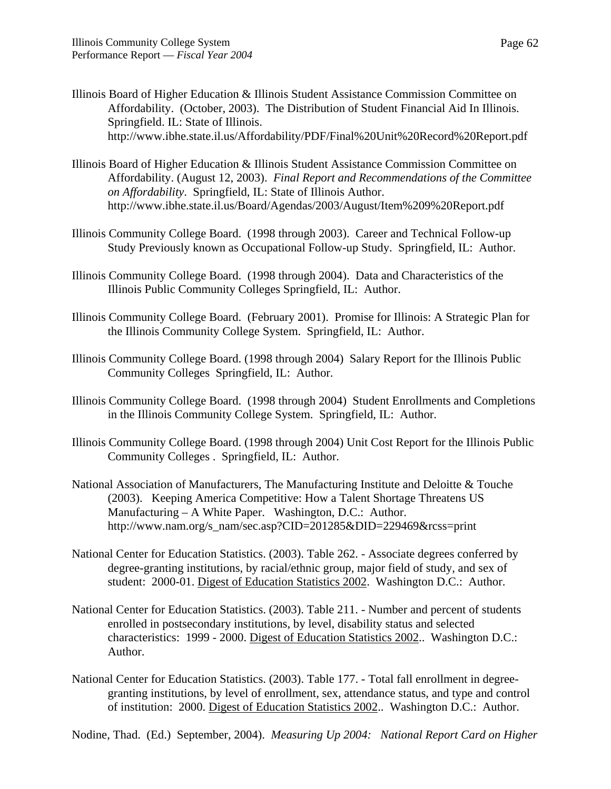- Illinois Board of Higher Education & Illinois Student Assistance Commission Committee on Affordability. (October, 2003). The Distribution of Student Financial Aid In Illinois. Springfield. IL: State of Illinois. http://www.ibhe.state.il.us/Affordability/PDF/Final%20Unit%20Record%20Report.pdf
- Illinois Board of Higher Education & Illinois Student Assistance Commission Committee on Affordability. (August 12, 2003). *Final Report and Recommendations of the Committee on Affordability*. Springfield, IL: State of Illinois Author. http://www.ibhe.state.il.us/Board/Agendas/2003/August/Item%209%20Report.pdf
- Illinois Community College Board. (1998 through 2003). Career and Technical Follow-up Study Previously known as Occupational Follow-up Study. Springfield, IL: Author.
- Illinois Community College Board. (1998 through 2004). Data and Characteristics of the Illinois Public Community Colleges Springfield, IL: Author.
- Illinois Community College Board. (February 2001). Promise for Illinois: A Strategic Plan for the Illinois Community College System. Springfield, IL: Author.
- Illinois Community College Board. (1998 through 2004) Salary Report for the Illinois Public Community Colleges Springfield, IL: Author.
- Illinois Community College Board. (1998 through 2004) Student Enrollments and Completions in the Illinois Community College System. Springfield, IL: Author.
- Illinois Community College Board. (1998 through 2004) Unit Cost Report for the Illinois Public Community Colleges . Springfield, IL: Author.
- National Association of Manufacturers, The Manufacturing Institute and Deloitte & Touche (2003). Keeping America Competitive: How a Talent Shortage Threatens US Manufacturing – A White Paper. Washington, D.C.: Author. http://www.nam.org/s\_nam/sec.asp?CID=201285&DID=229469&rcss=print
- National Center for Education Statistics. (2003). Table 262. Associate degrees conferred by degree-granting institutions, by racial/ethnic group, major field of study, and sex of student: 2000-01. Digest of Education Statistics 2002. Washington D.C.: Author.
- National Center for Education Statistics. (2003). Table 211. Number and percent of students enrolled in postsecondary institutions, by level, disability status and selected characteristics: 1999 - 2000. Digest of Education Statistics 2002.. Washington D.C.: Author.
- National Center for Education Statistics. (2003). Table 177. Total fall enrollment in degreegranting institutions, by level of enrollment, sex, attendance status, and type and control of institution: 2000. Digest of Education Statistics 2002.. Washington D.C.: Author.

Nodine, Thad. (Ed.) September, 2004). *Measuring Up 2004: National Report Card on Higher*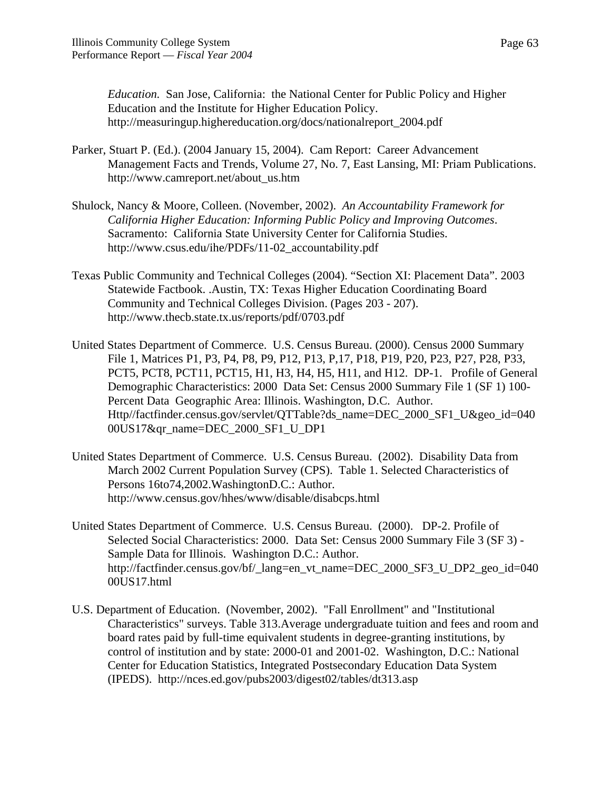*Education.* San Jose, California: the National Center for Public Policy and Higher Education and the Institute for Higher Education Policy. http://measuringup.highereducation.org/docs/nationalreport\_2004.pdf

- Parker, Stuart P. (Ed.). (2004 January 15, 2004). Cam Report: Career Advancement Management Facts and Trends, Volume 27, No. 7, East Lansing, MI: Priam Publications. http://www.camreport.net/about\_us.htm
- Shulock, Nancy & Moore, Colleen. (November, 2002). *An Accountability Framework for California Higher Education: Informing Public Policy and Improving Outcomes*. Sacramento: California State University Center for California Studies. http://www.csus.edu/ihe/PDFs/11-02\_accountability.pdf
- Texas Public Community and Technical Colleges (2004). "Section XI: Placement Data". 2003 Statewide Factbook. .Austin, TX: Texas Higher Education Coordinating Board Community and Technical Colleges Division. (Pages 203 - 207). http://www.thecb.state.tx.us/reports/pdf/0703.pdf
- United States Department of Commerce. U.S. Census Bureau. (2000). Census 2000 Summary File 1, Matrices P1, P3, P4, P8, P9, P12, P13, P,17, P18, P19, P20, P23, P27, P28, P33, PCT5, PCT8, PCT11, PCT15, H1, H3, H4, H5, H11, and H12. DP-1. Profile of General Demographic Characteristics: 2000 Data Set: Census 2000 Summary File 1 (SF 1) 100- Percent Data Geographic Area: Illinois. Washington, D.C. Author. Http//factfinder.census.gov/servlet/QTTable?ds\_name=DEC\_2000\_SF1\_U&geo\_id=040 00US17&qr\_name=DEC\_2000\_SF1\_U\_DP1
- United States Department of Commerce. U.S. Census Bureau. (2002). Disability Data from March 2002 Current Population Survey (CPS). Table 1. Selected Characteristics of Persons 16to74,2002.WashingtonD.C.: Author. http://www.census.gov/hhes/www/disable/disabcps.html
- United States Department of Commerce. U.S. Census Bureau. (2000). DP-2. Profile of Selected Social Characteristics: 2000. Data Set: Census 2000 Summary File 3 (SF 3) - Sample Data for Illinois. Washington D.C.: Author. http://factfinder.census.gov/bf/\_lang=en\_vt\_name=DEC\_2000\_SF3\_U\_DP2\_geo\_id=040 00US17.html
- U.S. Department of Education. (November, 2002). "Fall Enrollment" and "Institutional Characteristics" surveys. Table 313.Average undergraduate tuition and fees and room and board rates paid by full-time equivalent students in degree-granting institutions, by control of institution and by state: 2000-01 and 2001-02. Washington, D.C.: National Center for Education Statistics, Integrated Postsecondary Education Data System (IPEDS). http://nces.ed.gov/pubs2003/digest02/tables/dt313.asp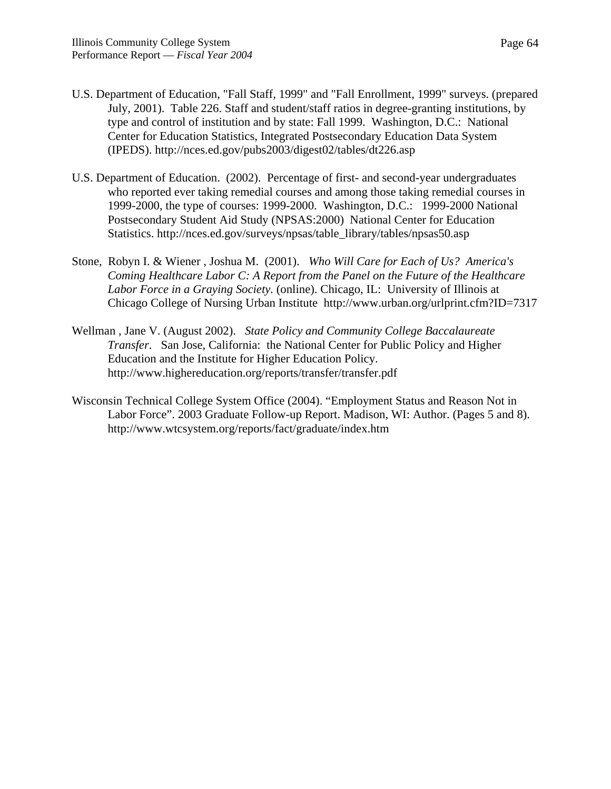- U.S. Department of Education, "Fall Staff, 1999" and "Fall Enrollment, 1999" surveys. (prepared July, 2001). Table 226. Staff and student/staff ratios in degree-granting institutions, by type and control of institution and by state: Fall 1999. Washington, D.C.: National Center for Education Statistics, Integrated Postsecondary Education Data System (IPEDS). http://nces.ed.gov/pubs2003/digest02/tables/dt226.asp
- U.S. Department of Education. (2002). Percentage of first- and second-year undergraduates who reported ever taking remedial courses and among those taking remedial courses in 1999-2000, the type of courses: 1999-2000. Washington, D.C.: 1999-2000 National Postsecondary Student Aid Study (NPSAS:2000) National Center for Education Statistics. http://nces.ed.gov/surveys/npsas/table\_library/tables/npsas50.asp
- Stone, Robyn I. & Wiener , Joshua M. (2001). *Who Will Care for Each of Us? America's Coming Healthcare Labor C: A Report from the Panel on the Future of the Healthcare Labor Force in a Graying Society.* (online). Chicago, IL: University of Illinois at Chicago College of Nursing Urban Institute http://www.urban.org/urlprint.cfm?ID=7317
- Wellman , Jane V. (August 2002). *State Policy and Community College Baccalaureate Transfer*. San Jose, California: the National Center for Public Policy and Higher Education and the Institute for Higher Education Policy. http://www.highereducation.org/reports/transfer/transfer.pdf
- Wisconsin Technical College System Office (2004). "Employment Status and Reason Not in Labor Force". 2003 Graduate Follow-up Report. Madison, WI: Author. (Pages 5 and 8). http://www.wtcsystem.org/reports/fact/graduate/index.htm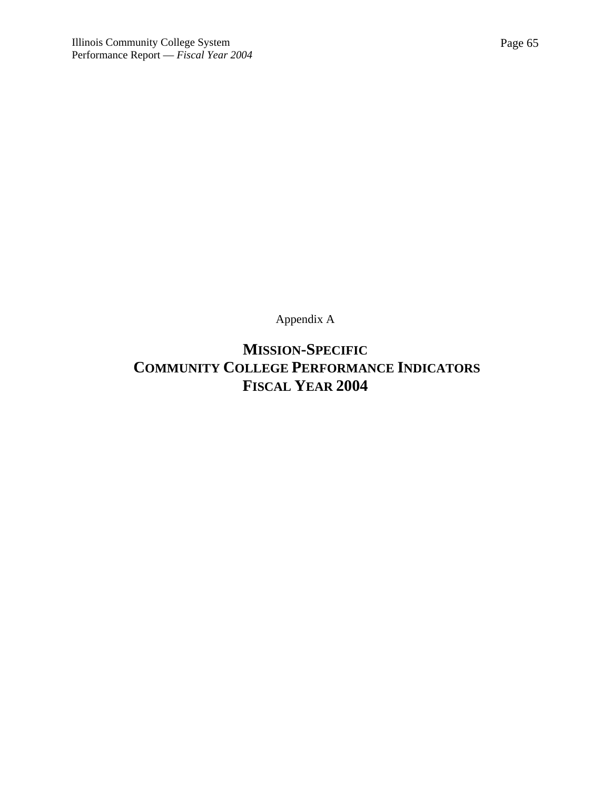Appendix A

**MISSION-SPECIFIC COMMUNITY COLLEGE PERFORMANCE INDICATORS FISCAL YEAR 2004**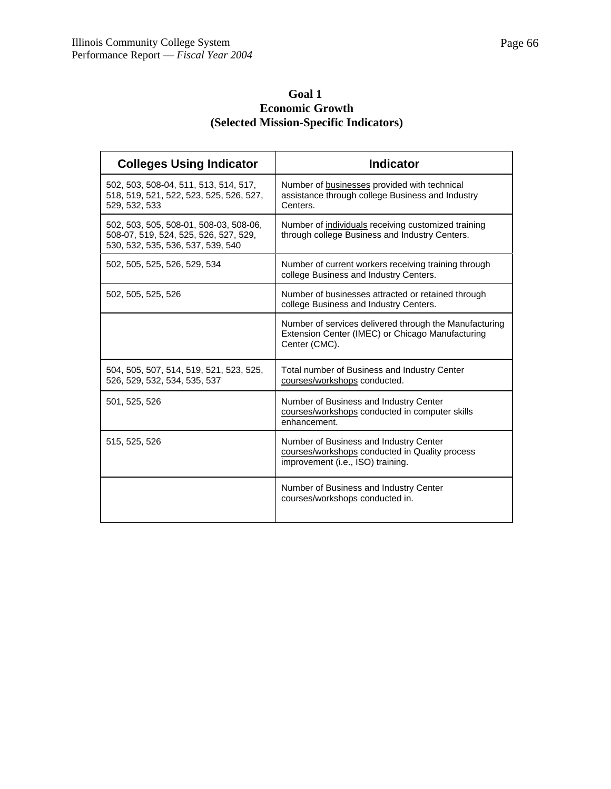# **Goal 1 Economic Growth (Selected Mission-Specific Indicators)**

| <b>Colleges Using Indicator</b>                                                                                      | <b>Indicator</b>                                                                                                              |
|----------------------------------------------------------------------------------------------------------------------|-------------------------------------------------------------------------------------------------------------------------------|
| 502, 503, 508-04, 511, 513, 514, 517,<br>518, 519, 521, 522, 523, 525, 526, 527,<br>529, 532, 533                    | Number of businesses provided with technical<br>assistance through college Business and Industry<br>Centers.                  |
| 502, 503, 505, 508-01, 508-03, 508-06,<br>508-07, 519, 524, 525, 526, 527, 529,<br>530, 532, 535, 536, 537, 539, 540 | Number of individuals receiving customized training<br>through college Business and Industry Centers.                         |
| 502, 505, 525, 526, 529, 534                                                                                         | Number of current workers receiving training through<br>college Business and Industry Centers.                                |
| 502, 505, 525, 526                                                                                                   | Number of businesses attracted or retained through<br>college Business and Industry Centers.                                  |
|                                                                                                                      | Number of services delivered through the Manufacturing<br>Extension Center (IMEC) or Chicago Manufacturing<br>Center (CMC).   |
| 504, 505, 507, 514, 519, 521, 523, 525,<br>526, 529, 532, 534, 535, 537                                              | Total number of Business and Industry Center<br>courses/workshops conducted.                                                  |
| 501, 525, 526                                                                                                        | Number of Business and Industry Center<br>courses/workshops conducted in computer skills<br>enhancement.                      |
| 515, 525, 526                                                                                                        | Number of Business and Industry Center<br>courses/workshops conducted in Quality process<br>improvement (i.e., ISO) training. |
|                                                                                                                      | Number of Business and Industry Center<br>courses/workshops conducted in.                                                     |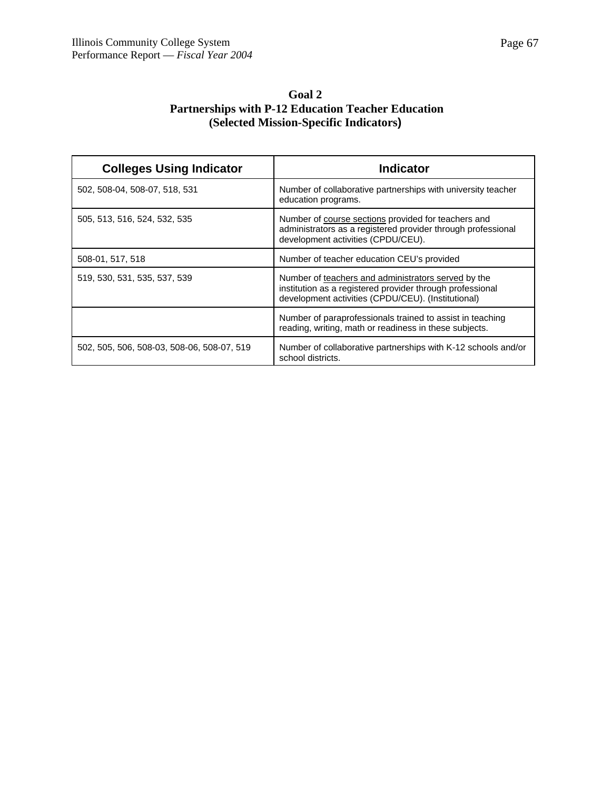| <b>Goal 2</b>                                             |
|-----------------------------------------------------------|
| <b>Partnerships with P-12 Education Teacher Education</b> |
| (Selected Mission-Specific Indicators)                    |

| <b>Colleges Using Indicator</b>            | <b>Indicator</b>                                                                                                                                                       |
|--------------------------------------------|------------------------------------------------------------------------------------------------------------------------------------------------------------------------|
| 502, 508-04, 508-07, 518, 531              | Number of collaborative partnerships with university teacher<br>education programs.                                                                                    |
| 505, 513, 516, 524, 532, 535               | Number of course sections provided for teachers and<br>administrators as a registered provider through professional<br>development activities (CPDU/CEU).              |
| 508-01, 517, 518                           | Number of teacher education CEU's provided                                                                                                                             |
| 519, 530, 531, 535, 537, 539               | Number of teachers and administrators served by the<br>institution as a registered provider through professional<br>development activities (CPDU/CEU). (Institutional) |
|                                            | Number of paraprofessionals trained to assist in teaching<br>reading, writing, math or readiness in these subjects.                                                    |
| 502, 505, 506, 508-03, 508-06, 508-07, 519 | Number of collaborative partnerships with K-12 schools and/or<br>school districts.                                                                                     |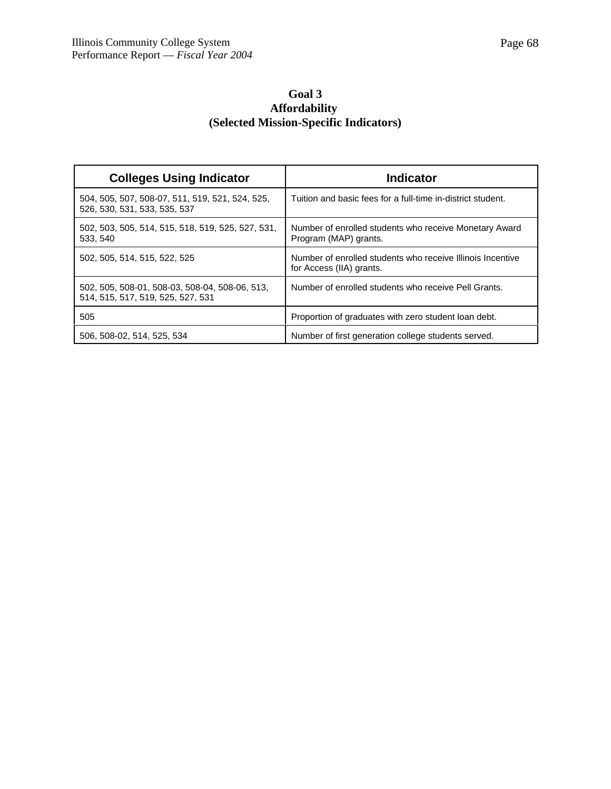# **Goal 3 Affordability (Selected Mission-Specific Indicators)**

| <b>Colleges Using Indicator</b>                                                     | <b>Indicator</b>                                                                       |
|-------------------------------------------------------------------------------------|----------------------------------------------------------------------------------------|
| 504, 505, 507, 508-07, 511, 519, 521, 524, 525,<br>526, 530, 531, 533, 535, 537     | Tuition and basic fees for a full-time in-district student.                            |
| 502, 503, 505, 514, 515, 518, 519, 525, 527, 531,<br>533, 540                       | Number of enrolled students who receive Monetary Award<br>Program (MAP) grants.        |
| 502, 505, 514, 515, 522, 525                                                        | Number of enrolled students who receive Illinois Incentive<br>for Access (IIA) grants. |
| 502, 505, 508-01, 508-03, 508-04, 508-06, 513,<br>514, 515, 517, 519, 525, 527, 531 | Number of enrolled students who receive Pell Grants.                                   |
| 505                                                                                 | Proportion of graduates with zero student loan debt.                                   |
| 506, 508-02, 514, 525, 534                                                          | Number of first generation college students served.                                    |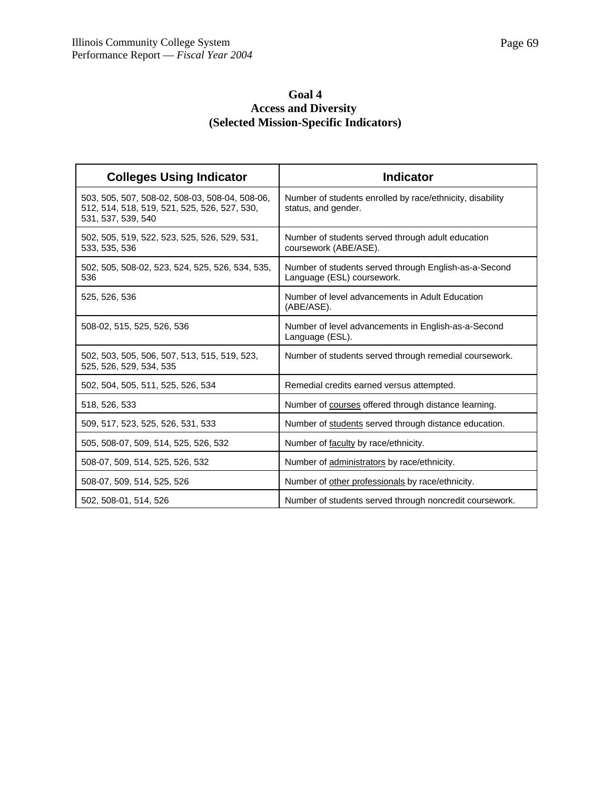# **Goal 4 Access and Diversity (Selected Mission-Specific Indicators)**

| <b>Colleges Using Indicator</b>                                                                                      | <b>Indicator</b>                                                                    |
|----------------------------------------------------------------------------------------------------------------------|-------------------------------------------------------------------------------------|
| 503, 505, 507, 508-02, 508-03, 508-04, 508-06,<br>512, 514, 518, 519, 521, 525, 526, 527, 530,<br>531, 537, 539, 540 | Number of students enrolled by race/ethnicity, disability<br>status, and gender.    |
| 502, 505, 519, 522, 523, 525, 526, 529, 531,<br>533, 535, 536                                                        | Number of students served through adult education<br>coursework (ABE/ASE).          |
| 502, 505, 508-02, 523, 524, 525, 526, 534, 535,<br>536                                                               | Number of students served through English-as-a-Second<br>Language (ESL) coursework. |
| 525, 526, 536                                                                                                        | Number of level advancements in Adult Education<br>(ABE/ASE).                       |
| 508-02, 515, 525, 526, 536                                                                                           | Number of level advancements in English-as-a-Second<br>Language (ESL).              |
| 502, 503, 505, 506, 507, 513, 515, 519, 523,<br>525, 526, 529, 534, 535                                              | Number of students served through remedial coursework.                              |
| 502, 504, 505, 511, 525, 526, 534                                                                                    | Remedial credits earned versus attempted.                                           |
| 518, 526, 533                                                                                                        | Number of courses offered through distance learning.                                |
| 509, 517, 523, 525, 526, 531, 533                                                                                    | Number of students served through distance education.                               |
| 505, 508-07, 509, 514, 525, 526, 532                                                                                 | Number of faculty by race/ethnicity.                                                |
| 508-07, 509, 514, 525, 526, 532                                                                                      | Number of administrators by race/ethnicity.                                         |
| 508-07, 509, 514, 525, 526                                                                                           | Number of other professionals by race/ethnicity.                                    |
| 502, 508-01, 514, 526                                                                                                | Number of students served through noncredit coursework.                             |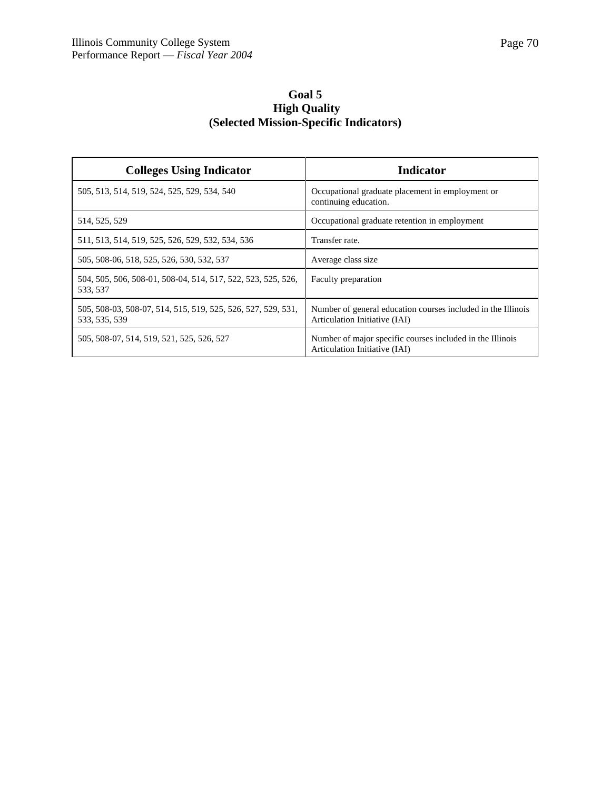# **Goal 5 High Quality (Selected Mission-Specific Indicators)**

| <b>Colleges Using Indicator</b>                                               | Indicator                                                                                     |
|-------------------------------------------------------------------------------|-----------------------------------------------------------------------------------------------|
| 505, 513, 514, 519, 524, 525, 529, 534, 540                                   | Occupational graduate placement in employment or<br>continuing education.                     |
| 514, 525, 529                                                                 | Occupational graduate retention in employment                                                 |
| 511, 513, 514, 519, 525, 526, 529, 532, 534, 536                              | Transfer rate.                                                                                |
| 505, 508-06, 518, 525, 526, 530, 532, 537                                     | Average class size                                                                            |
| 504, 505, 506, 508-01, 508-04, 514, 517, 522, 523, 525, 526,<br>533, 537      | Faculty preparation                                                                           |
| 505, 508-03, 508-07, 514, 515, 519, 525, 526, 527, 529, 531,<br>533, 535, 539 | Number of general education courses included in the Illinois<br>Articulation Initiative (IAI) |
| 505, 508-07, 514, 519, 521, 525, 526, 527                                     | Number of major specific courses included in the Illinois<br>Articulation Initiative (IAI)    |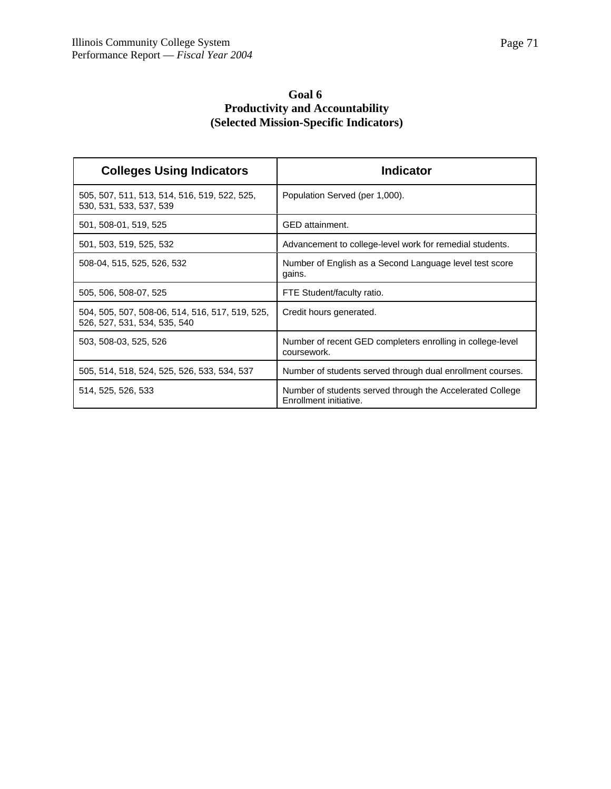# **Goal 6 Productivity and Accountability (Selected Mission-Specific Indicators)**

| <b>Colleges Using Indicators</b>                                                | <b>Indicator</b>                                                                    |
|---------------------------------------------------------------------------------|-------------------------------------------------------------------------------------|
| 505, 507, 511, 513, 514, 516, 519, 522, 525,<br>530, 531, 533, 537, 539         | Population Served (per 1,000).                                                      |
| 501, 508-01, 519, 525                                                           | GED attainment.                                                                     |
| 501, 503, 519, 525, 532                                                         | Advancement to college-level work for remedial students.                            |
| 508-04, 515, 525, 526, 532                                                      | Number of English as a Second Language level test score<br>gains.                   |
| 505, 506, 508-07, 525                                                           | FTE Student/faculty ratio.                                                          |
| 504, 505, 507, 508-06, 514, 516, 517, 519, 525,<br>526, 527, 531, 534, 535, 540 | Credit hours generated.                                                             |
| 503, 508-03, 525, 526                                                           | Number of recent GED completers enrolling in college-level<br>coursework.           |
| 505, 514, 518, 524, 525, 526, 533, 534, 537                                     | Number of students served through dual enrollment courses.                          |
| 514, 525, 526, 533                                                              | Number of students served through the Accelerated College<br>Enrollment initiative. |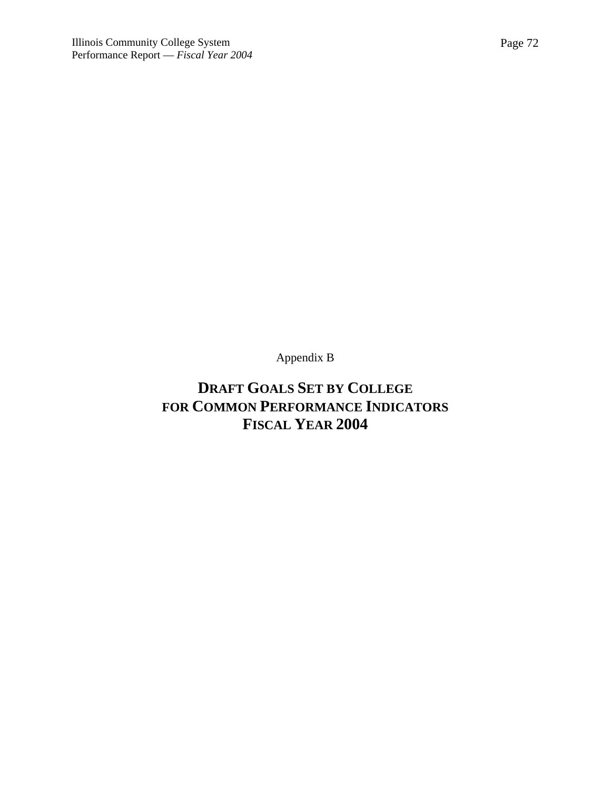Appendix B

# **DRAFT GOALS SET BY COLLEGE FOR COMMON PERFORMANCE INDICATORS FISCAL YEAR 2004**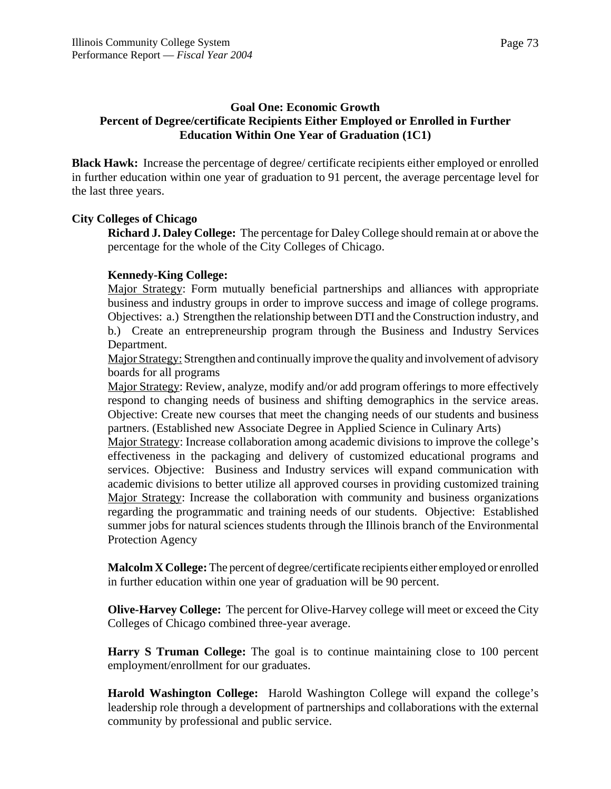# **Goal One: Economic Growth Percent of Degree/certificate Recipients Either Employed or Enrolled in Further Education Within One Year of Graduation (1C1)**

**Black Hawk:** Increase the percentage of degree/ certificate recipients either employed or enrolled in further education within one year of graduation to 91 percent, the average percentage level for the last three years.

## **City Colleges of Chicago**

**Richard J. Daley College:** The percentage for Daley College should remain at or above the percentage for the whole of the City Colleges of Chicago.

#### **Kennedy-King College:**

Major Strategy: Form mutually beneficial partnerships and alliances with appropriate business and industry groups in order to improve success and image of college programs. Objectives: a.) Strengthen the relationship between DTI and the Construction industry, and b.) Create an entrepreneurship program through the Business and Industry Services Department.

Major Strategy: Strengthen and continually improve the quality and involvement of advisory boards for all programs

Major Strategy: Review, analyze, modify and/or add program offerings to more effectively respond to changing needs of business and shifting demographics in the service areas. Objective: Create new courses that meet the changing needs of our students and business partners. (Established new Associate Degree in Applied Science in Culinary Arts)

Major Strategy: Increase collaboration among academic divisions to improve the college's effectiveness in the packaging and delivery of customized educational programs and services. Objective: Business and Industry services will expand communication with academic divisions to better utilize all approved courses in providing customized training Major Strategy: Increase the collaboration with community and business organizations regarding the programmatic and training needs of our students. Objective: Established summer jobs for natural sciences students through the Illinois branch of the Environmental Protection Agency

**Malcolm X College:** The percent of degree/certificate recipients either employed or enrolled in further education within one year of graduation will be 90 percent.

**Olive-Harvey College:** The percent for Olive-Harvey college will meet or exceed the City Colleges of Chicago combined three-year average.

**Harry S Truman College:** The goal is to continue maintaining close to 100 percent employment/enrollment for our graduates.

**Harold Washington College:** Harold Washington College will expand the college's leadership role through a development of partnerships and collaborations with the external community by professional and public service.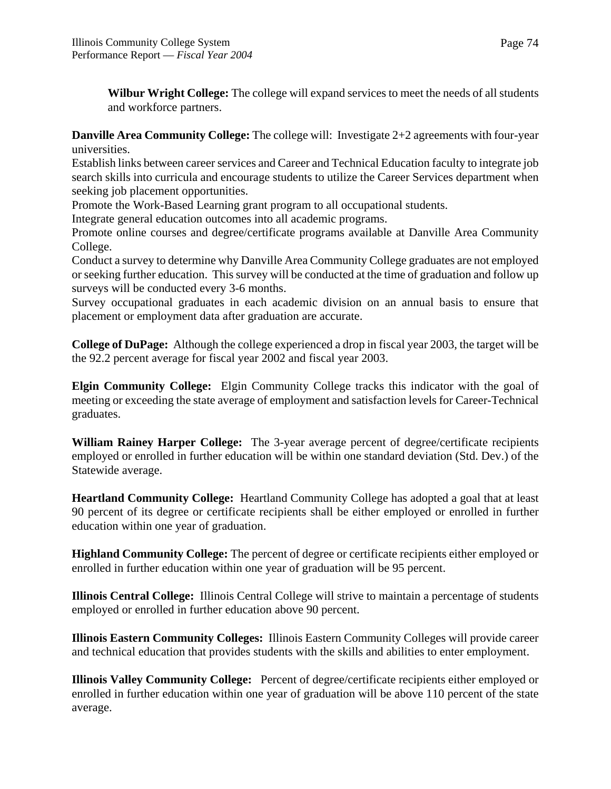**Wilbur Wright College:** The college will expand services to meet the needs of all students and workforce partners.

**Danville Area Community College:** The college will: Investigate 2+2 agreements with four-year universities.

Establish links between career services and Career and Technical Education faculty to integrate job search skills into curricula and encourage students to utilize the Career Services department when seeking job placement opportunities.

Promote the Work-Based Learning grant program to all occupational students.

Integrate general education outcomes into all academic programs.

Promote online courses and degree/certificate programs available at Danville Area Community College.

Conduct a survey to determine why Danville Area Community College graduates are not employed or seeking further education. This survey will be conducted at the time of graduation and follow up surveys will be conducted every 3-6 months.

Survey occupational graduates in each academic division on an annual basis to ensure that placement or employment data after graduation are accurate.

**College of DuPage:** Although the college experienced a drop in fiscal year 2003, the target will be the 92.2 percent average for fiscal year 2002 and fiscal year 2003.

**Elgin Community College:** Elgin Community College tracks this indicator with the goal of meeting or exceeding the state average of employment and satisfaction levels for Career-Technical graduates.

**William Rainey Harper College:** The 3-year average percent of degree/certificate recipients employed or enrolled in further education will be within one standard deviation (Std. Dev.) of the Statewide average.

**Heartland Community College:** Heartland Community College has adopted a goal that at least 90 percent of its degree or certificate recipients shall be either employed or enrolled in further education within one year of graduation.

**Highland Community College:** The percent of degree or certificate recipients either employed or enrolled in further education within one year of graduation will be 95 percent.

**Illinois Central College:** Illinois Central College will strive to maintain a percentage of students employed or enrolled in further education above 90 percent.

**Illinois Eastern Community Colleges:** Illinois Eastern Community Colleges will provide career and technical education that provides students with the skills and abilities to enter employment.

**Illinois Valley Community College:** Percent of degree/certificate recipients either employed or enrolled in further education within one year of graduation will be above 110 percent of the state average.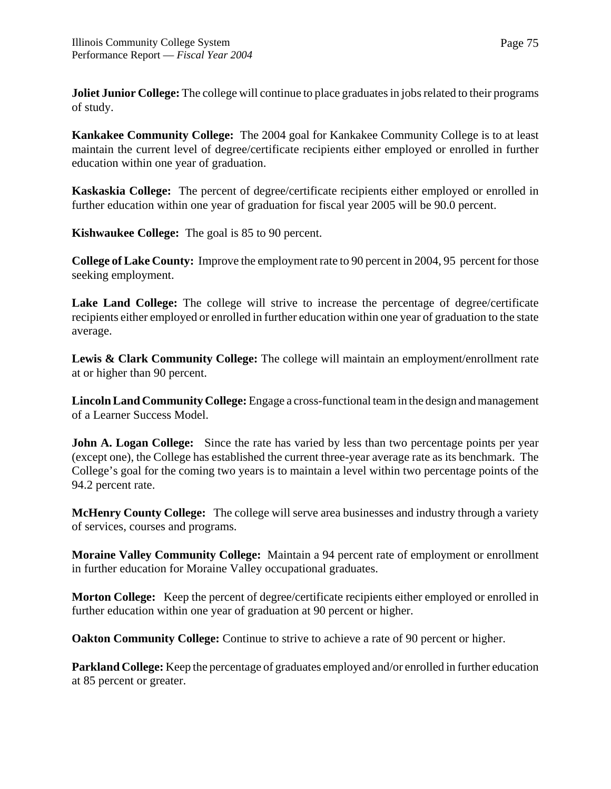**Joliet Junior College:** The college will continue to place graduates in jobs related to their programs of study.

**Kankakee Community College:** The 2004 goal for Kankakee Community College is to at least maintain the current level of degree/certificate recipients either employed or enrolled in further education within one year of graduation.

**Kaskaskia College:** The percent of degree/certificate recipients either employed or enrolled in further education within one year of graduation for fiscal year 2005 will be 90.0 percent.

**Kishwaukee College:** The goal is 85 to 90 percent.

**College of Lake County:** Improve the employment rate to 90 percent in 2004, 95 percent for those seeking employment.

**Lake Land College:** The college will strive to increase the percentage of degree/certificate recipients either employed or enrolled in further education within one year of graduation to the state average.

Lewis & Clark Community College: The college will maintain an employment/enrollment rate at or higher than 90 percent.

**Lincoln Land Community College:** Engage a cross-functional team in the design and management of a Learner Success Model.

**John A. Logan College:** Since the rate has varied by less than two percentage points per year (except one), the College has established the current three-year average rate as its benchmark. The College's goal for the coming two years is to maintain a level within two percentage points of the 94.2 percent rate.

**McHenry County College:** The college will serve area businesses and industry through a variety of services, courses and programs.

**Moraine Valley Community College:** Maintain a 94 percent rate of employment or enrollment in further education for Moraine Valley occupational graduates.

**Morton College:** Keep the percent of degree/certificate recipients either employed or enrolled in further education within one year of graduation at 90 percent or higher.

**Oakton Community College:** Continue to strive to achieve a rate of 90 percent or higher.

**Parkland College:** Keep the percentage of graduates employed and/or enrolled in further education at 85 percent or greater.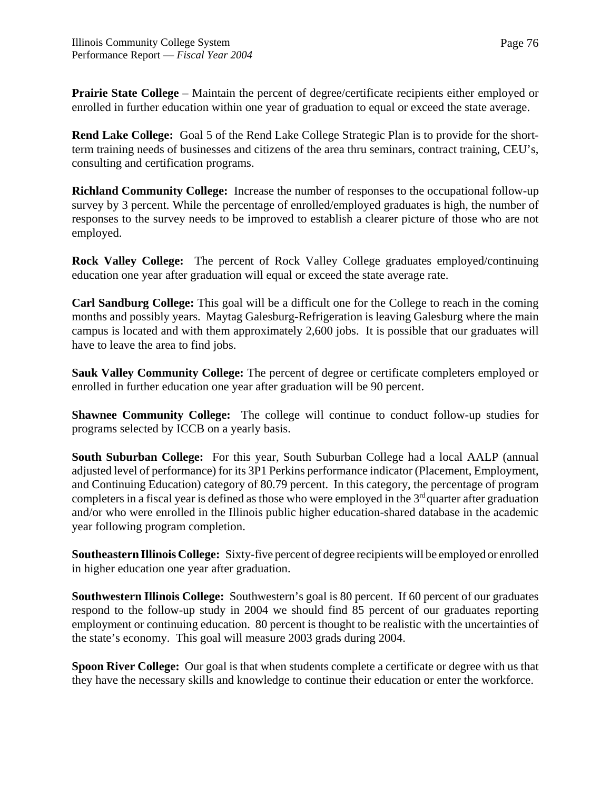**Prairie State College** – Maintain the percent of degree/certificate recipients either employed or enrolled in further education within one year of graduation to equal or exceed the state average.

**Rend Lake College:** Goal 5 of the Rend Lake College Strategic Plan is to provide for the shortterm training needs of businesses and citizens of the area thru seminars, contract training, CEU's, consulting and certification programs.

**Richland Community College:** Increase the number of responses to the occupational follow-up survey by 3 percent. While the percentage of enrolled/employed graduates is high, the number of responses to the survey needs to be improved to establish a clearer picture of those who are not employed.

**Rock Valley College:** The percent of Rock Valley College graduates employed/continuing education one year after graduation will equal or exceed the state average rate.

**Carl Sandburg College:** This goal will be a difficult one for the College to reach in the coming months and possibly years. Maytag Galesburg-Refrigeration is leaving Galesburg where the main campus is located and with them approximately 2,600 jobs. It is possible that our graduates will have to leave the area to find jobs.

**Sauk Valley Community College:** The percent of degree or certificate completers employed or enrolled in further education one year after graduation will be 90 percent.

**Shawnee Community College:** The college will continue to conduct follow-up studies for programs selected by ICCB on a yearly basis.

**South Suburban College:** For this year, South Suburban College had a local AALP (annual adjusted level of performance) for its 3P1 Perkins performance indicator (Placement, Employment, and Continuing Education) category of 80.79 percent. In this category, the percentage of program completers in a fiscal year is defined as those who were employed in the  $3<sup>rd</sup>$  quarter after graduation and/or who were enrolled in the Illinois public higher education-shared database in the academic year following program completion.

**Southeastern Illinois College:** Sixty-five percent of degree recipients will be employed or enrolled in higher education one year after graduation.

**Southwestern Illinois College:** Southwestern's goal is 80 percent. If 60 percent of our graduates respond to the follow-up study in 2004 we should find 85 percent of our graduates reporting employment or continuing education. 80 percent is thought to be realistic with the uncertainties of the state's economy. This goal will measure 2003 grads during 2004.

**Spoon River College:** Our goal is that when students complete a certificate or degree with us that they have the necessary skills and knowledge to continue their education or enter the workforce.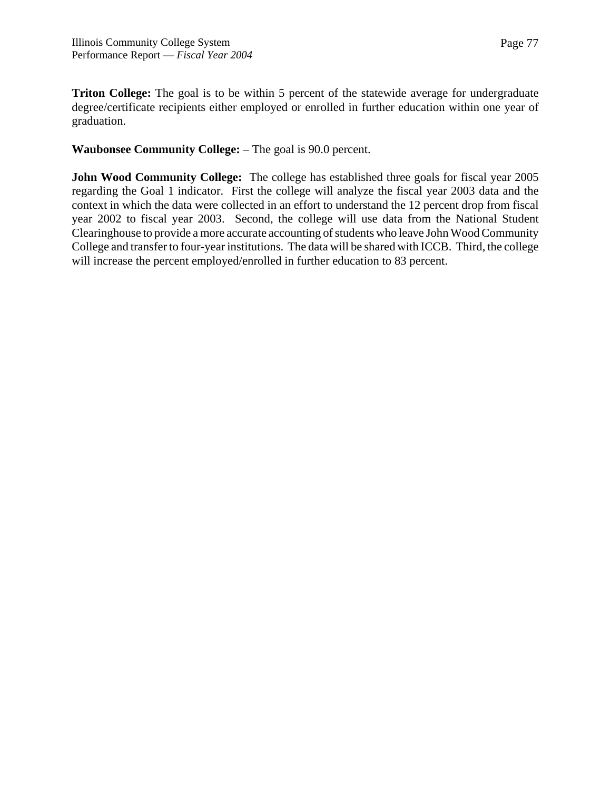**Triton College:** The goal is to be within 5 percent of the statewide average for undergraduate degree/certificate recipients either employed or enrolled in further education within one year of graduation.

**Waubonsee Community College:** – The goal is 90.0 percent.

**John Wood Community College:** The college has established three goals for fiscal year 2005 regarding the Goal 1 indicator. First the college will analyze the fiscal year 2003 data and the context in which the data were collected in an effort to understand the 12 percent drop from fiscal year 2002 to fiscal year 2003. Second, the college will use data from the National Student Clearinghouse to provide a more accurate accounting of students who leave John Wood Community College and transfer to four-year institutions. The data will be shared with ICCB. Third, the college will increase the percent employed/enrolled in further education to 83 percent.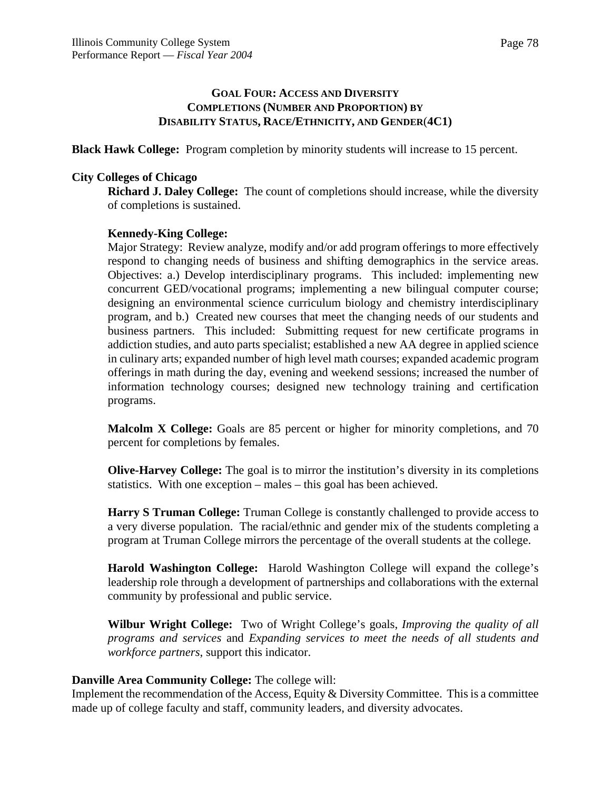**Black Hawk College:** Program completion by minority students will increase to 15 percent.

## **City Colleges of Chicago**

**Richard J. Daley College:** The count of completions should increase, while the diversity of completions is sustained.

## **Kennedy-King College:**

Major Strategy: Review analyze, modify and/or add program offerings to more effectively respond to changing needs of business and shifting demographics in the service areas. Objectives: a.) Develop interdisciplinary programs. This included: implementing new concurrent GED/vocational programs; implementing a new bilingual computer course; designing an environmental science curriculum biology and chemistry interdisciplinary program, and b.) Created new courses that meet the changing needs of our students and business partners. This included: Submitting request for new certificate programs in addiction studies, and auto parts specialist; established a new AA degree in applied science in culinary arts; expanded number of high level math courses; expanded academic program offerings in math during the day, evening and weekend sessions; increased the number of information technology courses; designed new technology training and certification programs.

**Malcolm X College:** Goals are 85 percent or higher for minority completions, and 70 percent for completions by females.

**Olive-Harvey College:** The goal is to mirror the institution's diversity in its completions statistics. With one exception – males – this goal has been achieved.

**Harry S Truman College:** Truman College is constantly challenged to provide access to a very diverse population. The racial/ethnic and gender mix of the students completing a program at Truman College mirrors the percentage of the overall students at the college.

**Harold Washington College:** Harold Washington College will expand the college's leadership role through a development of partnerships and collaborations with the external community by professional and public service.

**Wilbur Wright College:** Two of Wright College's goals, *Improving the quality of all programs and services* and *Expanding services to meet the needs of all students and workforce partners*, support this indicator.

## **Danville Area Community College:** The college will:

Implement the recommendation of the Access, Equity  $&$  Diversity Committee. This is a committee made up of college faculty and staff, community leaders, and diversity advocates.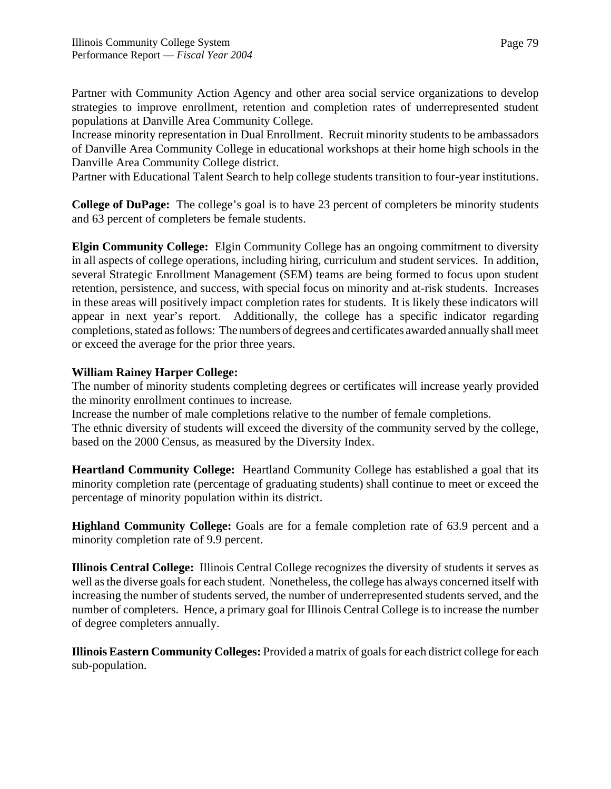Partner with Community Action Agency and other area social service organizations to develop strategies to improve enrollment, retention and completion rates of underrepresented student populations at Danville Area Community College.

Increase minority representation in Dual Enrollment. Recruit minority students to be ambassadors of Danville Area Community College in educational workshops at their home high schools in the Danville Area Community College district.

Partner with Educational Talent Search to help college students transition to four-year institutions.

**College of DuPage:** The college's goal is to have 23 percent of completers be minority students and 63 percent of completers be female students.

**Elgin Community College:** Elgin Community College has an ongoing commitment to diversity in all aspects of college operations, including hiring, curriculum and student services. In addition, several Strategic Enrollment Management (SEM) teams are being formed to focus upon student retention, persistence, and success, with special focus on minority and at-risk students. Increases in these areas will positively impact completion rates for students. It is likely these indicators will appear in next year's report. Additionally, the college has a specific indicator regarding completions, stated as follows: The numbers of degrees and certificates awarded annually shall meet or exceed the average for the prior three years.

# **William Rainey Harper College:**

The number of minority students completing degrees or certificates will increase yearly provided the minority enrollment continues to increase.

Increase the number of male completions relative to the number of female completions.

The ethnic diversity of students will exceed the diversity of the community served by the college, based on the 2000 Census, as measured by the Diversity Index.

**Heartland Community College:** Heartland Community College has established a goal that its minority completion rate (percentage of graduating students) shall continue to meet or exceed the percentage of minority population within its district.

**Highland Community College:** Goals are for a female completion rate of 63.9 percent and a minority completion rate of 9.9 percent.

**Illinois Central College:** Illinois Central College recognizes the diversity of students it serves as well as the diverse goals for each student. Nonetheless, the college has always concerned itself with increasing the number of students served, the number of underrepresented students served, and the number of completers. Hence, a primary goal for Illinois Central College is to increase the number of degree completers annually.

**Illinois Eastern Community Colleges:** Provided a matrix of goals for each district college for each sub-population.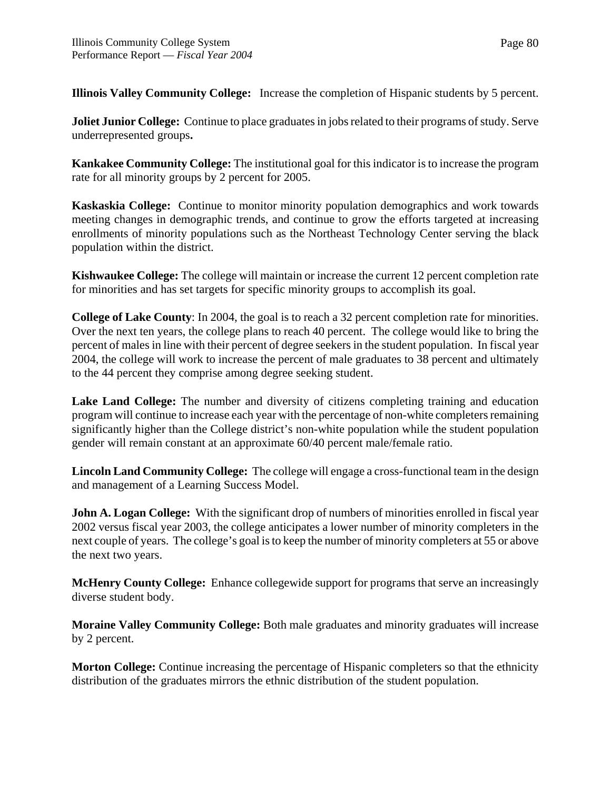**Illinois Valley Community College:** Increase the completion of Hispanic students by 5 percent.

**Joliet Junior College:** Continue to place graduates in jobs related to their programs of study. Serve underrepresented groups**.**

**Kankakee Community College:** The institutional goal for this indicator is to increase the program rate for all minority groups by 2 percent for 2005.

**Kaskaskia College:** Continue to monitor minority population demographics and work towards meeting changes in demographic trends, and continue to grow the efforts targeted at increasing enrollments of minority populations such as the Northeast Technology Center serving the black population within the district.

**Kishwaukee College:** The college will maintain or increase the current 12 percent completion rate for minorities and has set targets for specific minority groups to accomplish its goal.

**College of Lake County**: In 2004, the goal is to reach a 32 percent completion rate for minorities. Over the next ten years, the college plans to reach 40 percent. The college would like to bring the percent of males in line with their percent of degree seekers in the student population. In fiscal year 2004, the college will work to increase the percent of male graduates to 38 percent and ultimately to the 44 percent they comprise among degree seeking student.

**Lake Land College:** The number and diversity of citizens completing training and education program will continue to increase each year with the percentage of non-white completers remaining significantly higher than the College district's non-white population while the student population gender will remain constant at an approximate 60/40 percent male/female ratio.

**Lincoln Land Community College:** The college will engage a cross-functional team in the design and management of a Learning Success Model.

**John A. Logan College:** With the significant drop of numbers of minorities enrolled in fiscal year 2002 versus fiscal year 2003, the college anticipates a lower number of minority completers in the next couple of years. The college's goal is to keep the number of minority completers at 55 or above the next two years.

**McHenry County College:** Enhance collegewide support for programs that serve an increasingly diverse student body.

**Moraine Valley Community College:** Both male graduates and minority graduates will increase by 2 percent.

**Morton College:** Continue increasing the percentage of Hispanic completers so that the ethnicity distribution of the graduates mirrors the ethnic distribution of the student population.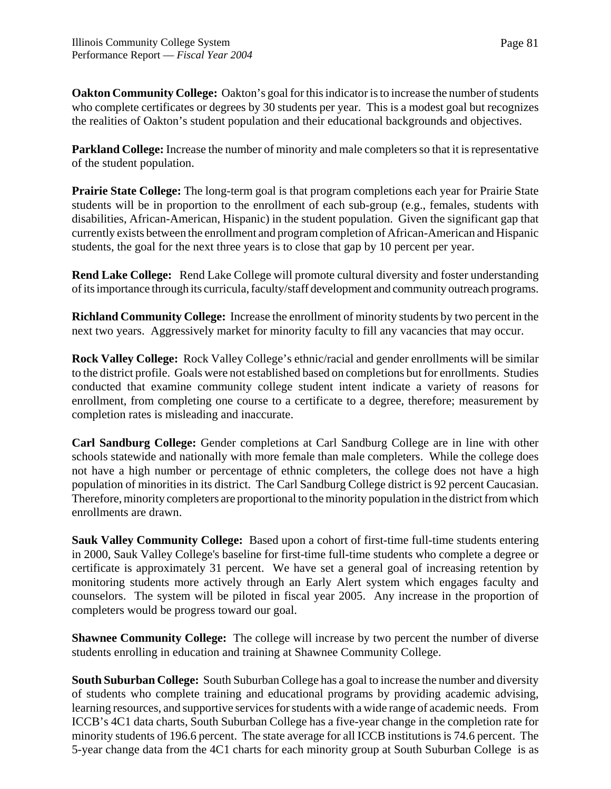**Oakton Community College:** Oakton's goal for this indicator is to increase the number of students who complete certificates or degrees by 30 students per year. This is a modest goal but recognizes the realities of Oakton's student population and their educational backgrounds and objectives.

**Parkland College:** Increase the number of minority and male completers so that it is representative of the student population.

**Prairie State College:** The long-term goal is that program completions each year for Prairie State students will be in proportion to the enrollment of each sub-group (e.g., females, students with disabilities, African-American, Hispanic) in the student population. Given the significant gap that currently exists between the enrollment and program completion of African-American and Hispanic students, the goal for the next three years is to close that gap by 10 percent per year.

**Rend Lake College:** Rend Lake College will promote cultural diversity and foster understanding of its importance through its curricula, faculty/staff development and community outreach programs.

**Richland Community College:** Increase the enrollment of minority students by two percent in the next two years.Aggressively market for minority faculty to fill any vacancies that may occur.

**Rock Valley College:** Rock Valley College's ethnic/racial and gender enrollments will be similar to the district profile. Goals were not established based on completions but for enrollments. Studies conducted that examine community college student intent indicate a variety of reasons for enrollment, from completing one course to a certificate to a degree, therefore; measurement by completion rates is misleading and inaccurate.

**Carl Sandburg College:** Gender completions at Carl Sandburg College are in line with other schools statewide and nationally with more female than male completers. While the college does not have a high number or percentage of ethnic completers, the college does not have a high population of minorities in its district. The Carl Sandburg College district is 92 percent Caucasian. Therefore, minority completers are proportional to the minority population in the district from which enrollments are drawn.

**Sauk Valley Community College:** Based upon a cohort of first-time full-time students entering in 2000, Sauk Valley College's baseline for first-time full-time students who complete a degree or certificate is approximately 31 percent. We have set a general goal of increasing retention by monitoring students more actively through an Early Alert system which engages faculty and counselors. The system will be piloted in fiscal year 2005. Any increase in the proportion of completers would be progress toward our goal.

**Shawnee Community College:** The college will increase by two percent the number of diverse students enrolling in education and training at Shawnee Community College.

**South Suburban College:** South Suburban College has a goal to increase the number and diversity of students who complete training and educational programs by providing academic advising, learning resources, and supportive services for students with a wide range of academic needs. From ICCB's 4C1 data charts, South Suburban College has a five-year change in the completion rate for minority students of 196.6 percent. The state average for all ICCB institutions is 74.6 percent. The 5-year change data from the 4C1 charts for each minority group at South Suburban College is as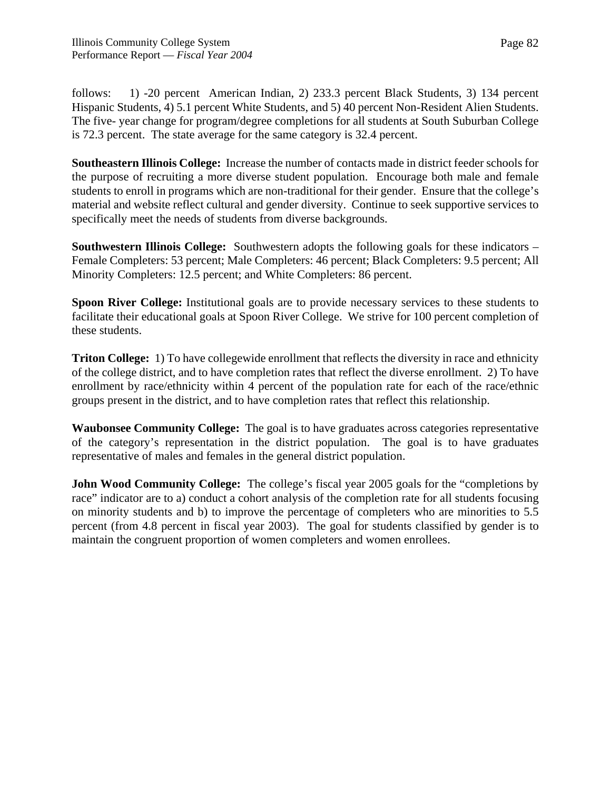follows: 1) -20 percent American Indian, 2) 233.3 percent Black Students, 3) 134 percent Hispanic Students, 4) 5.1 percent White Students, and 5) 40 percent Non-Resident Alien Students. The five- year change for program/degree completions for all students at South Suburban College is 72.3 percent. The state average for the same category is 32.4 percent.

**Southeastern Illinois College:** Increase the number of contacts made in district feeder schools for the purpose of recruiting a more diverse student population. Encourage both male and female students to enroll in programs which are non-traditional for their gender. Ensure that the college's material and website reflect cultural and gender diversity. Continue to seek supportive services to specifically meet the needs of students from diverse backgrounds.

**Southwestern Illinois College:** Southwestern adopts the following goals for these indicators – Female Completers: 53 percent; Male Completers: 46 percent; Black Completers: 9.5 percent; All Minority Completers: 12.5 percent; and White Completers: 86 percent.

**Spoon River College:** Institutional goals are to provide necessary services to these students to facilitate their educational goals at Spoon River College. We strive for 100 percent completion of these students.

**Triton College:** 1) To have collegewide enrollment that reflects the diversity in race and ethnicity of the college district, and to have completion rates that reflect the diverse enrollment. 2) To have enrollment by race/ethnicity within 4 percent of the population rate for each of the race/ethnic groups present in the district, and to have completion rates that reflect this relationship.

**Waubonsee Community College:** The goal is to have graduates across categories representative of the category's representation in the district population. The goal is to have graduates representative of males and females in the general district population.

**John Wood Community College:** The college's fiscal year 2005 goals for the "completions by race" indicator are to a) conduct a cohort analysis of the completion rate for all students focusing on minority students and b) to improve the percentage of completers who are minorities to 5.5 percent (from 4.8 percent in fiscal year 2003). The goal for students classified by gender is to maintain the congruent proportion of women completers and women enrollees.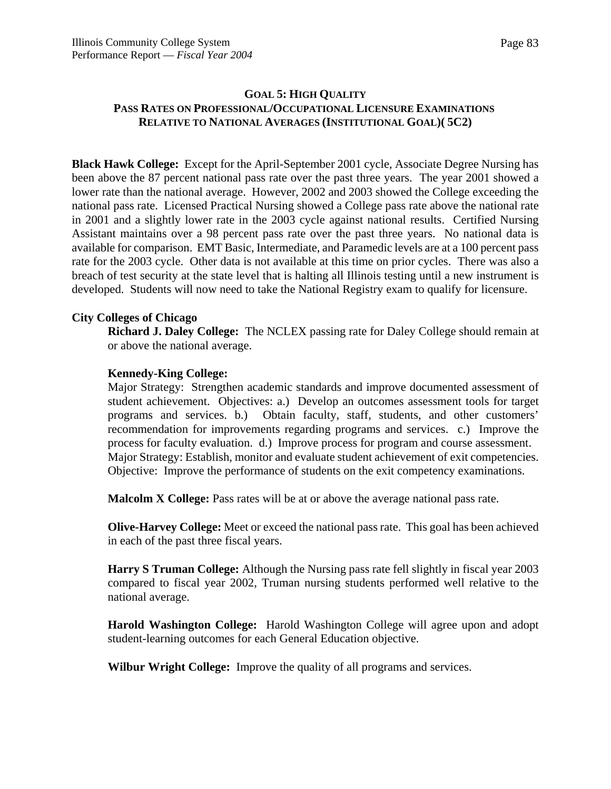# **GOAL 5: HIGH QUALITY PASS RATES ON PROFESSIONAL/OCCUPATIONAL LICENSURE EXAMINATIONS RELATIVE TO NATIONAL AVERAGES (INSTITUTIONAL GOAL)( 5C2)**

**Black Hawk College:** Except for the April-September 2001 cycle, Associate Degree Nursing has been above the 87 percent national pass rate over the past three years. The year 2001 showed a lower rate than the national average. However, 2002 and 2003 showed the College exceeding the national pass rate. Licensed Practical Nursing showed a College pass rate above the national rate in 2001 and a slightly lower rate in the 2003 cycle against national results. Certified Nursing Assistant maintains over a 98 percent pass rate over the past three years. No national data is available for comparison. EMT Basic, Intermediate, and Paramedic levels are at a 100 percent pass rate for the 2003 cycle. Other data is not available at this time on prior cycles. There was also a breach of test security at the state level that is halting all Illinois testing until a new instrument is developed. Students will now need to take the National Registry exam to qualify for licensure.

## **City Colleges of Chicago**

**Richard J. Daley College:** The NCLEX passing rate for Daley College should remain at or above the national average.

## **Kennedy-King College:**

Major Strategy: Strengthen academic standards and improve documented assessment of student achievement. Objectives: a.) Develop an outcomes assessment tools for target programs and services. b.) Obtain faculty, staff, students, and other customers' recommendation for improvements regarding programs and services. c.) Improve the process for faculty evaluation. d.) Improve process for program and course assessment. Major Strategy: Establish, monitor and evaluate student achievement of exit competencies. Objective: Improve the performance of students on the exit competency examinations.

**Malcolm X College:** Pass rates will be at or above the average national pass rate.

**Olive-Harvey College:** Meet or exceed the national pass rate. This goal has been achieved in each of the past three fiscal years.

**Harry S Truman College:** Although the Nursing pass rate fell slightly in fiscal year 2003 compared to fiscal year 2002, Truman nursing students performed well relative to the national average.

**Harold Washington College:** Harold Washington College will agree upon and adopt student-learning outcomes for each General Education objective.

**Wilbur Wright College:** Improve the quality of all programs and services.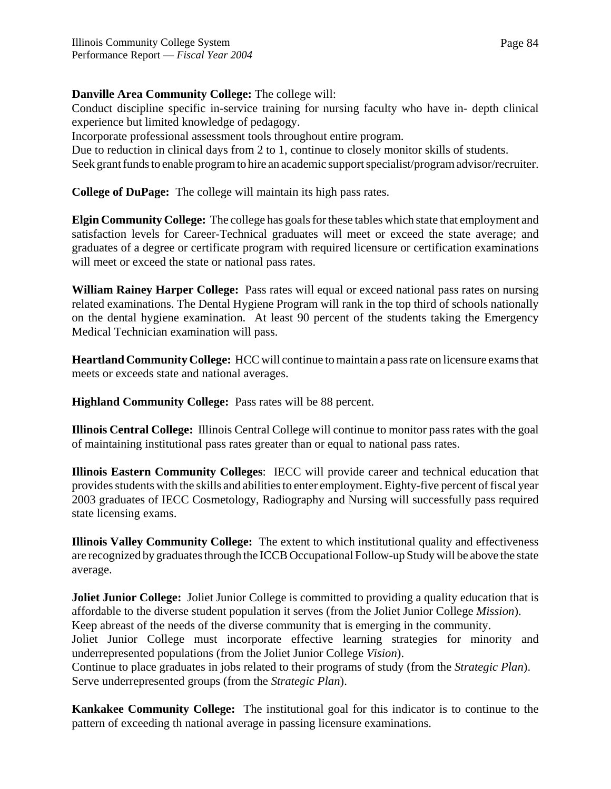# **Danville Area Community College:** The college will:

Conduct discipline specific in-service training for nursing faculty who have in- depth clinical experience but limited knowledge of pedagogy.

Incorporate professional assessment tools throughout entire program.

Due to reduction in clinical days from 2 to 1, continue to closely monitor skills of students.

Seek grant funds to enable program to hire an academic support specialist/program advisor/recruiter.

**College of DuPage:** The college will maintain its high pass rates.

**Elgin Community College:** The college has goals for these tables which state that employment and satisfaction levels for Career-Technical graduates will meet or exceed the state average; and graduates of a degree or certificate program with required licensure or certification examinations will meet or exceed the state or national pass rates.

**William Rainey Harper College:** Pass rates will equal or exceed national pass rates on nursing related examinations. The Dental Hygiene Program will rank in the top third of schools nationally on the dental hygiene examination. At least 90 percent of the students taking the Emergency Medical Technician examination will pass.

**Heartland Community College:** HCC will continue to maintain a pass rate on licensure exams that meets or exceeds state and national averages.

**Highland Community College:** Pass rates will be 88 percent.

**Illinois Central College:** Illinois Central College will continue to monitor pass rates with the goal of maintaining institutional pass rates greater than or equal to national pass rates.

**Illinois Eastern Community Colleges**: IECC will provide career and technical education that provides students with the skills and abilities to enter employment. Eighty-five percent of fiscal year 2003 graduates of IECC Cosmetology, Radiography and Nursing will successfully pass required state licensing exams.

**Illinois Valley Community College:** The extent to which institutional quality and effectiveness are recognized by graduates through the ICCB Occupational Follow-up Study will be above the state average.

**Joliet Junior College:** Joliet Junior College is committed to providing a quality education that is affordable to the diverse student population it serves (from the Joliet Junior College *Mission*). Keep abreast of the needs of the diverse community that is emerging in the community. Joliet Junior College must incorporate effective learning strategies for minority and underrepresented populations (from the Joliet Junior College *Vision*). Continue to place graduates in jobs related to their programs of study (from the *Strategic Plan*). Serve underrepresented groups (from the *Strategic Plan*).

**Kankakee Community College:** The institutional goal for this indicator is to continue to the pattern of exceeding th national average in passing licensure examinations.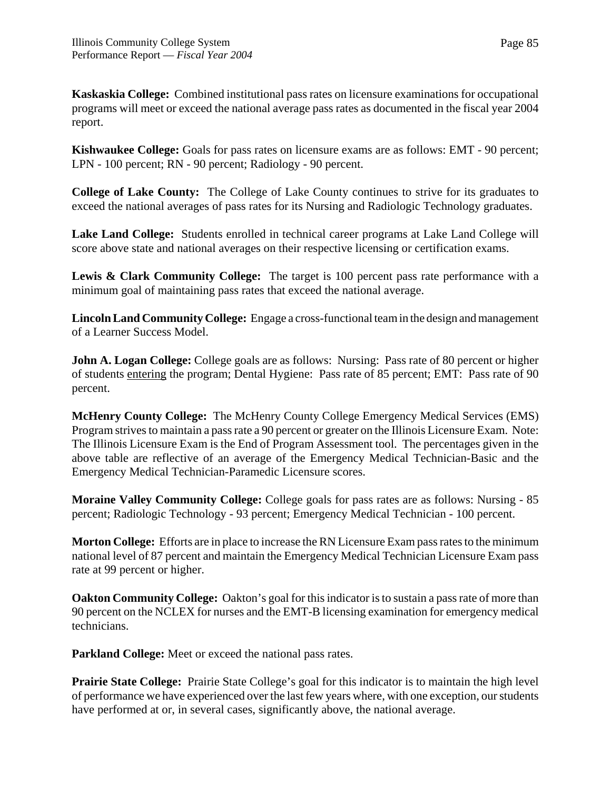**Kaskaskia College:** Combined institutional pass rates on licensure examinations for occupational programs will meet or exceed the national average pass rates as documented in the fiscal year 2004 report.

**Kishwaukee College:** Goals for pass rates on licensure exams are as follows: EMT - 90 percent; LPN - 100 percent; RN - 90 percent; Radiology - 90 percent.

**College of Lake County:** The College of Lake County continues to strive for its graduates to exceed the national averages of pass rates for its Nursing and Radiologic Technology graduates.

**Lake Land College:** Students enrolled in technical career programs at Lake Land College will score above state and national averages on their respective licensing or certification exams.

**Lewis & Clark Community College:** The target is 100 percent pass rate performance with a minimum goal of maintaining pass rates that exceed the national average.

**Lincoln Land Community College:** Engage a cross-functional team in the design and management of a Learner Success Model.

**John A. Logan College:** College goals are as follows: Nursing: Pass rate of 80 percent or higher of students entering the program; Dental Hygiene: Pass rate of 85 percent; EMT: Pass rate of 90 percent.

**McHenry County College:** The McHenry County College Emergency Medical Services (EMS) Program strives to maintain a pass rate a 90 percent or greater on the Illinois Licensure Exam. Note: The Illinois Licensure Exam is the End of Program Assessment tool. The percentages given in the above table are reflective of an average of the Emergency Medical Technician-Basic and the Emergency Medical Technician-Paramedic Licensure scores.

**Moraine Valley Community College:** College goals for pass rates are as follows: Nursing - 85 percent; Radiologic Technology - 93 percent; Emergency Medical Technician - 100 percent.

**Morton College:** Efforts are in place to increase the RN Licensure Exam pass rates to the minimum national level of 87 percent and maintain the Emergency Medical Technician Licensure Exam pass rate at 99 percent or higher.

**Oakton Community College:** Oakton's goal for this indicator is to sustain a pass rate of more than 90 percent on the NCLEX for nurses and the EMT-B licensing examination for emergency medical technicians.

**Parkland College:** Meet or exceed the national pass rates.

**Prairie State College:** Prairie State College's goal for this indicator is to maintain the high level of performance we have experienced over the last few years where, with one exception, our students have performed at or, in several cases, significantly above, the national average.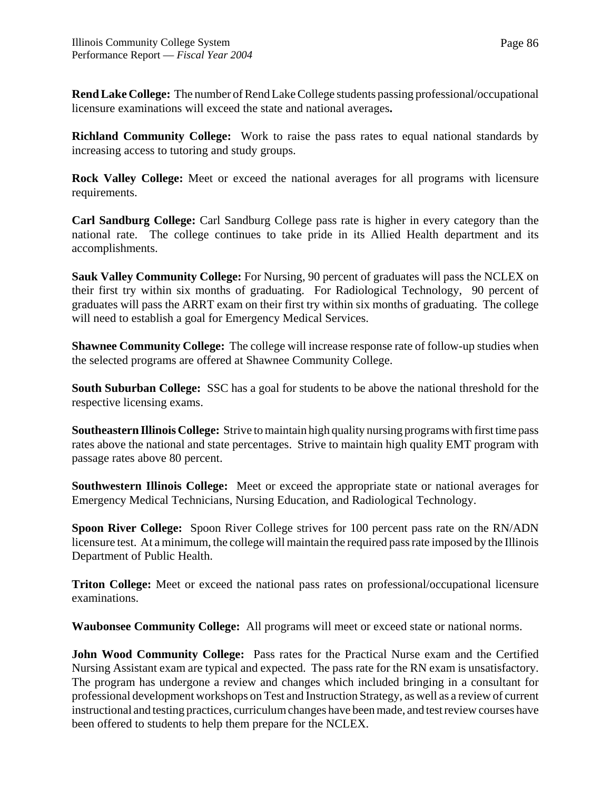**Rend Lake College:** The number of Rend Lake College students passing professional/occupational licensure examinations will exceed the state and national averages**.**

**Richland Community College:** Work to raise the pass rates to equal national standards by increasing access to tutoring and study groups.

**Rock Valley College:** Meet or exceed the national averages for all programs with licensure requirements.

**Carl Sandburg College:** Carl Sandburg College pass rate is higher in every category than the national rate. The college continues to take pride in its Allied Health department and its accomplishments.

**Sauk Valley Community College:** For Nursing, 90 percent of graduates will pass the NCLEX on their first try within six months of graduating. For Radiological Technology, 90 percent of graduates will pass the ARRT exam on their first try within six months of graduating. The college will need to establish a goal for Emergency Medical Services.

**Shawnee Community College:** The college will increase response rate of follow-up studies when the selected programs are offered at Shawnee Community College.

**South Suburban College:** SSC has a goal for students to be above the national threshold for the respective licensing exams.

**Southeastern Illinois College:** Strive to maintain high quality nursing programs with first time pass rates above the national and state percentages. Strive to maintain high quality EMT program with passage rates above 80 percent.

**Southwestern Illinois College:** Meet or exceed the appropriate state or national averages for Emergency Medical Technicians, Nursing Education, and Radiological Technology.

**Spoon River College:** Spoon River College strives for 100 percent pass rate on the RN/ADN licensure test. At a minimum, the college will maintain the required pass rate imposed by the Illinois Department of Public Health.

**Triton College:** Meet or exceed the national pass rates on professional/occupational licensure examinations.

**Waubonsee Community College:** All programs will meet or exceed state or national norms.

**John Wood Community College:** Pass rates for the Practical Nurse exam and the Certified Nursing Assistant exam are typical and expected. The pass rate for the RN exam is unsatisfactory. The program has undergone a review and changes which included bringing in a consultant for professional development workshops on Test and Instruction Strategy, as well as a review of current instructional and testing practices, curriculum changes have been made, and test review courses have been offered to students to help them prepare for the NCLEX.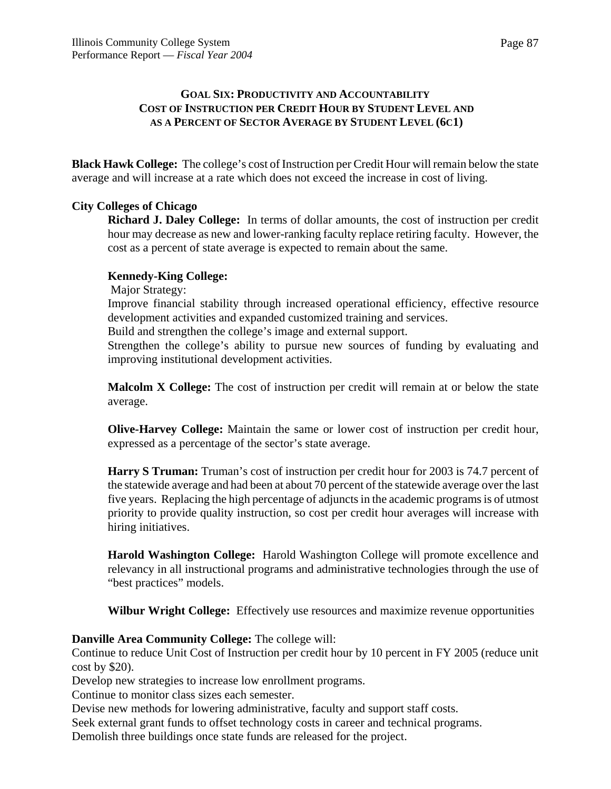# **GOAL SIX: PRODUCTIVITY AND ACCOUNTABILITY COST OF INSTRUCTION PER CREDIT HOUR BY STUDENT LEVEL AND AS A PERCENT OF SECTOR AVERAGE BY STUDENT LEVEL (6C1)**

**Black Hawk College:** The college's cost of Instruction per Credit Hour will remain below the state average and will increase at a rate which does not exceed the increase in cost of living.

# **City Colleges of Chicago**

**Richard J. Daley College:** In terms of dollar amounts, the cost of instruction per credit hour may decrease as new and lower-ranking faculty replace retiring faculty. However, the cost as a percent of state average is expected to remain about the same.

# **Kennedy-King College:**

Major Strategy:

Improve financial stability through increased operational efficiency, effective resource development activities and expanded customized training and services.

Build and strengthen the college's image and external support.

Strengthen the college's ability to pursue new sources of funding by evaluating and improving institutional development activities.

**Malcolm X College:** The cost of instruction per credit will remain at or below the state average.

**Olive-Harvey College:** Maintain the same or lower cost of instruction per credit hour, expressed as a percentage of the sector's state average.

**Harry S Truman:** Truman's cost of instruction per credit hour for 2003 is 74.7 percent of the statewide average and had been at about 70 percent of the statewide average over the last five years. Replacing the high percentage of adjuncts in the academic programs is of utmost priority to provide quality instruction, so cost per credit hour averages will increase with hiring initiatives.

**Harold Washington College:** Harold Washington College will promote excellence and relevancy in all instructional programs and administrative technologies through the use of "best practices" models.

**Wilbur Wright College:** Effectively use resources and maximize revenue opportunities

## **Danville Area Community College:** The college will:

Continue to reduce Unit Cost of Instruction per credit hour by 10 percent in FY 2005 (reduce unit cost by \$20).

Develop new strategies to increase low enrollment programs.

Continue to monitor class sizes each semester.

Devise new methods for lowering administrative, faculty and support staff costs.

Seek external grant funds to offset technology costs in career and technical programs.

Demolish three buildings once state funds are released for the project.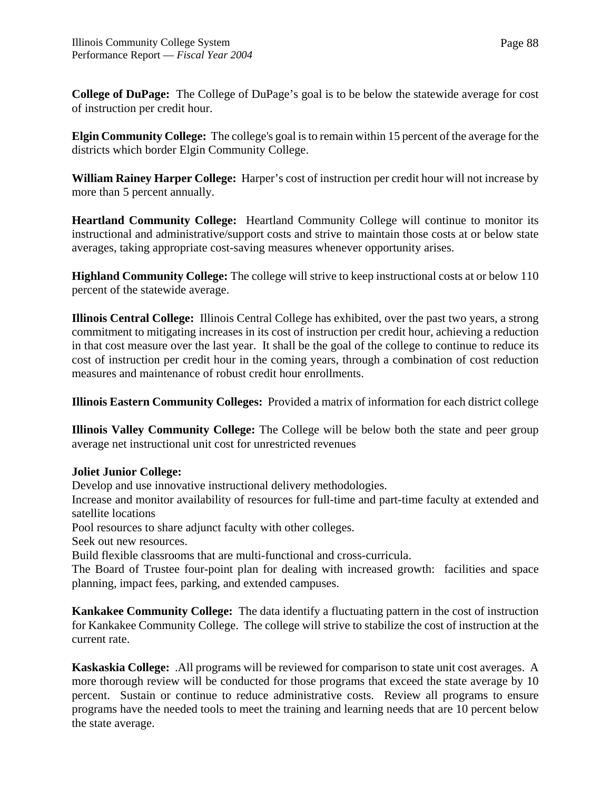Page 88

**College of DuPage:** The College of DuPage's goal is to be below the statewide average for cost of instruction per credit hour.

**Elgin Community College:** The college's goal is to remain within 15 percent of the average for the districts which border Elgin Community College.

**William Rainey Harper College:** Harper's cost of instruction per credit hour will not increase by more than 5 percent annually.

**Heartland Community College:** Heartland Community College will continue to monitor its instructional and administrative/support costs and strive to maintain those costs at or below state averages, taking appropriate cost-saving measures whenever opportunity arises.

**Highland Community College:** The college will strive to keep instructional costs at or below 110 percent of the statewide average.

**Illinois Central College:** Illinois Central College has exhibited, over the past two years, a strong commitment to mitigating increases in its cost of instruction per credit hour, achieving a reduction in that cost measure over the last year. It shall be the goal of the college to continue to reduce its cost of instruction per credit hour in the coming years, through a combination of cost reduction measures and maintenance of robust credit hour enrollments.

**Illinois Eastern Community Colleges:** Provided a matrix of information for each district college

**Illinois Valley Community College:** The College will be below both the state and peer group average net instructional unit cost for unrestricted revenues

# **Joliet Junior College:**

Develop and use innovative instructional delivery methodologies.

Increase and monitor availability of resources for full-time and part-time faculty at extended and satellite locations

Pool resources to share adjunct faculty with other colleges.

Seek out new resources.

Build flexible classrooms that are multi-functional and cross-curricula.

The Board of Trustee four-point plan for dealing with increased growth: facilities and space planning, impact fees, parking, and extended campuses.

**Kankakee Community College:** The data identify a fluctuating pattern in the cost of instruction for Kankakee Community College. The college will strive to stabilize the cost of instruction at the current rate.

**Kaskaskia College:** .All programs will be reviewed for comparison to state unit cost averages. A more thorough review will be conducted for those programs that exceed the state average by 10 percent. Sustain or continue to reduce administrative costs. Review all programs to ensure programs have the needed tools to meet the training and learning needs that are 10 percent below the state average.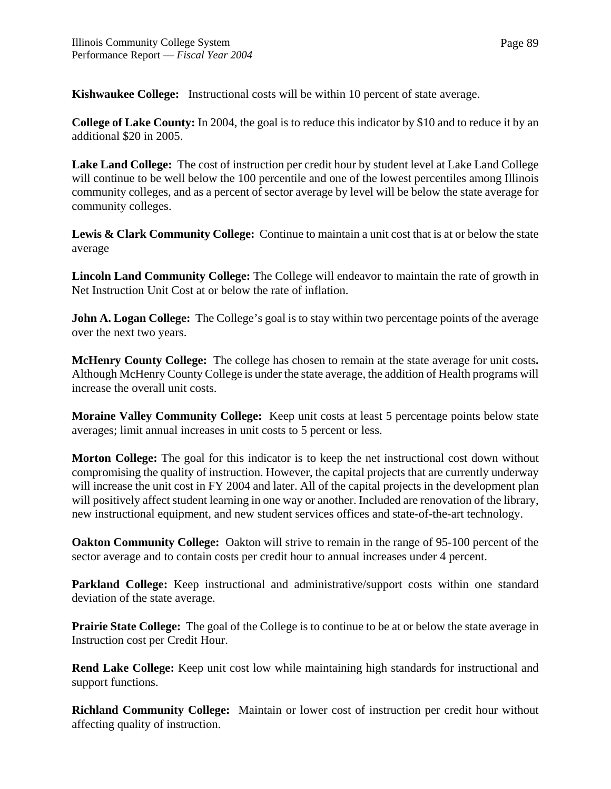**Kishwaukee College:** Instructional costs will be within 10 percent of state average.

**College of Lake County:** In 2004, the goal is to reduce this indicator by \$10 and to reduce it by an additional \$20 in 2005.

**Lake Land College:** The cost of instruction per credit hour by student level at Lake Land College will continue to be well below the 100 percentile and one of the lowest percentiles among Illinois community colleges, and as a percent of sector average by level will be below the state average for community colleges.

Lewis & Clark Community College: Continue to maintain a unit cost that is at or below the state average

**Lincoln Land Community College:** The College will endeavor to maintain the rate of growth in Net Instruction Unit Cost at or below the rate of inflation.

**John A. Logan College:** The College's goal is to stay within two percentage points of the average over the next two years.

**McHenry County College:** The college has chosen to remain at the state average for unit costs**.** Although McHenry County College is under the state average, the addition of Health programs will increase the overall unit costs.

**Moraine Valley Community College:** Keep unit costs at least 5 percentage points below state averages; limit annual increases in unit costs to 5 percent or less.

**Morton College:** The goal for this indicator is to keep the net instructional cost down without compromising the quality of instruction. However, the capital projects that are currently underway will increase the unit cost in FY 2004 and later. All of the capital projects in the development plan will positively affect student learning in one way or another. Included are renovation of the library, new instructional equipment, and new student services offices and state-of-the-art technology.

**Oakton Community College:** Oakton will strive to remain in the range of 95-100 percent of the sector average and to contain costs per credit hour to annual increases under 4 percent.

**Parkland College:** Keep instructional and administrative/support costs within one standard deviation of the state average.

**Prairie State College:** The goal of the College is to continue to be at or below the state average in Instruction cost per Credit Hour.

**Rend Lake College:** Keep unit cost low while maintaining high standards for instructional and support functions.

**Richland Community College:** Maintain or lower cost of instruction per credit hour without affecting quality of instruction.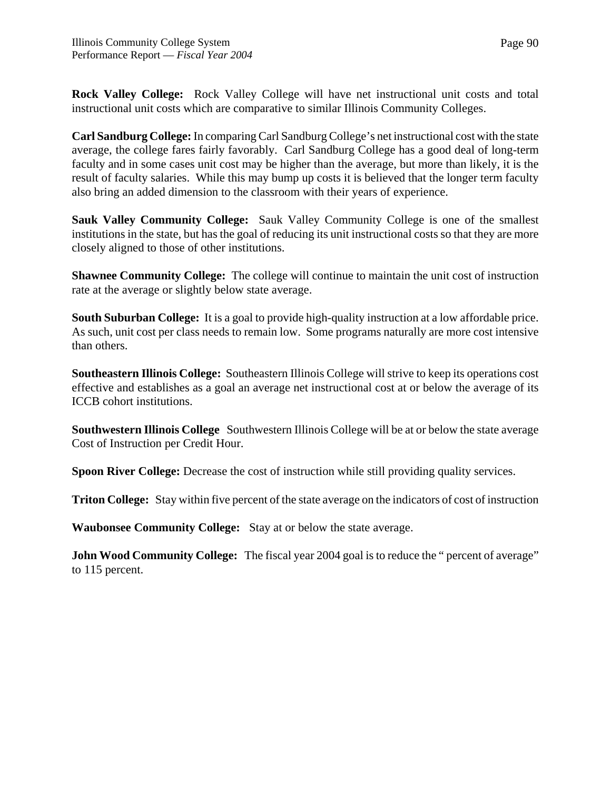**Rock Valley College:** Rock Valley College will have net instructional unit costs and total instructional unit costs which are comparative to similar Illinois Community Colleges.

**Carl Sandburg College:** In comparing Carl Sandburg College's net instructional cost with the state average, the college fares fairly favorably. Carl Sandburg College has a good deal of long-term faculty and in some cases unit cost may be higher than the average, but more than likely, it is the result of faculty salaries. While this may bump up costs it is believed that the longer term faculty also bring an added dimension to the classroom with their years of experience.

**Sauk Valley Community College:** Sauk Valley Community College is one of the smallest institutions in the state, but has the goal of reducing its unit instructional costs so that they are more closely aligned to those of other institutions.

**Shawnee Community College:** The college will continue to maintain the unit cost of instruction rate at the average or slightly below state average.

**South Suburban College:** It is a goal to provide high-quality instruction at a low affordable price. As such, unit cost per class needs to remain low. Some programs naturally are more cost intensive than others.

**Southeastern Illinois College:** Southeastern Illinois College will strive to keep its operations cost effective and establishes as a goal an average net instructional cost at or below the average of its ICCB cohort institutions.

**Southwestern Illinois College** Southwestern Illinois College will be at or below the state average Cost of Instruction per Credit Hour.

**Spoon River College:** Decrease the cost of instruction while still providing quality services.

**Triton College:** Stay within five percent of the state average on the indicators of cost of instruction

**Waubonsee Community College:** Stay at or below the state average.

**John Wood Community College:** The fiscal year 2004 goal is to reduce the " percent of average" to 115 percent.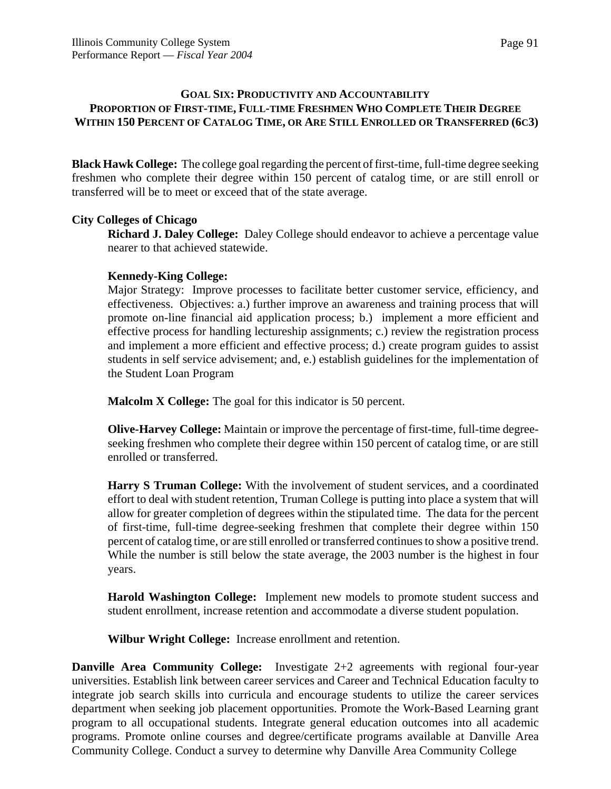## **GOAL SIX: PRODUCTIVITY AND ACCOUNTABILITY PROPORTION OF FIRST-TIME, FULL-TIME FRESHMEN WHO COMPLETE THEIR DEGREE WITHIN 150 PERCENT OF CATALOG TIME, OR ARE STILL ENROLLED OR TRANSFERRED (6C3)**

**Black Hawk College:** The college goal regarding the percent of first-time, full-time degree seeking freshmen who complete their degree within 150 percent of catalog time, or are still enroll or transferred will be to meet or exceed that of the state average.

# **City Colleges of Chicago**

**Richard J. Daley College:** Daley College should endeavor to achieve a percentage value nearer to that achieved statewide.

# **Kennedy-King College:**

Major Strategy: Improve processes to facilitate better customer service, efficiency, and effectiveness. Objectives: a.) further improve an awareness and training process that will promote on-line financial aid application process; b.) implement a more efficient and effective process for handling lectureship assignments; c.) review the registration process and implement a more efficient and effective process; d.) create program guides to assist students in self service advisement; and, e.) establish guidelines for the implementation of the Student Loan Program

**Malcolm X College:** The goal for this indicator is 50 percent.

**Olive-Harvey College:** Maintain or improve the percentage of first-time, full-time degreeseeking freshmen who complete their degree within 150 percent of catalog time, or are still enrolled or transferred.

**Harry S Truman College:** With the involvement of student services, and a coordinated effort to deal with student retention, Truman College is putting into place a system that will allow for greater completion of degrees within the stipulated time. The data for the percent of first-time, full-time degree-seeking freshmen that complete their degree within 150 percent of catalog time, or are still enrolled or transferred continues to show a positive trend. While the number is still below the state average, the 2003 number is the highest in four years.

**Harold Washington College:** Implement new models to promote student success and student enrollment, increase retention and accommodate a diverse student population.

**Wilbur Wright College:** Increase enrollment and retention.

**Danville Area Community College:** Investigate 2+2 agreements with regional four-year universities. Establish link between career services and Career and Technical Education faculty to integrate job search skills into curricula and encourage students to utilize the career services department when seeking job placement opportunities. Promote the Work-Based Learning grant program to all occupational students. Integrate general education outcomes into all academic programs. Promote online courses and degree/certificate programs available at Danville Area Community College. Conduct a survey to determine why Danville Area Community College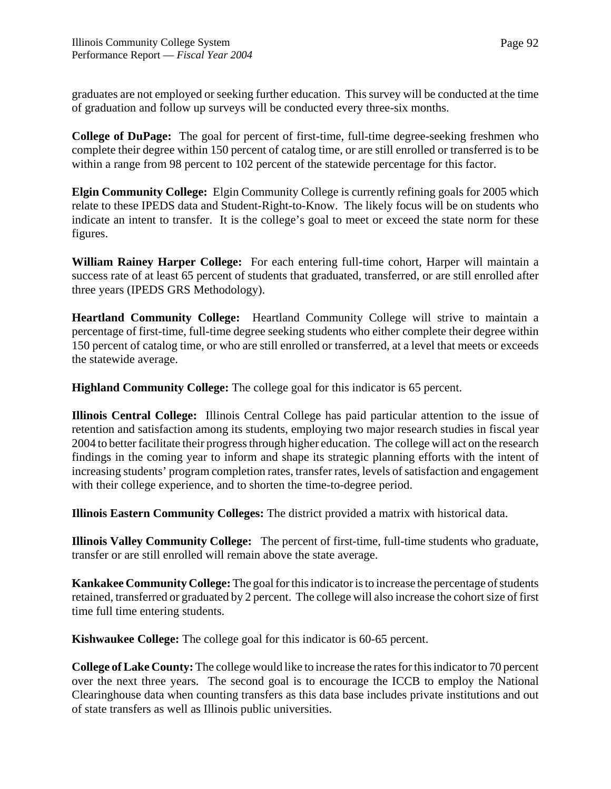graduates are not employed or seeking further education. This survey will be conducted at the time of graduation and follow up surveys will be conducted every three-six months.

**College of DuPage:** The goal for percent of first-time, full-time degree-seeking freshmen who complete their degree within 150 percent of catalog time, or are still enrolled or transferred is to be within a range from 98 percent to 102 percent of the statewide percentage for this factor.

**Elgin Community College:** Elgin Community College is currently refining goals for 2005 which relate to these IPEDS data and Student-Right-to-Know. The likely focus will be on students who indicate an intent to transfer. It is the college's goal to meet or exceed the state norm for these figures.

**William Rainey Harper College:** For each entering full-time cohort, Harper will maintain a success rate of at least 65 percent of students that graduated, transferred, or are still enrolled after three years (IPEDS GRS Methodology).

**Heartland Community College:** Heartland Community College will strive to maintain a percentage of first-time, full-time degree seeking students who either complete their degree within 150 percent of catalog time, or who are still enrolled or transferred, at a level that meets or exceeds the statewide average.

**Highland Community College:** The college goal for this indicator is 65 percent.

**Illinois Central College:** Illinois Central College has paid particular attention to the issue of retention and satisfaction among its students, employing two major research studies in fiscal year 2004 to better facilitate their progress through higher education. The college will act on the research findings in the coming year to inform and shape its strategic planning efforts with the intent of increasing students' program completion rates, transfer rates, levels of satisfaction and engagement with their college experience, and to shorten the time-to-degree period.

**Illinois Eastern Community Colleges:** The district provided a matrix with historical data.

**Illinois Valley Community College:** The percent of first-time, full-time students who graduate, transfer or are still enrolled will remain above the state average.

**Kankakee Community College:** The goal for this indicator is to increase the percentage of students retained, transferred or graduated by 2 percent. The college will also increase the cohort size of first time full time entering students.

**Kishwaukee College:** The college goal for this indicator is 60-65 percent.

**College of Lake County:** The college would like to increase the rates for this indicator to 70 percent over the next three years. The second goal is to encourage the ICCB to employ the National Clearinghouse data when counting transfers as this data base includes private institutions and out of state transfers as well as Illinois public universities.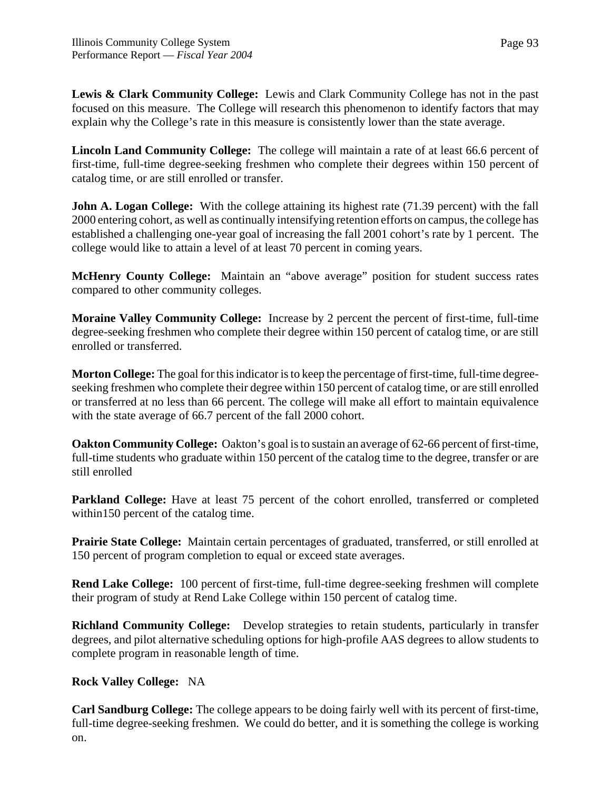**Lewis & Clark Community College:** Lewis and Clark Community College has not in the past focused on this measure. The College will research this phenomenon to identify factors that may explain why the College's rate in this measure is consistently lower than the state average.

**Lincoln Land Community College:** The college will maintain a rate of at least 66.6 percent of first-time, full-time degree-seeking freshmen who complete their degrees within 150 percent of catalog time, or are still enrolled or transfer.

**John A. Logan College:** With the college attaining its highest rate (71.39 percent) with the fall 2000 entering cohort, as well as continually intensifying retention efforts on campus, the college has established a challenging one-year goal of increasing the fall 2001 cohort's rate by 1 percent. The college would like to attain a level of at least 70 percent in coming years.

**McHenry County College:** Maintain an "above average" position for student success rates compared to other community colleges.

**Moraine Valley Community College:** Increase by 2 percent the percent of first-time, full-time degree-seeking freshmen who complete their degree within 150 percent of catalog time, or are still enrolled or transferred.

**Morton College:** The goal for this indicator is to keep the percentage of first-time, full-time degreeseeking freshmen who complete their degree within 150 percent of catalog time, or are still enrolled or transferred at no less than 66 percent. The college will make all effort to maintain equivalence with the state average of 66.7 percent of the fall 2000 cohort.

**Oakton Community College:** Oakton's goal is to sustain an average of 62-66 percent of first-time, full-time students who graduate within 150 percent of the catalog time to the degree, transfer or are still enrolled

**Parkland College:** Have at least 75 percent of the cohort enrolled, transferred or completed within150 percent of the catalog time.

**Prairie State College:** Maintain certain percentages of graduated, transferred, or still enrolled at 150 percent of program completion to equal or exceed state averages.

**Rend Lake College:** 100 percent of first-time, full-time degree-seeking freshmen will complete their program of study at Rend Lake College within 150 percent of catalog time.

**Richland Community College:** Develop strategies to retain students, particularly in transfer degrees, and pilot alternative scheduling options for high-profile AAS degrees to allow students to complete program in reasonable length of time.

# **Rock Valley College:** NA

**Carl Sandburg College:** The college appears to be doing fairly well with its percent of first-time, full-time degree-seeking freshmen. We could do better, and it is something the college is working on.